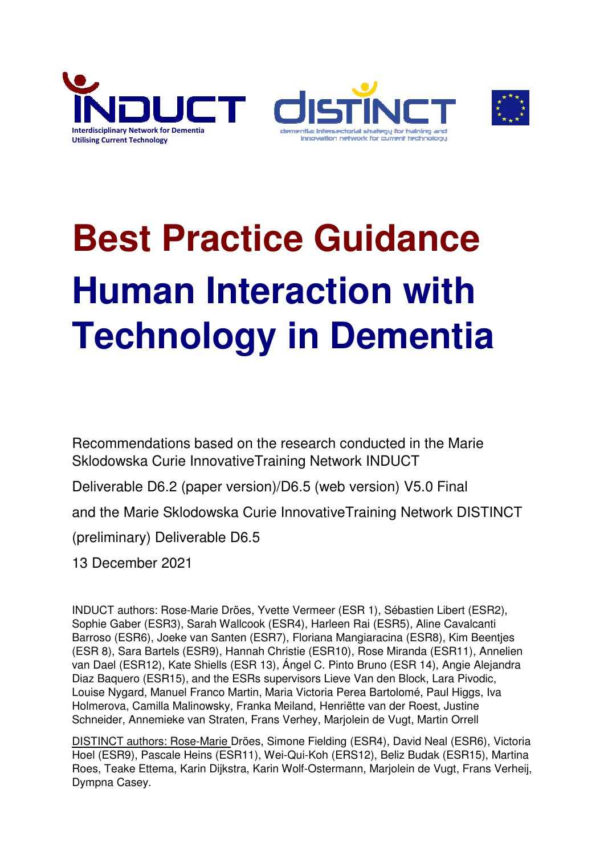





# **Best Practice Guidance Human Interaction with Technology in Dementia**

Recommendations based on the research conducted in the Marie Sklodowska Curie InnovativeTraining Network INDUCT

Deliverable D6.2 (paper version)/D6.5 (web version) V5.0 Final

and the Marie Sklodowska Curie InnovativeTraining Network DISTINCT

(preliminary) Deliverable D6.5

13 December 2021

INDUCT authors: Rose-Marie Dröes, Yvette Vermeer (ESR 1), Sébastien Libert (ESR2), Sophie Gaber (ESR3), Sarah Wallcook (ESR4), Harleen Rai (ESR5), Aline Cavalcanti Barroso (ESR6), Joeke van Santen (ESR7), Floriana Mangiaracina (ESR8), Kim Beentjes (ESR 8), Sara Bartels (ESR9), Hannah Christie (ESR10), Rose Miranda (ESR11), Annelien van Dael (ESR12), Kate Shiells (ESR 13), Ángel C. Pinto Bruno (ESR 14), Angie Alejandra Diaz Baquero (ESR15), and the ESRs supervisors Lieve Van den Block, Lara Pivodic, Louise Nygard, Manuel Franco Martin, Maria Victoria Perea Bartolomé, Paul Higgs, Iva Holmerova, Camilla Malinowsky, Franka Meiland, Henriëtte van der Roest, Justine Schneider, Annemieke van Straten, Frans Verhey, Marjolein de Vugt, Martin Orrell

DISTINCT authors: Rose-Marie Dröes, Simone Fielding (ESR4), David Neal (ESR6), Victoria Hoel (ESR9), Pascale Heins (ESR11), Wei-Qui-Koh (ERS12), Beliz Budak (ESR15), Martina Roes, Teake Ettema, Karin Dijkstra, Karin Wolf-Ostermann, Marjolein de Vugt, Frans Verheij, Dympna Casey.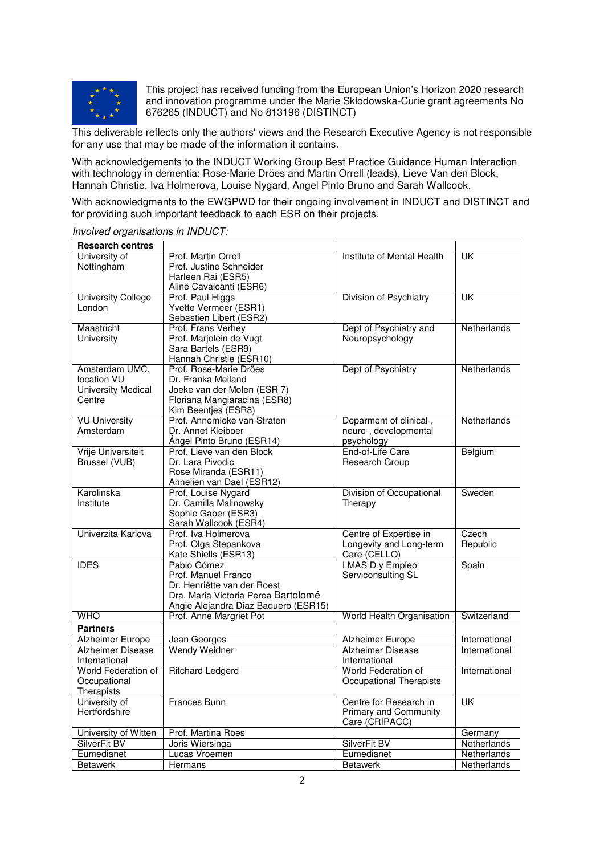

This project has received funding from the European Union's Horizon 2020 research and innovation programme under the Marie Skłodowska-Curie grant agreements No 676265 (INDUCT) and No 813196 (DISTINCT)

This deliverable reflects only the authors' views and the Research Executive Agency is not responsible for any use that may be made of the information it contains.

With acknowledgements to the INDUCT Working Group Best Practice Guidance Human Interaction with technology in dementia: Rose-Marie Dröes and Martin Orrell (leads), Lieve Van den Block, Hannah Christie, Iva Holmerova, Louise Nygard, Angel Pinto Bruno and Sarah Wallcook.

With acknowledgments to the EWGPWD for their ongoing involvement in INDUCT and DISTINCT and for providing such important feedback to each ESR on their projects.

| <b>Research centres</b>   |                                      |                                |                           |
|---------------------------|--------------------------------------|--------------------------------|---------------------------|
| University of             | Prof. Martin Orrell                  | Institute of Mental Health     | UK                        |
| Nottingham                | Prof. Justine Schneider              |                                |                           |
|                           | Harleen Rai (ESR5)                   |                                |                           |
|                           | Aline Cavalcanti (ESR6)              |                                |                           |
| <b>University College</b> | Prof. Paul Higgs                     | Division of Psychiatry         | UK                        |
| London                    | Yvette Vermeer (ESR1)                |                                |                           |
|                           | Sebastien Libert (ESR2)              |                                |                           |
| Maastricht                | Prof. Frans Verhey                   | Dept of Psychiatry and         | Netherlands               |
| University                | Prof. Marjolein de Vugt              | Neuropsychology                |                           |
|                           | Sara Bartels (ESR9)                  |                                |                           |
|                           | Hannah Christie (ESR10)              |                                |                           |
| Amsterdam UMC,            | Prof. Rose-Marie Dröes               | Dept of Psychiatry             | Netherlands               |
| location VU               | Dr. Franka Meiland                   |                                |                           |
| <b>University Medical</b> | Joeke van der Molen (ESR 7)          |                                |                           |
| Centre                    | Floriana Mangiaracina (ESR8)         |                                |                           |
|                           | Kim Beentjes (ESR8)                  |                                |                           |
| <b>VU University</b>      | Prof. Annemieke van Straten          | Deparment of clinical-,        | Netherlands               |
| Amsterdam                 | Dr. Annet Kleiboer                   | neuro-, developmental          |                           |
|                           | Angel Pinto Bruno (ESR14)            | psychology                     |                           |
| Vrije Universiteit        | Prof. Lieve van den Block            | End-of-Life Care               | Belgium                   |
| Brussel (VUB)             | Dr. Lara Pivodic                     | Research Group                 |                           |
|                           | Rose Miranda (ESR11)                 |                                |                           |
|                           | Annelien van Dael (ESR12)            |                                |                           |
| Karolinska                | Prof. Louise Nygard                  | Division of Occupational       | Sweden                    |
| Institute                 | Dr. Camilla Malinowsky               | Therapy                        |                           |
|                           | Sophie Gaber (ESR3)                  |                                |                           |
|                           | Sarah Wallcook (ESR4)                |                                |                           |
| Univerzita Karlova        | Prof. Iva Holmerova                  | Centre of Expertise in         | Czech                     |
|                           | Prof. Olga Stepankova                | Longevity and Long-term        | Republic                  |
|                           | Kate Shiells (ESR13)                 | Care (CELLO)                   |                           |
| <b>IDES</b>               | Pablo Gómez                          | I MAS D y Empleo               | Spain                     |
|                           | Prof. Manuel Franco                  | Serviconsulting SL             |                           |
|                           | Dr. Henriëtte van der Roest          |                                |                           |
|                           | Dra. Maria Victoria Perea Bartolomé  |                                |                           |
|                           | Angie Alejandra Diaz Baquero (ESR15) |                                |                           |
| <b>WHO</b>                | Prof. Anne Margriet Pot              | World Health Organisation      | Switzerland               |
| <b>Partners</b>           |                                      |                                |                           |
| Alzheimer Europe          | Jean Georges                         | <b>Alzheimer Europe</b>        | International             |
| <b>Alzheimer Disease</b>  | <b>Wendy Weidner</b>                 | <b>Alzheimer Disease</b>       | International             |
| International             |                                      | International                  |                           |
| World Federation of       | <b>Ritchard Ledgerd</b>              | World Federation of            | International             |
| Occupational              |                                      | <b>Occupational Therapists</b> |                           |
| Therapists                |                                      |                                |                           |
| University of             | Frances Bunn                         | Centre for Research in         | $\overline{\mathsf{U}}$ K |
| Hertfordshire             |                                      | <b>Primary and Community</b>   |                           |
|                           |                                      | Care (CRIPACC)                 |                           |
| University of Witten      | Prof. Martina Roes                   |                                | Germany                   |
| SilverFit BV              | Joris Wiersinga                      | SilverFit BV                   | Netherlands               |
| Eumedianet                | Lucas Vroemen                        | Eumedianet                     | Netherlands               |
| <b>Betawerk</b>           | Hermans                              | <b>Betawerk</b>                | Netherlands               |

*Involved organisations in INDUCT:*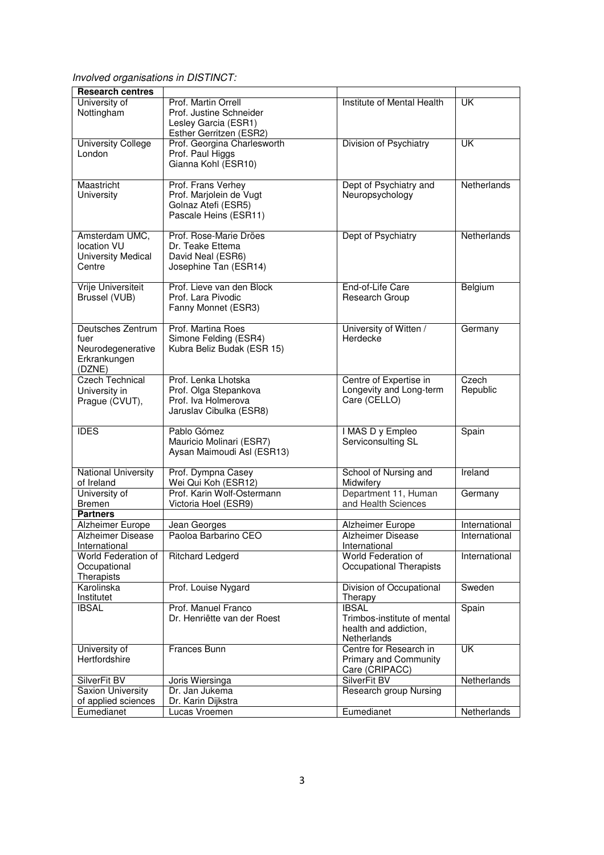*Involved organisations in DISTINCT:* 

| <b>Research centres</b>    |                                                 |                                      |               |
|----------------------------|-------------------------------------------------|--------------------------------------|---------------|
| University of              | Prof. Martin Orrell                             | Institute of Mental Health           | <b>UK</b>     |
|                            | Prof. Justine Schneider                         |                                      |               |
| Nottingham                 |                                                 |                                      |               |
|                            | Lesley Garcia (ESR1)<br>Esther Gerritzen (ESR2) |                                      |               |
| <b>University College</b>  | Prof. Georgina Charlesworth                     | Division of Psychiatry               | <b>UK</b>     |
| London                     | Prof. Paul Higgs                                |                                      |               |
|                            | Gianna Kohl (ESR10)                             |                                      |               |
|                            |                                                 |                                      |               |
| Maastricht                 | Prof. Frans Verhey                              | Dept of Psychiatry and               | Netherlands   |
| University                 | Prof. Marjolein de Vugt                         | Neuropsychology                      |               |
|                            | Golnaz Atefi (ESR5)                             |                                      |               |
|                            | Pascale Heins (ESR11)                           |                                      |               |
|                            |                                                 |                                      |               |
| Amsterdam UMC,             | Prof. Rose-Marie Dröes                          | Dept of Psychiatry                   | Netherlands   |
| location VU                | Dr. Teake Ettema                                |                                      |               |
| <b>University Medical</b>  | David Neal (ESR6)                               |                                      |               |
| Centre                     | Josephine Tan (ESR14)                           |                                      |               |
|                            |                                                 |                                      |               |
| <b>Vrije Universiteit</b>  | Prof. Lieve van den Block                       | End-of-Life Care                     | Belgium       |
| Brussel (VUB)              | Prof. Lara Pivodic                              | Research Group                       |               |
|                            | Fanny Monnet (ESR3)                             |                                      |               |
|                            |                                                 |                                      |               |
| Deutsches Zentrum          | Prof. Martina Roes                              | University of Witten /               | Germany       |
| fuer                       | Simone Felding (ESR4)                           | Herdecke                             |               |
| Neurodegenerative          | Kubra Beliz Budak (ESR 15)                      |                                      |               |
| Erkrankungen               |                                                 |                                      |               |
| (DZNE)                     |                                                 |                                      |               |
| <b>Czech Technical</b>     | Prof. Lenka Lhotska                             | Centre of Expertise in               | Czech         |
| University in              | Prof. Olga Stepankova                           | Longevity and Long-term              | Republic      |
| Prague (CVUT),             | Prof. Iva Holmerova                             | Care (CELLO)                         |               |
|                            | Jaruslav Cibulka (ESR8)                         |                                      |               |
|                            |                                                 |                                      |               |
| <b>IDES</b>                | Pablo Gómez                                     | I MAS D y Empleo                     | Spain         |
|                            | Mauricio Molinari (ESR7)                        | Serviconsulting SL                   |               |
|                            | Aysan Maimoudi Asl (ESR13)                      |                                      |               |
|                            |                                                 |                                      |               |
| <b>National University</b> | Prof. Dympna Casey                              | School of Nursing and                | Ireland       |
| of Ireland                 | Wei Qui Koh (ESR12)                             | Midwifery                            |               |
| University of              | Prof. Karin Wolf-Ostermann                      | Department 11, Human                 | Germany       |
| Bremen                     | Victoria Hoel (ESR9)                            | and Health Sciences                  |               |
| <b>Partners</b>            |                                                 |                                      |               |
| <b>Alzheimer Europe</b>    | Jean Georges                                    | Alzheimer Europe                     | International |
| <b>Alzheimer Disease</b>   | Paoloa Barbarino CEO                            | Alzheimer Disease                    | International |
| International              |                                                 | International                        |               |
| <b>World Federation of</b> | <b>Ritchard Ledgerd</b>                         | World Federation of                  | International |
| Occupational               |                                                 | Occupational Therapists              |               |
| Therapists                 |                                                 |                                      |               |
| Karolinska                 | Prof. Louise Nygard                             | Division of Occupational             | Sweden        |
| Institutet                 | Prof. Manuel Franco                             | Therapy                              |               |
| <b>IBSAL</b>               |                                                 | <b>IBSAL</b>                         | Spain         |
|                            | Dr. Henriëtte van der Roest                     | Trimbos-institute of mental          |               |
|                            |                                                 | health and addiction,<br>Netherlands |               |
| University of              | Frances Bunn                                    | Centre for Research in               | UK            |
| Hertfordshire              |                                                 | <b>Primary and Community</b>         |               |
|                            |                                                 | Care (CRIPACC)                       |               |
| SilverFit BV               | Joris Wiersinga                                 | SilverFit BV                         | Netherlands   |
| <b>Saxion University</b>   | Dr. Jan Jukema                                  | Research group Nursing               |               |
| of applied sciences        | Dr. Karin Dijkstra                              |                                      |               |
| Eumedianet                 | Lucas Vroemen                                   | Eumedianet                           | Netherlands   |
|                            |                                                 |                                      |               |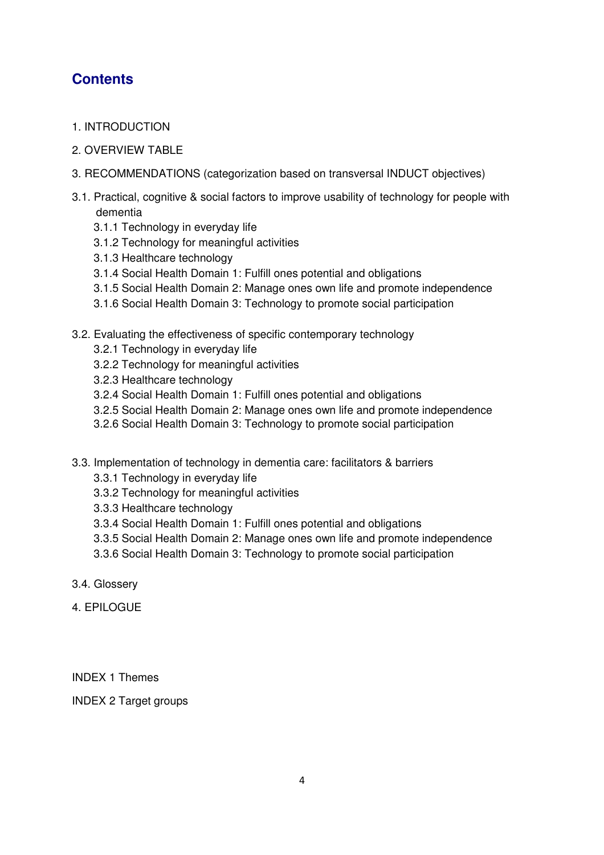# **Contents**

- 1. INTRODUCTION
- 2. OVERVIEW TABLE
- 3. RECOMMENDATIONS (categorization based on transversal INDUCT objectives)
- 3.1. Practical, cognitive & social factors to improve usability of technology for people with dementia
	- 3.1.1 Technology in everyday life
	- 3.1.2 Technology for meaningful activities
	- 3.1.3 Healthcare technology
	- 3.1.4 Social Health Domain 1: Fulfill ones potential and obligations
	- 3.1.5 Social Health Domain 2: Manage ones own life and promote independence
	- 3.1.6 Social Health Domain 3: Technology to promote social participation
- 3.2. Evaluating the effectiveness of specific contemporary technology
	- 3.2.1 Technology in everyday life
	- 3.2.2 Technology for meaningful activities
	- 3.2.3 Healthcare technology
	- 3.2.4 Social Health Domain 1: Fulfill ones potential and obligations
	- 3.2.5 Social Health Domain 2: Manage ones own life and promote independence
	- 3.2.6 Social Health Domain 3: Technology to promote social participation
- 3.3. Implementation of technology in dementia care: facilitators & barriers
	- 3.3.1 Technology in everyday life
	- 3.3.2 Technology for meaningful activities
	- 3.3.3 Healthcare technology
	- 3.3.4 Social Health Domain 1: Fulfill ones potential and obligations
	- 3.3.5 Social Health Domain 2: Manage ones own life and promote independence
	- 3.3.6 Social Health Domain 3: Technology to promote social participation
- 3.4. Glossery
- 4 FPILOGUE

INDEX 1 Themes

INDEX 2 Target groups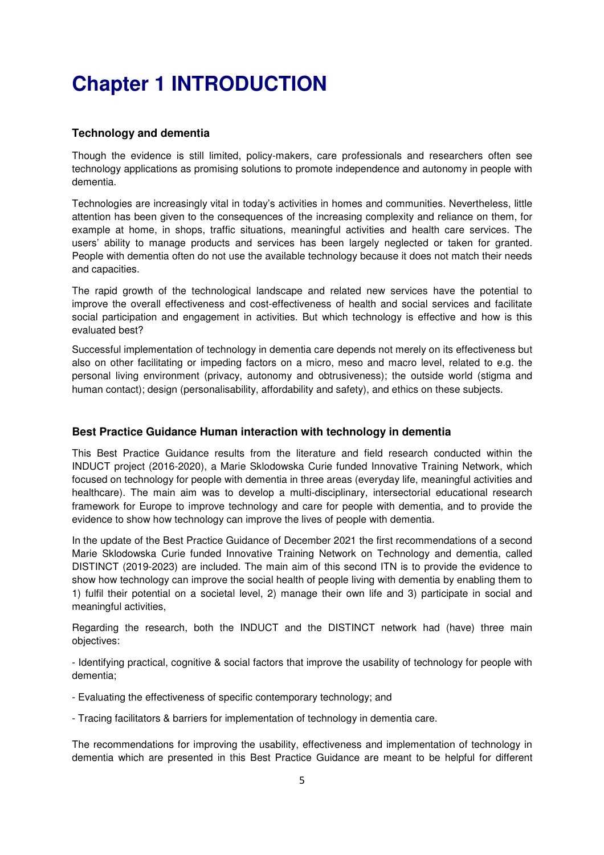# **Chapter 1 INTRODUCTION**

# **Technology and dementia**

Though the evidence is still limited, policy-makers, care professionals and researchers often see technology applications as promising solutions to promote independence and autonomy in people with dementia.

Technologies are increasingly vital in today's activities in homes and communities. Nevertheless, little attention has been given to the consequences of the increasing complexity and reliance on them, for example at home, in shops, traffic situations, meaningful activities and health care services. The users' ability to manage products and services has been largely neglected or taken for granted. People with dementia often do not use the available technology because it does not match their needs and capacities.

The rapid growth of the technological landscape and related new services have the potential to improve the overall effectiveness and cost-effectiveness of health and social services and facilitate social participation and engagement in activities. But which technology is effective and how is this evaluated best?

Successful implementation of technology in dementia care depends not merely on its effectiveness but also on other facilitating or impeding factors on a micro, meso and macro level, related to e.g. the personal living environment (privacy, autonomy and obtrusiveness); the outside world (stigma and human contact); design (personalisability, affordability and safety), and ethics on these subjects.

# **Best Practice Guidance Human interaction with technology in dementia**

This Best Practice Guidance results from the literature and field research conducted within the INDUCT project (2016-2020), a Marie Sklodowska Curie funded Innovative Training Network, which focused on technology for people with dementia in three areas (everyday life, meaningful activities and healthcare). The main aim was to develop a multi-disciplinary, intersectorial educational research framework for Europe to improve technology and care for people with dementia, and to provide the evidence to show how technology can improve the lives of people with dementia.

In the update of the Best Practice Guidance of December 2021 the first recommendations of a second Marie Sklodowska Curie funded Innovative Training Network on Technology and dementia, called DISTINCT (2019-2023) are included. The main aim of this second ITN is to provide the evidence to show how technology can improve the social health of people living with dementia by enabling them to 1) fulfil their potential on a societal level, 2) manage their own life and 3) participate in social and meaningful activities,

Regarding the research, both the INDUCT and the DISTINCT network had (have) three main objectives:

- Identifying practical, cognitive & social factors that improve the usability of technology for people with dementia;

- Evaluating the effectiveness of specific contemporary technology; and

- Tracing facilitators & barriers for implementation of technology in dementia care.

The recommendations for improving the usability, effectiveness and implementation of technology in dementia which are presented in this Best Practice Guidance are meant to be helpful for different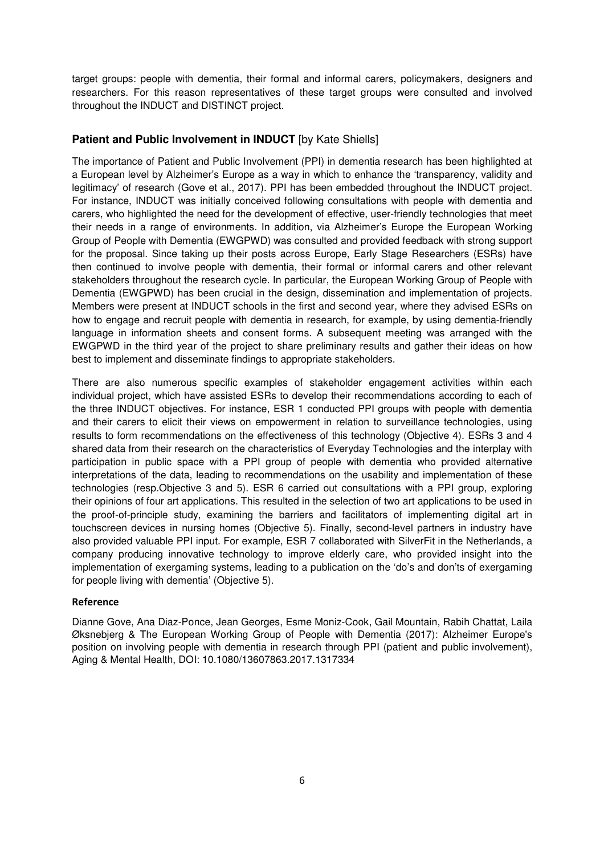target groups: people with dementia, their formal and informal carers, policymakers, designers and researchers. For this reason representatives of these target groups were consulted and involved throughout the INDUCT and DISTINCT project.

# **Patient and Public Involvement in INDUCT** [by Kate Shiells]

The importance of Patient and Public Involvement (PPI) in dementia research has been highlighted at a European level by Alzheimer's Europe as a way in which to enhance the 'transparency, validity and legitimacy' of research (Gove et al., 2017). PPI has been embedded throughout the INDUCT project. For instance, INDUCT was initially conceived following consultations with people with dementia and carers, who highlighted the need for the development of effective, user-friendly technologies that meet their needs in a range of environments. In addition, via Alzheimer's Europe the European Working Group of People with Dementia (EWGPWD) was consulted and provided feedback with strong support for the proposal. Since taking up their posts across Europe, Early Stage Researchers (ESRs) have then continued to involve people with dementia, their formal or informal carers and other relevant stakeholders throughout the research cycle. In particular, the European Working Group of People with Dementia (EWGPWD) has been crucial in the design, dissemination and implementation of projects. Members were present at INDUCT schools in the first and second year, where they advised ESRs on how to engage and recruit people with dementia in research, for example, by using dementia-friendly language in information sheets and consent forms. A subsequent meeting was arranged with the EWGPWD in the third year of the project to share preliminary results and gather their ideas on how best to implement and disseminate findings to appropriate stakeholders.

There are also numerous specific examples of stakeholder engagement activities within each individual project, which have assisted ESRs to develop their recommendations according to each of the three INDUCT objectives. For instance, ESR 1 conducted PPI groups with people with dementia and their carers to elicit their views on empowerment in relation to surveillance technologies, using results to form recommendations on the effectiveness of this technology (Objective 4). ESRs 3 and 4 shared data from their research on the characteristics of Everyday Technologies and the interplay with participation in public space with a PPI group of people with dementia who provided alternative interpretations of the data, leading to recommendations on the usability and implementation of these technologies (resp.Objective 3 and 5). ESR 6 carried out consultations with a PPI group, exploring their opinions of four art applications. This resulted in the selection of two art applications to be used in the proof-of-principle study, examining the barriers and facilitators of implementing digital art in touchscreen devices in nursing homes (Objective 5). Finally, second-level partners in industry have also provided valuable PPI input. For example, ESR 7 collaborated with SilverFit in the Netherlands, a company producing innovative technology to improve elderly care, who provided insight into the implementation of exergaming systems, leading to a publication on the 'do's and don'ts of exergaming for people living with dementia' (Objective 5).

#### **Reference**

Dianne Gove, Ana Diaz-Ponce, Jean Georges, Esme Moniz-Cook, Gail Mountain, Rabih Chattat, Laila Øksnebjerg & The European Working Group of People with Dementia (2017): Alzheimer Europe's position on involving people with dementia in research through PPI (patient and public involvement), Aging & Mental Health, DOI: 10.1080/13607863.2017.1317334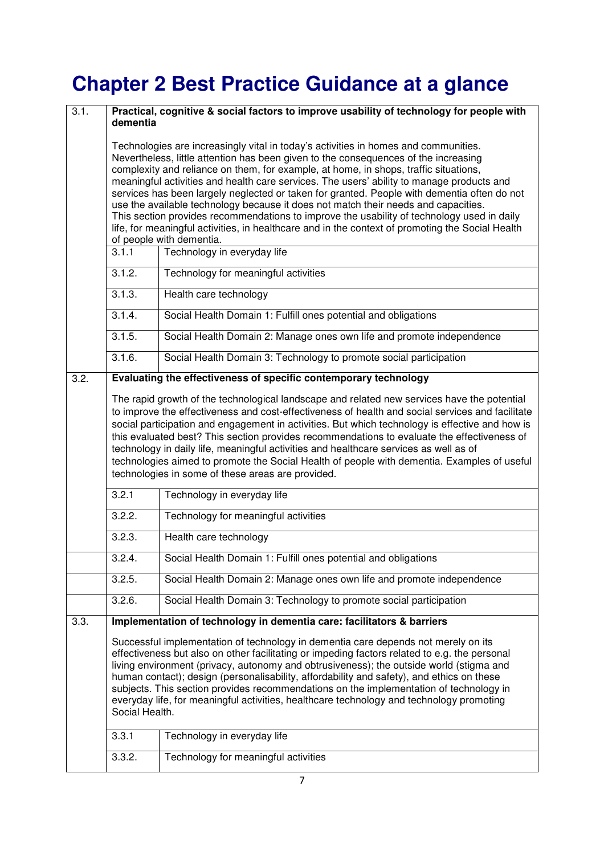# **Chapter 2 Best Practice Guidance at a glance**

| 3.1. | Practical, cognitive & social factors to improve usability of technology for people with<br>dementia                                                                                                                                                                                                                                                                                                                                                                                                                                                                                                                                                                                                                                                                               |                                                                        |  |
|------|------------------------------------------------------------------------------------------------------------------------------------------------------------------------------------------------------------------------------------------------------------------------------------------------------------------------------------------------------------------------------------------------------------------------------------------------------------------------------------------------------------------------------------------------------------------------------------------------------------------------------------------------------------------------------------------------------------------------------------------------------------------------------------|------------------------------------------------------------------------|--|
|      | Technologies are increasingly vital in today's activities in homes and communities.<br>Nevertheless, little attention has been given to the consequences of the increasing<br>complexity and reliance on them, for example, at home, in shops, traffic situations,<br>meaningful activities and health care services. The users' ability to manage products and<br>services has been largely neglected or taken for granted. People with dementia often do not<br>use the available technology because it does not match their needs and capacities.<br>This section provides recommendations to improve the usability of technology used in daily<br>life, for meaningful activities, in healthcare and in the context of promoting the Social Health<br>of people with dementia. |                                                                        |  |
|      | 3.1.1                                                                                                                                                                                                                                                                                                                                                                                                                                                                                                                                                                                                                                                                                                                                                                              | Technology in everyday life                                            |  |
|      | 3.1.2.                                                                                                                                                                                                                                                                                                                                                                                                                                                                                                                                                                                                                                                                                                                                                                             | Technology for meaningful activities                                   |  |
|      | 3.1.3.                                                                                                                                                                                                                                                                                                                                                                                                                                                                                                                                                                                                                                                                                                                                                                             | Health care technology                                                 |  |
|      | 3.1.4.                                                                                                                                                                                                                                                                                                                                                                                                                                                                                                                                                                                                                                                                                                                                                                             | Social Health Domain 1: Fulfill ones potential and obligations         |  |
|      | 3.1.5.                                                                                                                                                                                                                                                                                                                                                                                                                                                                                                                                                                                                                                                                                                                                                                             | Social Health Domain 2: Manage ones own life and promote independence  |  |
|      | 3.1.6.                                                                                                                                                                                                                                                                                                                                                                                                                                                                                                                                                                                                                                                                                                                                                                             | Social Health Domain 3: Technology to promote social participation     |  |
| 3.2. |                                                                                                                                                                                                                                                                                                                                                                                                                                                                                                                                                                                                                                                                                                                                                                                    | Evaluating the effectiveness of specific contemporary technology       |  |
|      | social participation and engagement in activities. But which technology is effective and how is<br>this evaluated best? This section provides recommendations to evaluate the effectiveness of<br>technology in daily life, meaningful activities and healthcare services as well as of<br>technologies aimed to promote the Social Health of people with dementia. Examples of useful<br>technologies in some of these areas are provided.                                                                                                                                                                                                                                                                                                                                        |                                                                        |  |
|      | 3.2.1                                                                                                                                                                                                                                                                                                                                                                                                                                                                                                                                                                                                                                                                                                                                                                              | Technology in everyday life                                            |  |
|      | 3.2.2.                                                                                                                                                                                                                                                                                                                                                                                                                                                                                                                                                                                                                                                                                                                                                                             | Technology for meaningful activities                                   |  |
|      | 3.2.3.                                                                                                                                                                                                                                                                                                                                                                                                                                                                                                                                                                                                                                                                                                                                                                             | Health care technology                                                 |  |
|      | 3.2.4.                                                                                                                                                                                                                                                                                                                                                                                                                                                                                                                                                                                                                                                                                                                                                                             | Social Health Domain 1: Fulfill ones potential and obligations         |  |
|      | 3.2.5.                                                                                                                                                                                                                                                                                                                                                                                                                                                                                                                                                                                                                                                                                                                                                                             | Social Health Domain 2: Manage ones own life and promote independence  |  |
|      | 3.2.6.                                                                                                                                                                                                                                                                                                                                                                                                                                                                                                                                                                                                                                                                                                                                                                             | Social Health Domain 3: Technology to promote social participation     |  |
| 3.3. |                                                                                                                                                                                                                                                                                                                                                                                                                                                                                                                                                                                                                                                                                                                                                                                    | Implementation of technology in dementia care: facilitators & barriers |  |
|      | Successful implementation of technology in dementia care depends not merely on its<br>effectiveness but also on other facilitating or impeding factors related to e.g. the personal<br>living environment (privacy, autonomy and obtrusiveness); the outside world (stigma and<br>human contact); design (personalisability, affordability and safety), and ethics on these<br>subjects. This section provides recommendations on the implementation of technology in<br>everyday life, for meaningful activities, healthcare technology and technology promoting<br>Social Health.                                                                                                                                                                                                |                                                                        |  |
|      | 3.3.1                                                                                                                                                                                                                                                                                                                                                                                                                                                                                                                                                                                                                                                                                                                                                                              | Technology in everyday life                                            |  |
|      | 3.3.2.                                                                                                                                                                                                                                                                                                                                                                                                                                                                                                                                                                                                                                                                                                                                                                             | Technology for meaningful activities                                   |  |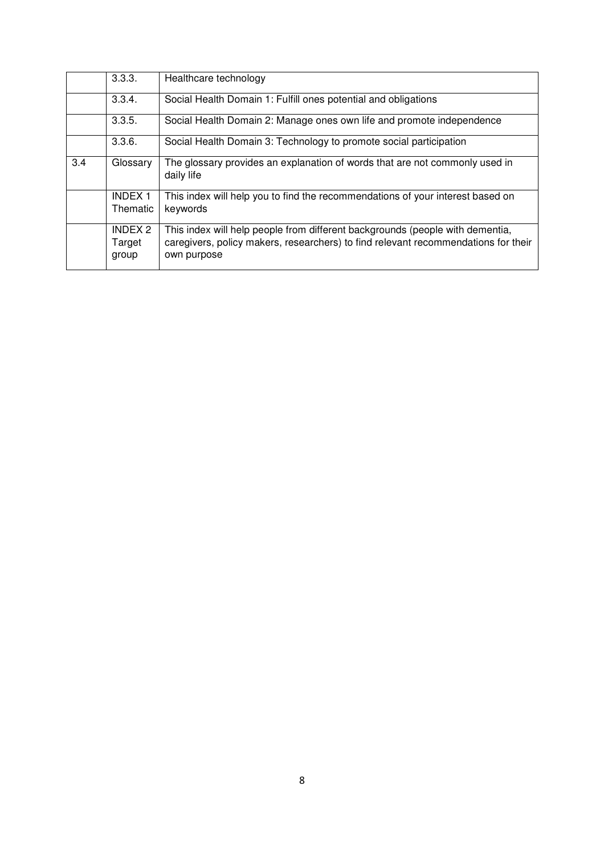|     | 3.3.3.                            | Healthcare technology                                                                                                                                                              |
|-----|-----------------------------------|------------------------------------------------------------------------------------------------------------------------------------------------------------------------------------|
|     | 3.3.4.                            | Social Health Domain 1: Fulfill ones potential and obligations                                                                                                                     |
|     | 3.3.5.                            | Social Health Domain 2: Manage ones own life and promote independence                                                                                                              |
|     | 3.3.6.                            | Social Health Domain 3: Technology to promote social participation                                                                                                                 |
| 3.4 | Glossary                          | The glossary provides an explanation of words that are not commonly used in<br>daily life                                                                                          |
|     | <b>INDEX1</b><br>Thematic         | This index will help you to find the recommendations of your interest based on<br>keywords                                                                                         |
|     | <b>INDEX 2</b><br>Target<br>group | This index will help people from different backgrounds (people with dementia,<br>caregivers, policy makers, researchers) to find relevant recommendations for their<br>own purpose |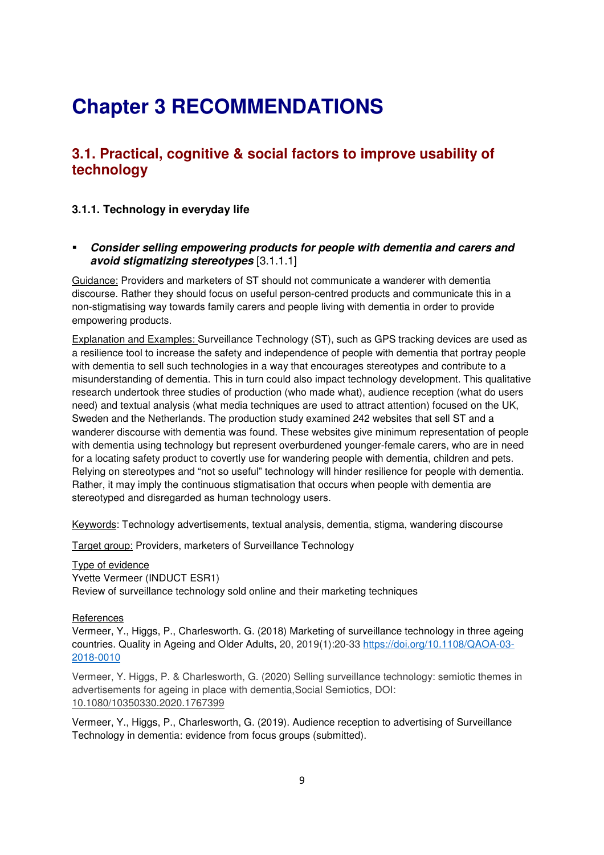# **Chapter 3 RECOMMENDATIONS**

# **3.1. Practical, cognitive & social factors to improve usability of technology**

# **3.1.1. Technology in everyday life**

 **Consider selling empowering products for people with dementia and carers and avoid stigmatizing stereotypes** [3.1.1.1]

Guidance: Providers and marketers of ST should not communicate a wanderer with dementia discourse. Rather they should focus on useful person-centred products and communicate this in a non-stigmatising way towards family carers and people living with dementia in order to provide empowering products.

Explanation and Examples: Surveillance Technology (ST), such as GPS tracking devices are used as a resilience tool to increase the safety and independence of people with dementia that portray people with dementia to sell such technologies in a way that encourages stereotypes and contribute to a misunderstanding of dementia. This in turn could also impact technology development. This qualitative research undertook three studies of production (who made what), audience reception (what do users need) and textual analysis (what media techniques are used to attract attention) focused on the UK, Sweden and the Netherlands. The production study examined 242 websites that sell ST and a wanderer discourse with dementia was found. These websites give minimum representation of people with dementia using technology but represent overburdened younger-female carers, who are in need for a locating safety product to covertly use for wandering people with dementia, children and pets. Relying on stereotypes and "not so useful" technology will hinder resilience for people with dementia. Rather, it may imply the continuous stigmatisation that occurs when people with dementia are stereotyped and disregarded as human technology users.

Keywords: Technology advertisements, textual analysis, dementia, stigma, wandering discourse

Target group: Providers, marketers of Surveillance Technology

Type of evidence Yvette Vermeer (INDUCT ESR1) Review of surveillance technology sold online and their marketing techniques

#### **References**

Vermeer, Y., Higgs, P., Charlesworth. G. (2018) Marketing of surveillance technology in three ageing countries. Quality in Ageing and Older Adults, 20, 2019(1):20-33 https://doi.org/10.1108/QAOA-03- 2018-0010

Vermeer, Y. Higgs, P. & Charlesworth, G. (2020) Selling surveillance technology: semiotic themes in advertisements for ageing in place with dementia,Social Semiotics, DOI: 10.1080/10350330.2020.1767399

Vermeer, Y., Higgs, P., Charlesworth, G. (2019). Audience reception to advertising of Surveillance Technology in dementia: evidence from focus groups (submitted).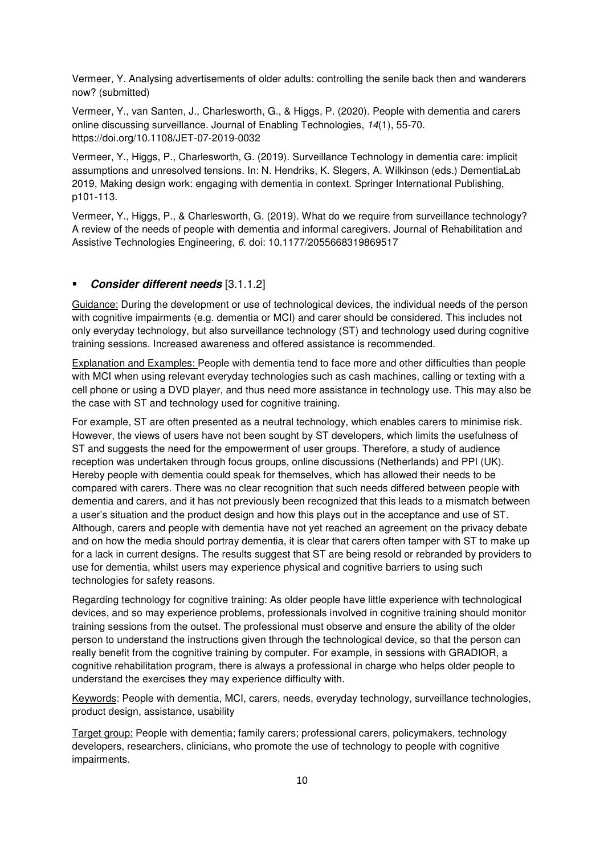Vermeer, Y. Analysing advertisements of older adults: controlling the senile back then and wanderers now? (submitted)

Vermeer, Y., van Santen, J., Charlesworth, G., & Higgs, P. (2020). People with dementia and carers online discussing surveillance. Journal of Enabling Technologies, *14*(1), 55-70. https://doi.org/10.1108/JET-07-2019-0032

Vermeer, Y., Higgs, P., Charlesworth, G. (2019). Surveillance Technology in dementia care: implicit assumptions and unresolved tensions. In: N. Hendriks, K. Slegers, A. Wilkinson (eds.) DementiaLab 2019, Making design work: engaging with dementia in context. Springer International Publishing, p101-113.

Vermeer, Y., Higgs, P., & Charlesworth, G. (2019). What do we require from surveillance technology? A review of the needs of people with dementia and informal caregivers. Journal of Rehabilitation and Assistive Technologies Engineering, *6*. doi: 10.1177/2055668319869517

# **Consider different needs** [3.1.1.2]

Guidance: During the development or use of technological devices, the individual needs of the person with cognitive impairments (e.g. dementia or MCI) and carer should be considered. This includes not only everyday technology, but also surveillance technology (ST) and technology used during cognitive training sessions. Increased awareness and offered assistance is recommended.

Explanation and Examples: People with dementia tend to face more and other difficulties than people with MCI when using relevant everyday technologies such as cash machines, calling or texting with a cell phone or using a DVD player, and thus need more assistance in technology use. This may also be the case with ST and technology used for cognitive training.

For example, ST are often presented as a neutral technology, which enables carers to minimise risk. However, the views of users have not been sought by ST developers, which limits the usefulness of ST and suggests the need for the empowerment of user groups. Therefore, a study of audience reception was undertaken through focus groups, online discussions (Netherlands) and PPI (UK). Hereby people with dementia could speak for themselves, which has allowed their needs to be compared with carers. There was no clear recognition that such needs differed between people with dementia and carers, and it has not previously been recognized that this leads to a mismatch between a user's situation and the product design and how this plays out in the acceptance and use of ST. Although, carers and people with dementia have not yet reached an agreement on the privacy debate and on how the media should portray dementia, it is clear that carers often tamper with ST to make up for a lack in current designs. The results suggest that ST are being resold or rebranded by providers to use for dementia, whilst users may experience physical and cognitive barriers to using such technologies for safety reasons.

Regarding technology for cognitive training: As older people have little experience with technological devices, and so may experience problems, professionals involved in cognitive training should monitor training sessions from the outset. The professional must observe and ensure the ability of the older person to understand the instructions given through the technological device, so that the person can really benefit from the cognitive training by computer. For example, in sessions with GRADIOR, a cognitive rehabilitation program, there is always a professional in charge who helps older people to understand the exercises they may experience difficulty with.

Keywords: People with dementia, MCI, carers, needs, everyday technology, surveillance technologies, product design, assistance, usability

Target group: People with dementia; family carers; professional carers, policymakers, technology developers, researchers, clinicians, who promote the use of technology to people with cognitive impairments.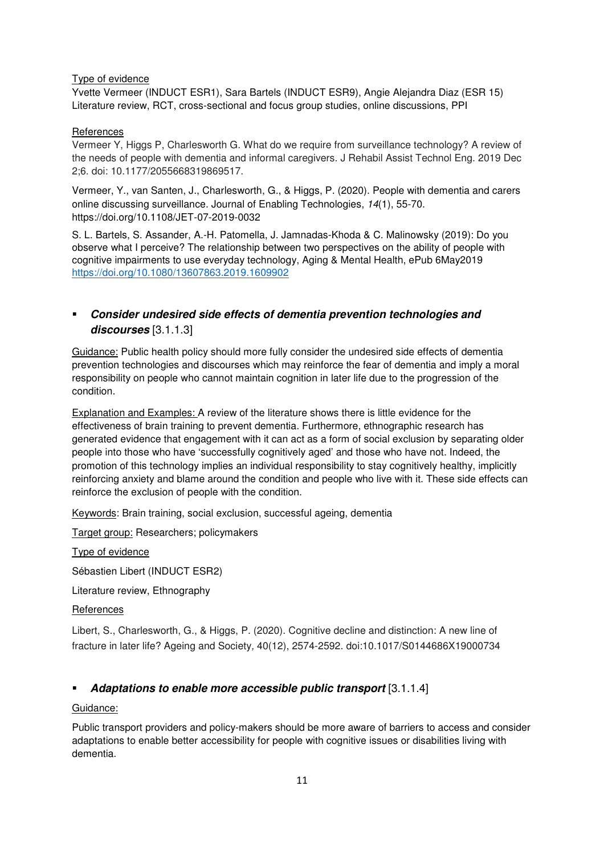# Type of evidence

Yvette Vermeer (INDUCT ESR1), Sara Bartels (INDUCT ESR9), Angie Alejandra Diaz (ESR 15) Literature review, RCT, cross-sectional and focus group studies, online discussions, PPI

#### References

Vermeer Y, Higgs P, Charlesworth G. What do we require from surveillance technology? A review of the needs of people with dementia and informal caregivers. J Rehabil Assist Technol Eng. 2019 Dec 2;6. doi: 10.1177/2055668319869517.

Vermeer, Y., van Santen, J., Charlesworth, G., & Higgs, P. (2020). People with dementia and carers online discussing surveillance. Journal of Enabling Technologies, *14*(1), 55-70. https://doi.org/10.1108/JET-07-2019-0032

S. L. Bartels, S. Assander, A.-H. Patomella, J. Jamnadas-Khoda & C. Malinowsky (2019): Do you observe what I perceive? The relationship between two perspectives on the ability of people with cognitive impairments to use everyday technology, Aging & Mental Health, ePub 6May2019 https://doi.org/10.1080/13607863.2019.1609902

# **Consider undesired side effects of dementia prevention technologies and discourses** [3.1.1.3]

Guidance: Public health policy should more fully consider the undesired side effects of dementia prevention technologies and discourses which may reinforce the fear of dementia and imply a moral responsibility on people who cannot maintain cognition in later life due to the progression of the condition.

Explanation and Examples: A review of the literature shows there is little evidence for the effectiveness of brain training to prevent dementia. Furthermore, ethnographic research has generated evidence that engagement with it can act as a form of social exclusion by separating older people into those who have 'successfully cognitively aged' and those who have not. Indeed, the promotion of this technology implies an individual responsibility to stay cognitively healthy, implicitly reinforcing anxiety and blame around the condition and people who live with it. These side effects can reinforce the exclusion of people with the condition.

Keywords: Brain training, social exclusion, successful ageing, dementia

Target group: Researchers; policymakers

Type of evidence

Sébastien Libert (INDUCT ESR2)

Literature review, Ethnography

# References

Libert, S., Charlesworth, G., & Higgs, P. (2020). Cognitive decline and distinction: A new line of fracture in later life? Ageing and Society*,* 40(12), 2574-2592. doi:10.1017/S0144686X19000734

# **Adaptations to enable more accessible public transport** [3.1.1.4]

# Guidance:

Public transport providers and policy-makers should be more aware of barriers to access and consider adaptations to enable better accessibility for people with cognitive issues or disabilities living with dementia.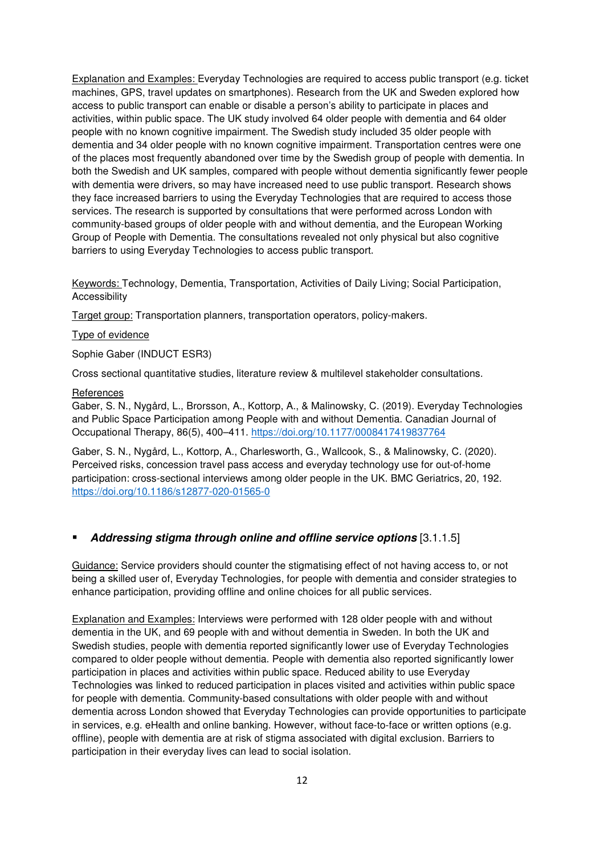Explanation and Examples: Everyday Technologies are required to access public transport (e.g. ticket machines, GPS, travel updates on smartphones). Research from the UK and Sweden explored how access to public transport can enable or disable a person's ability to participate in places and activities, within public space. The UK study involved 64 older people with dementia and 64 older people with no known cognitive impairment. The Swedish study included 35 older people with dementia and 34 older people with no known cognitive impairment. Transportation centres were one of the places most frequently abandoned over time by the Swedish group of people with dementia. In both the Swedish and UK samples, compared with people without dementia significantly fewer people with dementia were drivers, so may have increased need to use public transport. Research shows they face increased barriers to using the Everyday Technologies that are required to access those services. The research is supported by consultations that were performed across London with community-based groups of older people with and without dementia, and the European Working Group of People with Dementia. The consultations revealed not only physical but also cognitive barriers to using Everyday Technologies to access public transport.

Keywords: Technology, Dementia, Transportation, Activities of Daily Living; Social Participation, Accessibility

Target group: Transportation planners, transportation operators, policy-makers.

#### Type of evidence

Sophie Gaber (INDUCT ESR3)

Cross sectional quantitative studies, literature review & multilevel stakeholder consultations.

#### **References**

Gaber, S. N., Nygård, L., Brorsson, A., Kottorp, A., & Malinowsky, C. (2019). Everyday Technologies and Public Space Participation among People with and without Dementia. Canadian Journal of Occupational Therapy, 86(5), 400–411. https://doi.org/10.1177/0008417419837764

Gaber, S. N., Nygård, L., Kottorp, A., Charlesworth, G., Wallcook, S., & Malinowsky, C. (2020). Perceived risks, concession travel pass access and everyday technology use for out-of-home participation: cross-sectional interviews among older people in the UK. BMC Geriatrics, 20, 192. https://doi.org/10.1186/s12877-020-01565-0

#### **Addressing stigma through online and offline service options** [3.1.1.5]

Guidance: Service providers should counter the stigmatising effect of not having access to, or not being a skilled user of, Everyday Technologies, for people with dementia and consider strategies to enhance participation, providing offline and online choices for all public services.

Explanation and Examples: Interviews were performed with 128 older people with and without dementia in the UK, and 69 people with and without dementia in Sweden. In both the UK and Swedish studies, people with dementia reported significantly lower use of Everyday Technologies compared to older people without dementia. People with dementia also reported significantly lower participation in places and activities within public space. Reduced ability to use Everyday Technologies was linked to reduced participation in places visited and activities within public space for people with dementia. Community-based consultations with older people with and without dementia across London showed that Everyday Technologies can provide opportunities to participate in services, e.g. eHealth and online banking. However, without face-to-face or written options (e.g. offline), people with dementia are at risk of stigma associated with digital exclusion. Barriers to participation in their everyday lives can lead to social isolation.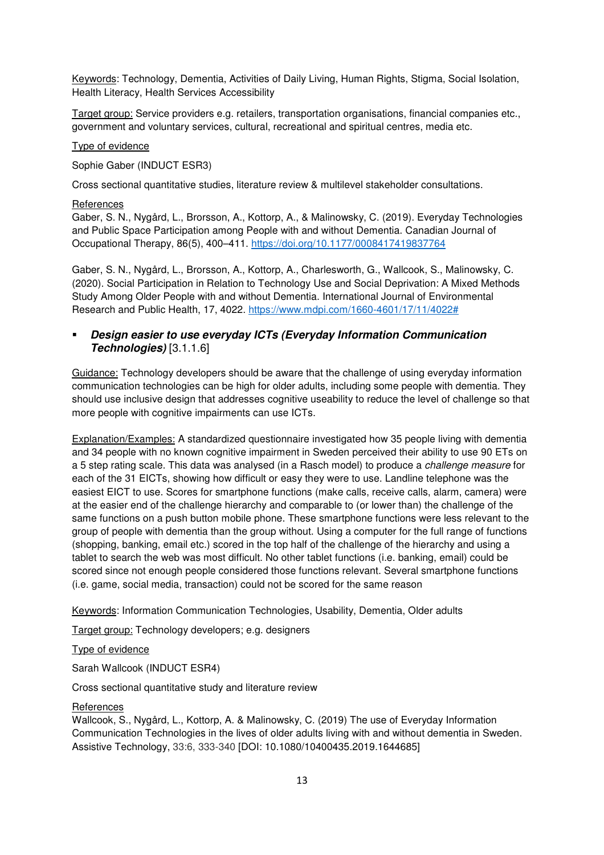Keywords: Technology, Dementia, Activities of Daily Living, Human Rights, Stigma, Social Isolation, Health Literacy, Health Services Accessibility

Target group: Service providers e.g. retailers, transportation organisations, financial companies etc., government and voluntary services, cultural, recreational and spiritual centres, media etc.

#### Type of evidence

Sophie Gaber (INDUCT ESR3)

Cross sectional quantitative studies, literature review & multilevel stakeholder consultations.

#### **References**

Gaber, S. N., Nygård, L., Brorsson, A., Kottorp, A., & Malinowsky, C. (2019). Everyday Technologies and Public Space Participation among People with and without Dementia. Canadian Journal of Occupational Therapy, 86(5), 400–411. https://doi.org/10.1177/0008417419837764

Gaber, S. N., Nygård, L., Brorsson, A., Kottorp, A., Charlesworth, G., Wallcook, S., Malinowsky, C. (2020). Social Participation in Relation to Technology Use and Social Deprivation: A Mixed Methods Study Among Older People with and without Dementia. International Journal of Environmental Research and Public Health, 17, 4022. https://www.mdpi.com/1660-4601/17/11/4022#

# **Design easier to use everyday ICTs (Everyday Information Communication Technologies)** [3.1.1.6]

Guidance: Technology developers should be aware that the challenge of using everyday information communication technologies can be high for older adults, including some people with dementia. They should use inclusive design that addresses cognitive useability to reduce the level of challenge so that more people with cognitive impairments can use ICTs.

Explanation/Examples: A standardized questionnaire investigated how 35 people living with dementia and 34 people with no known cognitive impairment in Sweden perceived their ability to use 90 ETs on a 5 step rating scale. This data was analysed (in a Rasch model) to produce a *challenge measure* for each of the 31 EICTs, showing how difficult or easy they were to use. Landline telephone was the easiest EICT to use. Scores for smartphone functions (make calls, receive calls, alarm, camera) were at the easier end of the challenge hierarchy and comparable to (or lower than) the challenge of the same functions on a push button mobile phone. These smartphone functions were less relevant to the group of people with dementia than the group without. Using a computer for the full range of functions (shopping, banking, email etc.) scored in the top half of the challenge of the hierarchy and using a tablet to search the web was most difficult. No other tablet functions (i.e. banking, email) could be scored since not enough people considered those functions relevant. Several smartphone functions (i.e. game, social media, transaction) could not be scored for the same reason

Keywords: Information Communication Technologies, Usability, Dementia, Older adults

Target group: Technology developers; e.g. designers

# Type of evidence

Sarah Wallcook (INDUCT ESR4)

Cross sectional quantitative study and literature review

#### **References**

Wallcook, S., Nygård, L., Kottorp, A. & Malinowsky, C. (2019) The use of Everyday Information Communication Technologies in the lives of older adults living with and without dementia in Sweden. Assistive Technology, 33:6, 333-340 [DOI: 10.1080/10400435.2019.1644685]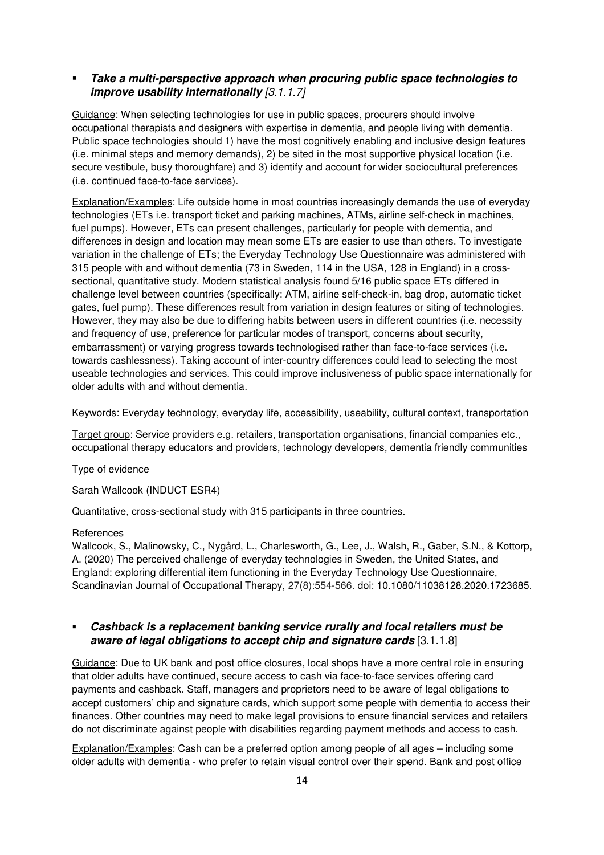# **Take a multi-perspective approach when procuring public space technologies to improve usability internationally** *[3.1.1.7]*

Guidance: When selecting technologies for use in public spaces, procurers should involve occupational therapists and designers with expertise in dementia, and people living with dementia. Public space technologies should 1) have the most cognitively enabling and inclusive design features (i.e. minimal steps and memory demands), 2) be sited in the most supportive physical location (i.e. secure vestibule, busy thoroughfare) and 3) identify and account for wider sociocultural preferences (i.e. continued face-to-face services).

Explanation/Examples: Life outside home in most countries increasingly demands the use of everyday technologies (ETs i.e. transport ticket and parking machines, ATMs, airline self-check in machines, fuel pumps). However, ETs can present challenges, particularly for people with dementia, and differences in design and location may mean some ETs are easier to use than others. To investigate variation in the challenge of ETs; the Everyday Technology Use Questionnaire was administered with 315 people with and without dementia (73 in Sweden, 114 in the USA, 128 in England) in a crosssectional, quantitative study. Modern statistical analysis found 5/16 public space ETs differed in challenge level between countries (specifically: ATM, airline self-check-in, bag drop, automatic ticket gates, fuel pump). These differences result from variation in design features or siting of technologies. However, they may also be due to differing habits between users in different countries (i.e. necessity and frequency of use, preference for particular modes of transport, concerns about security, embarrassment) or varying progress towards technologised rather than face-to-face services (i.e. towards cashlessness). Taking account of inter-country differences could lead to selecting the most useable technologies and services. This could improve inclusiveness of public space internationally for older adults with and without dementia.

Keywords: Everyday technology, everyday life, accessibility, useability, cultural context, transportation

Target group: Service providers e.g. retailers, transportation organisations, financial companies etc., occupational therapy educators and providers, technology developers, dementia friendly communities

#### Type of evidence

Sarah Wallcook (INDUCT ESR4)

Quantitative, cross-sectional study with 315 participants in three countries.

#### References

Wallcook, S., Malinowsky, C., Nygård, L., Charlesworth, G., Lee, J., Walsh, R., Gaber, S.N., & Kottorp, A. (2020) The perceived challenge of everyday technologies in Sweden, the United States, and England: exploring differential item functioning in the Everyday Technology Use Questionnaire, Scandinavian Journal of Occupational Therapy, 27(8):554-566. doi: 10.1080/11038128.2020.1723685.

# **Cashback is a replacement banking service rurally and local retailers must be aware of legal obligations to accept chip and signature cards** [3.1.1.8]

Guidance: Due to UK bank and post office closures, local shops have a more central role in ensuring that older adults have continued, secure access to cash via face-to-face services offering card payments and cashback. Staff, managers and proprietors need to be aware of legal obligations to accept customers' chip and signature cards, which support some people with dementia to access their finances. Other countries may need to make legal provisions to ensure financial services and retailers do not discriminate against people with disabilities regarding payment methods and access to cash.

Explanation/Examples: Cash can be a preferred option among people of all ages – including some older adults with dementia - who prefer to retain visual control over their spend. Bank and post office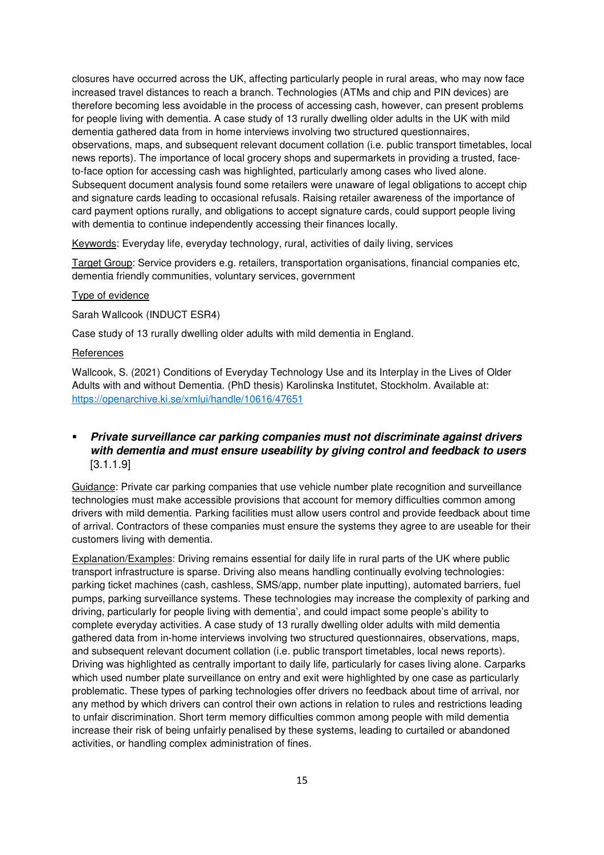closures have occurred across the UK, affecting particularly people in rural areas, who may now face increased travel distances to reach a branch. Technologies (ATMs and chip and PIN devices) are therefore becoming less avoidable in the process of accessing cash, however, can present problems for people living with dementia. A case study of 13 rurally dwelling older adults in the UK with mild dementia gathered data from in home interviews involving two structured questionnaires, observations, maps, and subsequent relevant document collation (i.e. public transport timetables, local news reports). The importance of local grocery shops and supermarkets in providing a trusted, faceto-face option for accessing cash was highlighted, particularly among cases who lived alone. Subsequent document analysis found some retailers were unaware of legal obligations to accept chip and signature cards leading to occasional refusals. Raising retailer awareness of the importance of card payment options rurally, and obligations to accept signature cards, could support people living with dementia to continue independently accessing their finances locally.

Keywords: Everyday life, everyday technology, rural, activities of daily living, services

Target Group: Service providers e.g. retailers, transportation organisations, financial companies etc, dementia friendly communities, voluntary services, government

#### Type of evidence

Sarah Wallcook (INDUCT ESR4)

Case study of 13 rurally dwelling older adults with mild dementia in England.

#### **References**

Wallcook, S. (2021) Conditions of Everyday Technology Use and its Interplay in the Lives of Older Adults with and without Dementia. (PhD thesis) Karolinska Institutet, Stockholm. Available at: https://openarchive.ki.se/xmlui/handle/10616/47651

# **Private surveillance car parking companies must not discriminate against drivers with dementia and must ensure useability by giving control and feedback to users** [3.1.1.9]

Guidance: Private car parking companies that use vehicle number plate recognition and surveillance technologies must make accessible provisions that account for memory difficulties common among drivers with mild dementia. Parking facilities must allow users control and provide feedback about time of arrival. Contractors of these companies must ensure the systems they agree to are useable for their customers living with dementia.

Explanation/Examples: Driving remains essential for daily life in rural parts of the UK where public transport infrastructure is sparse. Driving also means handling continually evolving technologies: parking ticket machines (cash, cashless, SMS/app, number plate inputting), automated barriers, fuel pumps, parking surveillance systems. These technologies may increase the complexity of parking and driving, particularly for people living with dementia', and could impact some people's ability to complete everyday activities. A case study of 13 rurally dwelling older adults with mild dementia gathered data from in-home interviews involving two structured questionnaires, observations, maps, and subsequent relevant document collation (i.e. public transport timetables, local news reports). Driving was highlighted as centrally important to daily life, particularly for cases living alone. Carparks which used number plate surveillance on entry and exit were highlighted by one case as particularly problematic. These types of parking technologies offer drivers no feedback about time of arrival, nor any method by which drivers can control their own actions in relation to rules and restrictions leading to unfair discrimination. Short term memory difficulties common among people with mild dementia increase their risk of being unfairly penalised by these systems, leading to curtailed or abandoned activities, or handling complex administration of fines.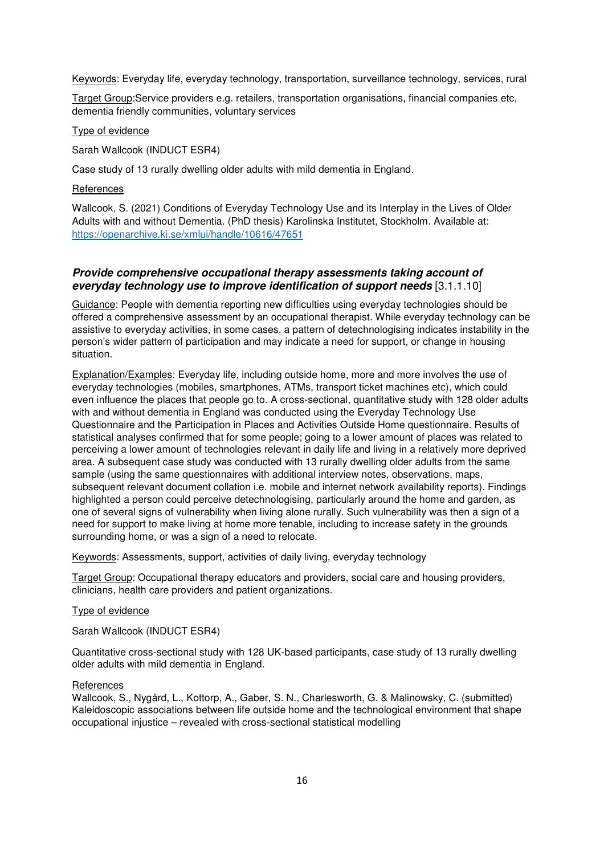Keywords: Everyday life, everyday technology, transportation, surveillance technology, services, rural

Target Group:Service providers e.g. retailers, transportation organisations, financial companies etc, dementia friendly communities, voluntary services

Type of evidence

Sarah Wallcook (INDUCT ESR4)

Case study of 13 rurally dwelling older adults with mild dementia in England.

#### **References**

Wallcook, S. (2021) Conditions of Everyday Technology Use and its Interplay in the Lives of Older Adults with and without Dementia. (PhD thesis) Karolinska Institutet, Stockholm. Available at: https://openarchive.ki.se/xmlui/handle/10616/47651

# **Provide comprehensive occupational therapy assessments taking account of everyday technology use to improve identification of support needs** [3.1.1.10]

Guidance: People with dementia reporting new difficulties using everyday technologies should be offered a comprehensive assessment by an occupational therapist. While everyday technology can be assistive to everyday activities, in some cases, a pattern of detechnologising indicates instability in the person's wider pattern of participation and may indicate a need for support, or change in housing situation.

Explanation/Examples: Everyday life, including outside home, more and more involves the use of everyday technologies (mobiles, smartphones, ATMs, transport ticket machines etc), which could even influence the places that people go to. A cross-sectional, quantitative study with 128 older adults with and without dementia in England was conducted using the Everyday Technology Use Questionnaire and the Participation in Places and Activities Outside Home questionnaire. Results of statistical analyses confirmed that for some people; going to a lower amount of places was related to perceiving a lower amount of technologies relevant in daily life and living in a relatively more deprived area. A subsequent case study was conducted with 13 rurally dwelling older adults from the same sample (using the same questionnaires with additional interview notes, observations, maps, subsequent relevant document collation i.e. mobile and internet network availability reports). Findings highlighted a person could perceive detechnologising, particularly around the home and garden, as one of several signs of vulnerability when living alone rurally. Such vulnerability was then a sign of a need for support to make living at home more tenable, including to increase safety in the grounds surrounding home, or was a sign of a need to relocate.

Keywords: Assessments, support, activities of daily living, everyday technology

Target Group: Occupational therapy educators and providers, social care and housing providers, clinicians, health care providers and patient organizations.

#### Type of evidence

Sarah Wallcook (INDUCT ESR4)

Quantitative cross-sectional study with 128 UK-based participants, case study of 13 rurally dwelling older adults with mild dementia in England.

#### **References**

Wallcook, S., Nygård, L., Kottorp, A., Gaber, S. N., Charlesworth, G. & Malinowsky, C. (submitted) Kaleidoscopic associations between life outside home and the technological environment that shape occupational injustice – revealed with cross-sectional statistical modelling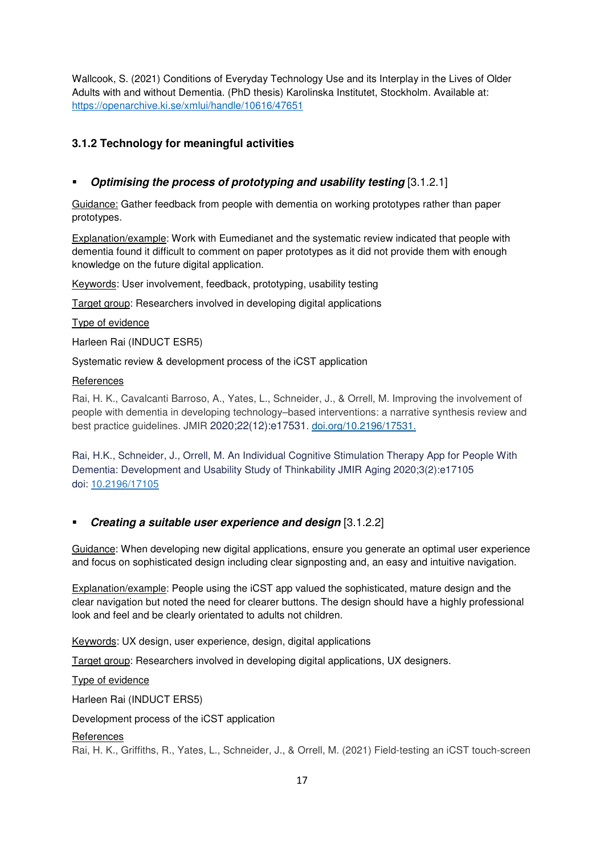Wallcook, S. (2021) Conditions of Everyday Technology Use and its Interplay in the Lives of Older Adults with and without Dementia. (PhD thesis) Karolinska Institutet, Stockholm. Available at: https://openarchive.ki.se/xmlui/handle/10616/47651

# **3.1.2 Technology for meaningful activities**

# **Optimising the process of prototyping and usability testing** [3.1.2.1]

Guidance: Gather feedback from people with dementia on working prototypes rather than paper prototypes.

Explanation/example: Work with Eumedianet and the systematic review indicated that people with dementia found it difficult to comment on paper prototypes as it did not provide them with enough knowledge on the future digital application.

Keywords: User involvement, feedback, prototyping, usability testing

Target group: Researchers involved in developing digital applications

#### Type of evidence

Harleen Rai (INDUCT ESR5)

Systematic review & development process of the iCST application

#### References

Rai, H. K., Cavalcanti Barroso, A., Yates, L., Schneider, J., & Orrell, M. Improving the involvement of people with dementia in developing technology–based interventions: a narrative synthesis review and best practice guidelines. JMIR 2020;22(12):e17531. doi.org/10.2196/17531.

Rai, H.K., Schneider, J., Orrell, M. An Individual Cognitive Stimulation Therapy App for People With Dementia: Development and Usability Study of Thinkability JMIR Aging 2020;3(2):e17105 doi: 10.2196/17105

# **Creating a suitable user experience and design** [3.1.2.2]

Guidance: When developing new digital applications, ensure you generate an optimal user experience and focus on sophisticated design including clear signposting and, an easy and intuitive navigation.

Explanation/example: People using the iCST app valued the sophisticated, mature design and the clear navigation but noted the need for clearer buttons. The design should have a highly professional look and feel and be clearly orientated to adults not children.

Keywords: UX design, user experience, design, digital applications

Target group: Researchers involved in developing digital applications, UX designers.

Type of evidence

Harleen Rai (INDUCT ERS5)

Development process of the iCST application

#### **References**

Rai, H. K., Griffiths, R., Yates, L., Schneider, J., & Orrell, M. (2021) Field-testing an iCST touch-screen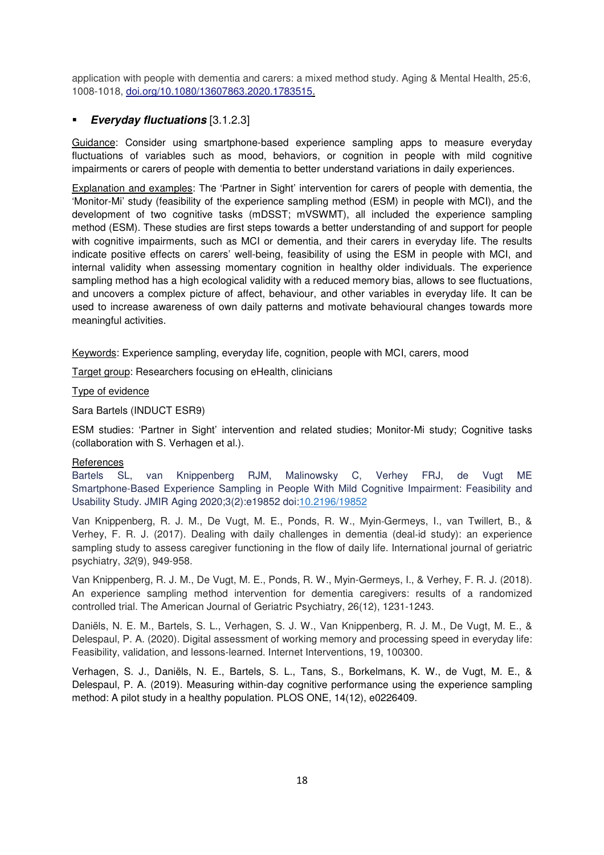application with people with dementia and carers: a mixed method study. Aging & Mental Health, 25:6, 1008-1018, doi.org/10.1080/13607863.2020.1783515.

# **Everyday fluctuations** [3.1.2.3]

Guidance: Consider using smartphone-based experience sampling apps to measure everyday fluctuations of variables such as mood, behaviors, or cognition in people with mild cognitive impairments or carers of people with dementia to better understand variations in daily experiences.

Explanation and examples: The 'Partner in Sight' intervention for carers of people with dementia, the 'Monitor-Mi' study (feasibility of the experience sampling method (ESM) in people with MCI), and the development of two cognitive tasks (mDSST; mVSWMT), all included the experience sampling method (ESM). These studies are first steps towards a better understanding of and support for people with cognitive impairments, such as MCI or dementia, and their carers in everyday life. The results indicate positive effects on carers' well-being, feasibility of using the ESM in people with MCI, and internal validity when assessing momentary cognition in healthy older individuals. The experience sampling method has a high ecological validity with a reduced memory bias, allows to see fluctuations, and uncovers a complex picture of affect, behaviour, and other variables in everyday life. It can be used to increase awareness of own daily patterns and motivate behavioural changes towards more meaningful activities.

Keywords: Experience sampling, everyday life, cognition, people with MCI, carers, mood

Target group: Researchers focusing on eHealth, clinicians

#### Type of evidence

Sara Bartels (INDUCT ESR9)

ESM studies: 'Partner in Sight' intervention and related studies; Monitor-Mi study; Cognitive tasks (collaboration with S. Verhagen et al.).

# References

Bartels SL, van Knippenberg RJM, Malinowsky C, Verhey FRJ, de Vugt ME Smartphone-Based Experience Sampling in People With Mild Cognitive Impairment: Feasibility and Usability Study. JMIR Aging 2020;3(2):e19852 doi:10.2196/19852

Van Knippenberg, R. J. M., De Vugt, M. E., Ponds, R. W., Myin‐Germeys, I., van Twillert, B., & Verhey, F. R. J. (2017). Dealing with daily challenges in dementia (deal‐id study): an experience sampling study to assess caregiver functioning in the flow of daily life. International journal of geriatric psychiatry, *32*(9), 949-958.

Van Knippenberg, R. J. M., De Vugt, M. E., Ponds, R. W., Myin-Germeys, I., & Verhey, F. R. J. (2018). An experience sampling method intervention for dementia caregivers: results of a randomized controlled trial. The American Journal of Geriatric Psychiatry, 26(12), 1231-1243.

Daniëls, N. E. M., Bartels, S. L., Verhagen, S. J. W., Van Knippenberg, R. J. M., De Vugt, M. E., & Delespaul, P. A. (2020). Digital assessment of working memory and processing speed in everyday life: Feasibility, validation, and lessons-learned. Internet Interventions, 19, 100300.

Verhagen, S. J., Daniëls, N. E., Bartels, S. L., Tans, S., Borkelmans, K. W., de Vugt, M. E., & Delespaul, P. A. (2019). Measuring within-day cognitive performance using the experience sampling method: A pilot study in a healthy population. PLOS ONE, 14(12), e0226409.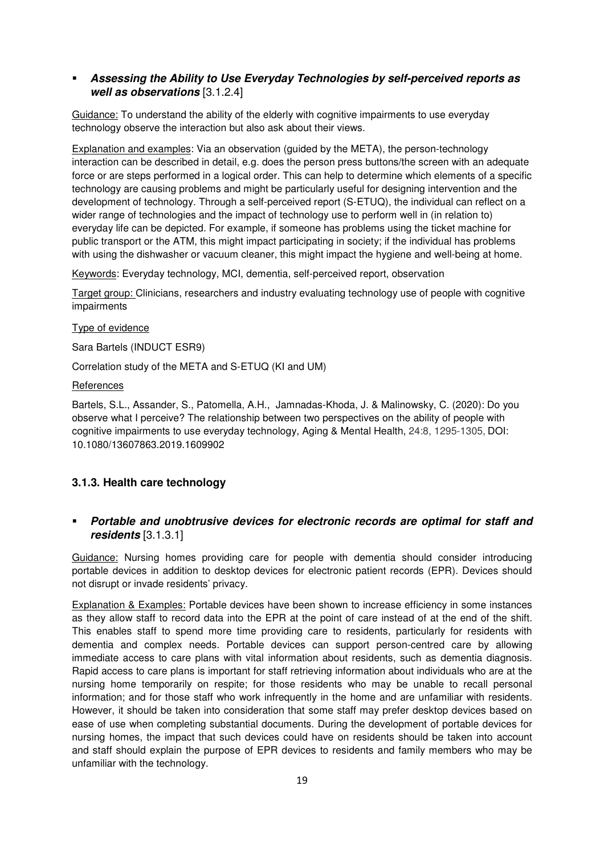# **Assessing the Ability to Use Everyday Technologies by self-perceived reports as well as observations** [3.1.2.4]

Guidance: To understand the ability of the elderly with cognitive impairments to use everyday technology observe the interaction but also ask about their views.

Explanation and examples: Via an observation (guided by the META), the person-technology interaction can be described in detail, e.g. does the person press buttons/the screen with an adequate force or are steps performed in a logical order. This can help to determine which elements of a specific technology are causing problems and might be particularly useful for designing intervention and the development of technology. Through a self-perceived report (S-ETUQ), the individual can reflect on a wider range of technologies and the impact of technology use to perform well in (in relation to) everyday life can be depicted. For example, if someone has problems using the ticket machine for public transport or the ATM, this might impact participating in society; if the individual has problems with using the dishwasher or vacuum cleaner, this might impact the hygiene and well-being at home.

Keywords: Everyday technology, MCI, dementia, self-perceived report, observation

Target group: Clinicians, researchers and industry evaluating technology use of people with cognitive impairments

#### Type of evidence

Sara Bartels (INDUCT ESR9)

Correlation study of the META and S-ETUQ (KI and UM)

#### **References**

Bartels, S.L., Assander, S., Patomella, A.H., Jamnadas-Khoda, J. & Malinowsky, C. (2020): Do you observe what I perceive? The relationship between two perspectives on the ability of people with cognitive impairments to use everyday technology, Aging & Mental Health, 24:8, 1295-1305, DOI: 10.1080/13607863.2019.1609902

# **3.1.3. Health care technology**

# **Portable and unobtrusive devices for electronic records are optimal for staff and residents** [3.1.3.1]

Guidance: Nursing homes providing care for people with dementia should consider introducing portable devices in addition to desktop devices for electronic patient records (EPR). Devices should not disrupt or invade residents' privacy.

Explanation & Examples: Portable devices have been shown to increase efficiency in some instances as they allow staff to record data into the EPR at the point of care instead of at the end of the shift. This enables staff to spend more time providing care to residents, particularly for residents with dementia and complex needs. Portable devices can support person-centred care by allowing immediate access to care plans with vital information about residents, such as dementia diagnosis. Rapid access to care plans is important for staff retrieving information about individuals who are at the nursing home temporarily on respite; for those residents who may be unable to recall personal information; and for those staff who work infrequently in the home and are unfamiliar with residents. However, it should be taken into consideration that some staff may prefer desktop devices based on ease of use when completing substantial documents. During the development of portable devices for nursing homes, the impact that such devices could have on residents should be taken into account and staff should explain the purpose of EPR devices to residents and family members who may be unfamiliar with the technology.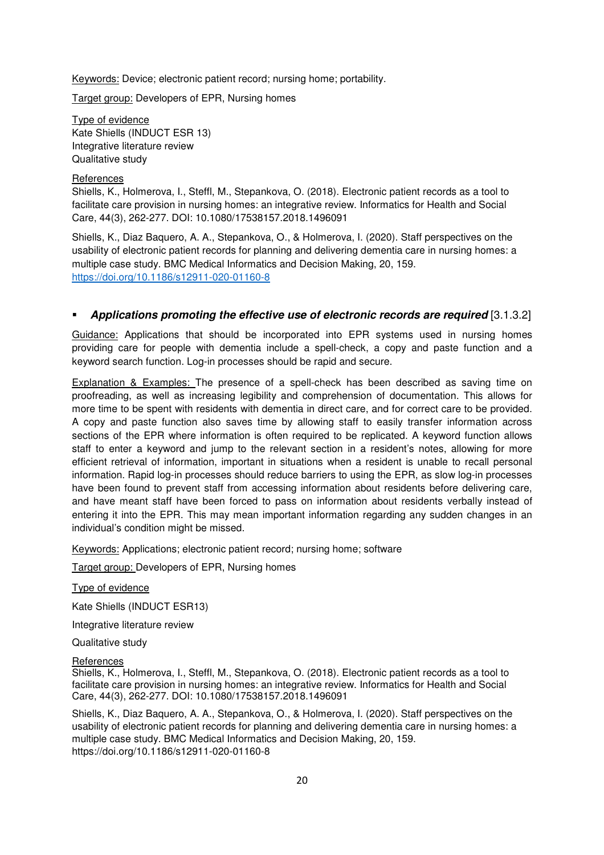Keywords: Device; electronic patient record; nursing home; portability.

Target group: Developers of EPR, Nursing homes

Type of evidence Kate Shiells (INDUCT ESR 13) Integrative literature review Qualitative study

#### **References**

Shiells, K., Holmerova, I., Steffl, M., Stepankova, O. (2018). Electronic patient records as a tool to facilitate care provision in nursing homes: an integrative review. Informatics for Health and Social Care, 44(3), 262-277. DOI: 10.1080/17538157.2018.1496091

Shiells, K., Diaz Baquero, A. A., Stepankova, O., & Holmerova, I. (2020). Staff perspectives on the usability of electronic patient records for planning and delivering dementia care in nursing homes: a multiple case study. BMC Medical Informatics and Decision Making, 20, 159. https://doi.org/10.1186/s12911-020-01160-8

# **Applications promoting the effective use of electronic records are required** [3.1.3.2]

Guidance: Applications that should be incorporated into EPR systems used in nursing homes providing care for people with dementia include a spell-check, a copy and paste function and a keyword search function. Log-in processes should be rapid and secure.

Explanation & Examples: The presence of a spell-check has been described as saving time on proofreading, as well as increasing legibility and comprehension of documentation. This allows for more time to be spent with residents with dementia in direct care, and for correct care to be provided. A copy and paste function also saves time by allowing staff to easily transfer information across sections of the EPR where information is often required to be replicated. A keyword function allows staff to enter a keyword and jump to the relevant section in a resident's notes, allowing for more efficient retrieval of information, important in situations when a resident is unable to recall personal information. Rapid log-in processes should reduce barriers to using the EPR, as slow log-in processes have been found to prevent staff from accessing information about residents before delivering care, and have meant staff have been forced to pass on information about residents verbally instead of entering it into the EPR. This may mean important information regarding any sudden changes in an individual's condition might be missed.

Keywords: Applications; electronic patient record; nursing home; software

Target group: Developers of EPR, Nursing homes

# Type of evidence

Kate Shiells (INDUCT ESR13)

Integrative literature review

Qualitative study

#### **References**

Shiells, K., Holmerova, I., Steffl, M., Stepankova, O. (2018). Electronic patient records as a tool to facilitate care provision in nursing homes: an integrative review. Informatics for Health and Social Care, 44(3), 262-277. DOI: 10.1080/17538157.2018.1496091

Shiells, K., Diaz Baquero, A. A., Stepankova, O., & Holmerova, I. (2020). Staff perspectives on the usability of electronic patient records for planning and delivering dementia care in nursing homes: a multiple case study. BMC Medical Informatics and Decision Making, 20, 159. https://doi.org/10.1186/s12911-020-01160-8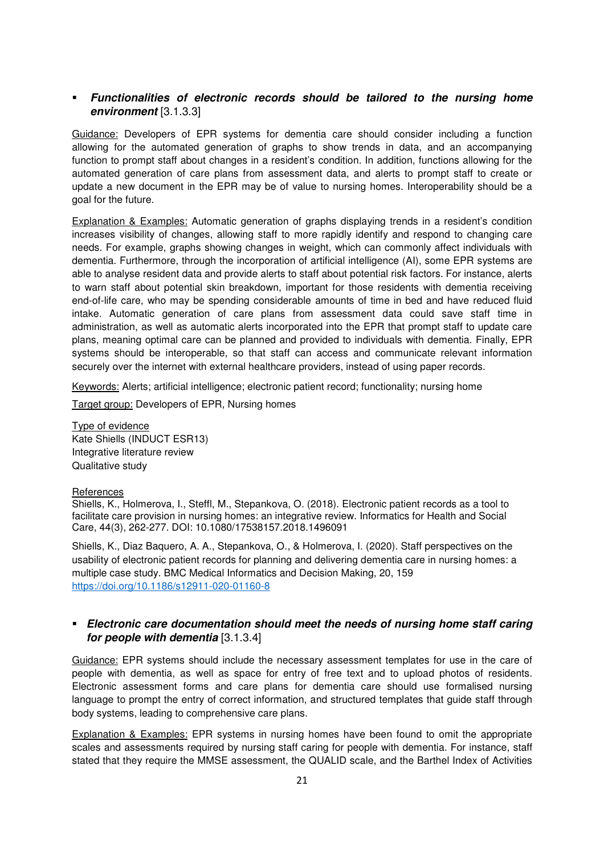# **Functionalities of electronic records should be tailored to the nursing home environment** [3.1.3.3]

Guidance: Developers of EPR systems for dementia care should consider including a function allowing for the automated generation of graphs to show trends in data, and an accompanying function to prompt staff about changes in a resident's condition. In addition, functions allowing for the automated generation of care plans from assessment data, and alerts to prompt staff to create or update a new document in the EPR may be of value to nursing homes. Interoperability should be a goal for the future.

Explanation & Examples: Automatic generation of graphs displaying trends in a resident's condition increases visibility of changes, allowing staff to more rapidly identify and respond to changing care needs. For example, graphs showing changes in weight, which can commonly affect individuals with dementia. Furthermore, through the incorporation of artificial intelligence (AI), some EPR systems are able to analyse resident data and provide alerts to staff about potential risk factors. For instance, alerts to warn staff about potential skin breakdown, important for those residents with dementia receiving end-of-life care, who may be spending considerable amounts of time in bed and have reduced fluid intake. Automatic generation of care plans from assessment data could save staff time in administration, as well as automatic alerts incorporated into the EPR that prompt staff to update care plans, meaning optimal care can be planned and provided to individuals with dementia. Finally, EPR systems should be interoperable, so that staff can access and communicate relevant information securely over the internet with external healthcare providers, instead of using paper records.

Keywords: Alerts; artificial intelligence; electronic patient record; functionality; nursing home

Target group: Developers of EPR, Nursing homes

Type of evidence Kate Shiells (INDUCT ESR13) Integrative literature review Qualitative study

#### **References**

Shiells, K., Holmerova, I., Steffl, M., Stepankova, O. (2018). Electronic patient records as a tool to facilitate care provision in nursing homes: an integrative review. Informatics for Health and Social Care, 44(3), 262-277. DOI: 10.1080/17538157.2018.1496091

Shiells, K., Diaz Baquero, A. A., Stepankova, O., & Holmerova, I. (2020). Staff perspectives on the usability of electronic patient records for planning and delivering dementia care in nursing homes: a multiple case study. BMC Medical Informatics and Decision Making, 20, 159 https://doi.org/10.1186/s12911-020-01160-8

# **Electronic care documentation should meet the needs of nursing home staff caring for people with dementia** [3.1.3.4]

Guidance: EPR systems should include the necessary assessment templates for use in the care of people with dementia, as well as space for entry of free text and to upload photos of residents. Electronic assessment forms and care plans for dementia care should use formalised nursing language to prompt the entry of correct information, and structured templates that guide staff through body systems, leading to comprehensive care plans.

Explanation & Examples: EPR systems in nursing homes have been found to omit the appropriate scales and assessments required by nursing staff caring for people with dementia. For instance, staff stated that they require the MMSE assessment, the QUALID scale, and the Barthel Index of Activities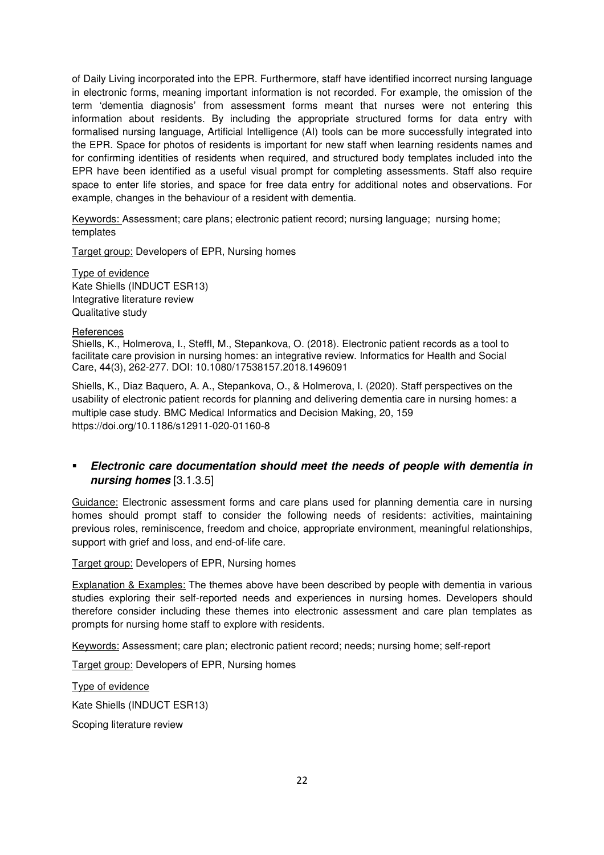of Daily Living incorporated into the EPR. Furthermore, staff have identified incorrect nursing language in electronic forms, meaning important information is not recorded. For example, the omission of the term 'dementia diagnosis' from assessment forms meant that nurses were not entering this information about residents. By including the appropriate structured forms for data entry with formalised nursing language, Artificial Intelligence (AI) tools can be more successfully integrated into the EPR. Space for photos of residents is important for new staff when learning residents names and for confirming identities of residents when required, and structured body templates included into the EPR have been identified as a useful visual prompt for completing assessments. Staff also require space to enter life stories, and space for free data entry for additional notes and observations. For example, changes in the behaviour of a resident with dementia.

Keywords: Assessment; care plans; electronic patient record; nursing language; nursing home; templates

Target group: Developers of EPR, Nursing homes

Type of evidence Kate Shiells (INDUCT ESR13) Integrative literature review Qualitative study

#### References

Shiells, K., Holmerova, I., Steffl, M., Stepankova, O. (2018). Electronic patient records as a tool to facilitate care provision in nursing homes: an integrative review. Informatics for Health and Social Care, 44(3), 262-277. DOI: 10.1080/17538157.2018.1496091

Shiells, K., Diaz Baquero, A. A., Stepankova, O., & Holmerova, I. (2020). Staff perspectives on the usability of electronic patient records for planning and delivering dementia care in nursing homes: a multiple case study. BMC Medical Informatics and Decision Making, 20, 159 https://doi.org/10.1186/s12911-020-01160-8

# **Electronic care documentation should meet the needs of people with dementia in nursing homes** [3.1.3.5]

Guidance: Electronic assessment forms and care plans used for planning dementia care in nursing homes should prompt staff to consider the following needs of residents: activities, maintaining previous roles, reminiscence, freedom and choice, appropriate environment, meaningful relationships, support with grief and loss, and end-of-life care.

Target group: Developers of EPR, Nursing homes

Explanation & Examples: The themes above have been described by people with dementia in various studies exploring their self-reported needs and experiences in nursing homes. Developers should therefore consider including these themes into electronic assessment and care plan templates as prompts for nursing home staff to explore with residents.

Keywords: Assessment; care plan; electronic patient record; needs; nursing home; self-report

Target group: Developers of EPR, Nursing homes

Type of evidence

Kate Shiells (INDUCT ESR13)

Scoping literature review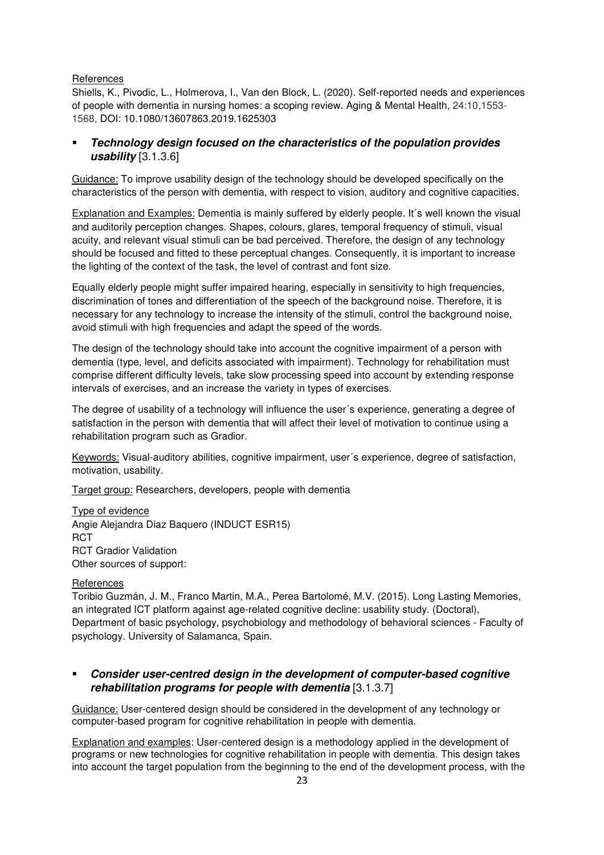#### References

Shiells, K., Pivodic, L., Holmerova, I., Van den Block, L. (2020). Self-reported needs and experiences of people with dementia in nursing homes: a scoping review. Aging & Mental Health, 24:10,1553- 1568, DOI: 10.1080/13607863.2019.1625303

# **Technology design focused on the characteristics of the population provides usability** [3.1.3.6]

Guidance: To improve usability design of the technology should be developed specifically on the characteristics of the person with dementia, with respect to vision, auditory and cognitive capacities.

Explanation and Examples: Dementia is mainly suffered by elderly people. It´s well known the visual and auditorily perception changes. Shapes, colours, glares, temporal frequency of stimuli, visual acuity, and relevant visual stimuli can be bad perceived. Therefore, the design of any technology should be focused and fitted to these perceptual changes. Consequently, it is important to increase the lighting of the context of the task, the level of contrast and font size.

Equally elderly people might suffer impaired hearing, especially in sensitivity to high frequencies, discrimination of tones and differentiation of the speech of the background noise. Therefore, it is necessary for any technology to increase the intensity of the stimuli, control the background noise, avoid stimuli with high frequencies and adapt the speed of the words.

The design of the technology should take into account the cognitive impairment of a person with dementia (type, level, and deficits associated with impairment). Technology for rehabilitation must comprise different difficulty levels, take slow processing speed into account by extending response intervals of exercises, and an increase the variety in types of exercises.

The degree of usability of a technology will influence the user´s experience, generating a degree of satisfaction in the person with dementia that will affect their level of motivation to continue using a rehabilitation program such as Gradior.

Keywords: Visual-auditory abilities, cognitive impairment, user´s experience, degree of satisfaction, motivation, usability.

Target group: Researchers, developers, people with dementia

Type of evidence Angie Alejandra Diaz Baquero (INDUCT ESR15) **RCT** RCT Gradior Validation Other sources of support:

# References

Toribio Guzmán, J. M., Franco Martin, M.A., Perea Bartolomé, M.V. (2015). Long Lasting Memories, an integrated ICT platform against age-related cognitive decline: usability study. (Doctoral), Department of basic psychology, psychobiology and methodology of behavioral sciences - Faculty of psychology. University of Salamanca, Spain.

# **Consider user-centred design in the development of computer-based cognitive rehabilitation programs for people with dementia** [3.1.3.7]

Guidance: User-centered design should be considered in the development of any technology or computer-based program for cognitive rehabilitation in people with dementia.

Explanation and examples: User-centered design is a methodology applied in the development of programs or new technologies for cognitive rehabilitation in people with dementia. This design takes into account the target population from the beginning to the end of the development process, with the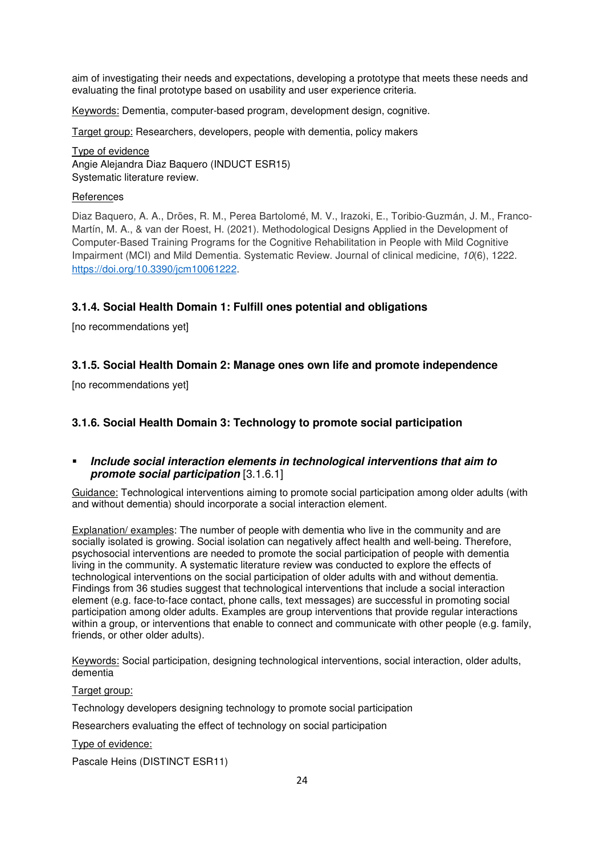aim of investigating their needs and expectations, developing a prototype that meets these needs and evaluating the final prototype based on usability and user experience criteria.

Keywords: Dementia, computer-based program, development design, cognitive.

Target group: Researchers, developers, people with dementia, policy makers

Type of evidence Angie Alejandra Diaz Baquero (INDUCT ESR15) Systematic literature review.

#### **References**

Diaz Baquero, A. A., Dröes, R. M., Perea Bartolomé, M. V., Irazoki, E., Toribio-Guzmán, J. M., Franco-Martín, M. A., & van der Roest, H. (2021). Methodological Designs Applied in the Development of Computer-Based Training Programs for the Cognitive Rehabilitation in People with Mild Cognitive Impairment (MCI) and Mild Dementia. Systematic Review. Journal of clinical medicine, *10*(6), 1222. https://doi.org/10.3390/jcm10061222.

# **3.1.4. Social Health Domain 1: Fulfill ones potential and obligations**

[no recommendations yet]

# **3.1.5. Social Health Domain 2: Manage ones own life and promote independence**

[no recommendations yet]

# **3.1.6. Social Health Domain 3: Technology to promote social participation**

# **Include social interaction elements in technological interventions that aim to promote social participation** [3.1.6.1]

Guidance: Technological interventions aiming to promote social participation among older adults (with and without dementia) should incorporate a social interaction element.

Explanation/ examples: The number of people with dementia who live in the community and are socially isolated is growing. Social isolation can negatively affect health and well-being. Therefore, psychosocial interventions are needed to promote the social participation of people with dementia living in the community. A systematic literature review was conducted to explore the effects of technological interventions on the social participation of older adults with and without dementia. Findings from 36 studies suggest that technological interventions that include a social interaction element (e.g. face-to-face contact, phone calls, text messages) are successful in promoting social participation among older adults. Examples are group interventions that provide regular interactions within a group, or interventions that enable to connect and communicate with other people (e.g. family, friends, or other older adults).

Keywords: Social participation, designing technological interventions, social interaction, older adults, dementia

#### Target group:

Technology developers designing technology to promote social participation

Researchers evaluating the effect of technology on social participation

Type of evidence:

Pascale Heins (DISTINCT ESR11)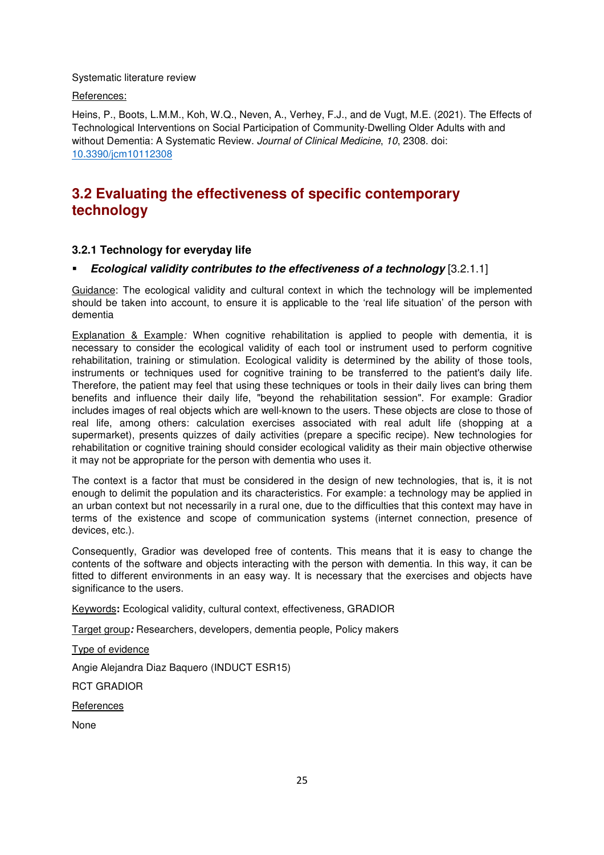Systematic literature review

References:

Heins, P., Boots, L.M.M., Koh, W.Q., Neven, A., Verhey, F.J., and de Vugt, M.E. (2021). The Effects of Technological Interventions on Social Participation of Community-Dwelling Older Adults with and without Dementia: A Systematic Review. *Journal of Clinical Medicine*, *10*, 2308. doi: 10.3390/jcm10112308

# **3.2 Evaluating the effectiveness of specific contemporary technology**

# **3.2.1 Technology for everyday life**

# **Ecological validity contributes to the effectiveness of a technology** [3.2.1.1]

Guidance: The ecological validity and cultural context in which the technology will be implemented should be taken into account, to ensure it is applicable to the 'real life situation' of the person with dementia

Explanation & Example*:* When cognitive rehabilitation is applied to people with dementia, it is necessary to consider the ecological validity of each tool or instrument used to perform cognitive rehabilitation, training or stimulation. Ecological validity is determined by the ability of those tools, instruments or techniques used for cognitive training to be transferred to the patient's daily life. Therefore, the patient may feel that using these techniques or tools in their daily lives can bring them benefits and influence their daily life, "beyond the rehabilitation session". For example: Gradior includes images of real objects which are well-known to the users. These objects are close to those of real life, among others: calculation exercises associated with real adult life (shopping at a supermarket), presents quizzes of daily activities (prepare a specific recipe). New technologies for rehabilitation or cognitive training should consider ecological validity as their main objective otherwise it may not be appropriate for the person with dementia who uses it.

The context is a factor that must be considered in the design of new technologies, that is, it is not enough to delimit the population and its characteristics. For example: a technology may be applied in an urban context but not necessarily in a rural one, due to the difficulties that this context may have in terms of the existence and scope of communication systems (internet connection, presence of devices, etc.).

Consequently, Gradior was developed free of contents. This means that it is easy to change the contents of the software and objects interacting with the person with dementia. In this way, it can be fitted to different environments in an easy way. It is necessary that the exercises and objects have significance to the users.

Keywords**:** Ecological validity, cultural context, effectiveness, GRADIOR

Target group**:** Researchers, developers, dementia people, Policy makers

Type of evidence Angie Alejandra Diaz Baquero (INDUCT ESR15) RCT GRADIOR **References** None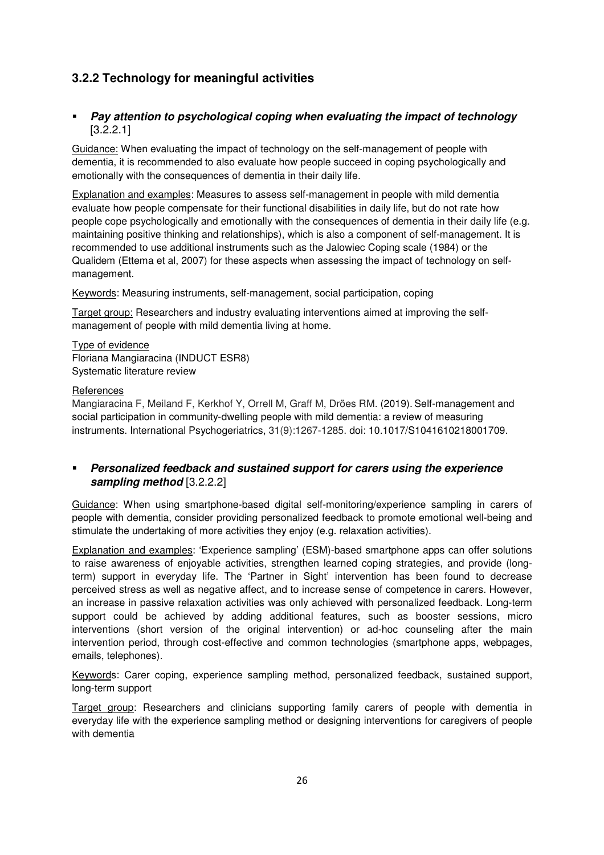# **3.2.2 Technology for meaningful activities**

# **Pay attention to psychological coping when evaluating the impact of technology**  [3.2.2.1]

Guidance: When evaluating the impact of technology on the self-management of people with dementia, it is recommended to also evaluate how people succeed in coping psychologically and emotionally with the consequences of dementia in their daily life.

Explanation and examples: Measures to assess self-management in people with mild dementia evaluate how people compensate for their functional disabilities in daily life, but do not rate how people cope psychologically and emotionally with the consequences of dementia in their daily life (e.g. maintaining positive thinking and relationships), which is also a component of self-management. It is recommended to use additional instruments such as the Jalowiec Coping scale (1984) or the Qualidem (Ettema et al, 2007) for these aspects when assessing the impact of technology on selfmanagement.

Keywords: Measuring instruments, self-management, social participation, coping

Target group: Researchers and industry evaluating interventions aimed at improving the selfmanagement of people with mild dementia living at home.

Type of evidence Floriana Mangiaracina (INDUCT ESR8) Systematic literature review

# **References**

Mangiaracina F, Meiland F, Kerkhof Y, Orrell M, Graff M, Dröes RM. (2019). Self-management and social participation in community-dwelling people with mild dementia: a review of measuring instruments. International Psychogeriatrics, 31(9):1267-1285. doi: 10.1017/S1041610218001709.

# **Personalized feedback and sustained support for carers using the experience sampling method** [3.2.2.2]

Guidance: When using smartphone-based digital self-monitoring/experience sampling in carers of people with dementia, consider providing personalized feedback to promote emotional well-being and stimulate the undertaking of more activities they enjoy (e.g. relaxation activities).

Explanation and examples: 'Experience sampling' (ESM)-based smartphone apps can offer solutions to raise awareness of enjoyable activities, strengthen learned coping strategies, and provide (longterm) support in everyday life. The 'Partner in Sight' intervention has been found to decrease perceived stress as well as negative affect, and to increase sense of competence in carers. However, an increase in passive relaxation activities was only achieved with personalized feedback. Long-term support could be achieved by adding additional features, such as booster sessions, micro interventions (short version of the original intervention) or ad-hoc counseling after the main intervention period, through cost-effective and common technologies (smartphone apps, webpages, emails, telephones).

Keywords: Carer coping, experience sampling method, personalized feedback, sustained support, long-term support

Target group: Researchers and clinicians supporting family carers of people with dementia in everyday life with the experience sampling method or designing interventions for caregivers of people with dementia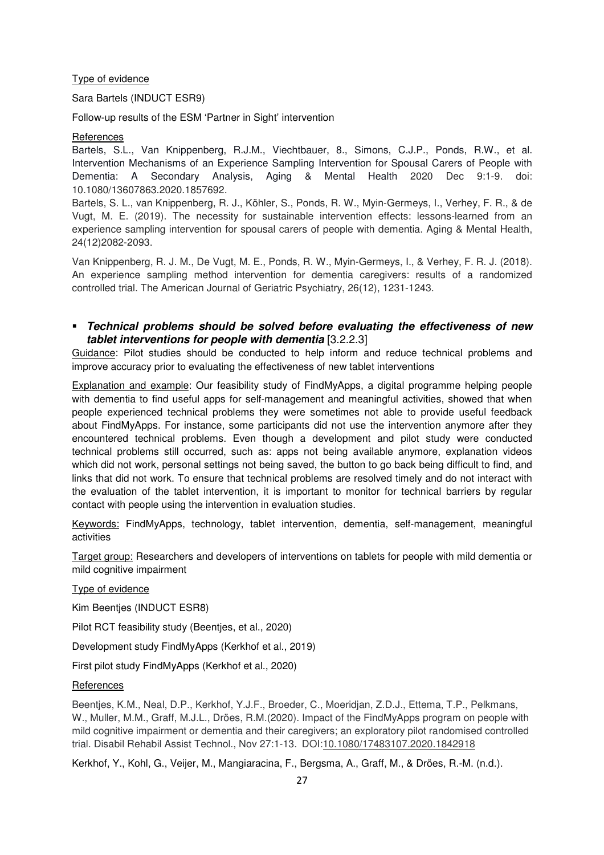#### Type of evidence

Sara Bartels (INDUCT ESR9)

Follow-up results of the ESM 'Partner in Sight' intervention

#### References

Bartels, S.L., Van Knippenberg, R.J.M., Viechtbauer, 8., Simons, C.J.P., Ponds, R.W., et al. Intervention Mechanisms of an Experience Sampling Intervention for Spousal Carers of People with Dementia: A Secondary Analysis, Aging & Mental Health 2020 Dec 9:1-9. doi: 10.1080/13607863.2020.1857692.

Bartels, S. L., van Knippenberg, R. J., Köhler, S., Ponds, R. W., Myin-Germeys, I., Verhey, F. R., & de Vugt, M. E. (2019). The necessity for sustainable intervention effects: lessons-learned from an experience sampling intervention for spousal carers of people with dementia. Aging & Mental Health, 24(12)2082-2093.

Van Knippenberg, R. J. M., De Vugt, M. E., Ponds, R. W., Myin-Germeys, I., & Verhey, F. R. J. (2018). An experience sampling method intervention for dementia caregivers: results of a randomized controlled trial. The American Journal of Geriatric Psychiatry, 26(12), 1231-1243.

# **Technical problems should be solved before evaluating the effectiveness of new tablet interventions for people with dementia** [3.2.2.3]

Guidance: Pilot studies should be conducted to help inform and reduce technical problems and improve accuracy prior to evaluating the effectiveness of new tablet interventions

Explanation and example: Our feasibility study of FindMyApps, a digital programme helping people with dementia to find useful apps for self-management and meaningful activities, showed that when people experienced technical problems they were sometimes not able to provide useful feedback about FindMyApps. For instance, some participants did not use the intervention anymore after they encountered technical problems. Even though a development and pilot study were conducted technical problems still occurred, such as: apps not being available anymore, explanation videos which did not work, personal settings not being saved, the button to go back being difficult to find, and links that did not work. To ensure that technical problems are resolved timely and do not interact with the evaluation of the tablet intervention, it is important to monitor for technical barriers by regular contact with people using the intervention in evaluation studies.

Keywords: FindMyApps, technology, tablet intervention, dementia, self-management, meaningful activities

Target group: Researchers and developers of interventions on tablets for people with mild dementia or mild cognitive impairment

Type of evidence

Kim Beentjes (INDUCT ESR8)

Pilot RCT feasibility study (Beentjes, et al., 2020)

Development study FindMyApps (Kerkhof et al., 2019)

First pilot study FindMyApps (Kerkhof et al., 2020)

#### **References**

Beentjes, K.M., Neal, D.P., Kerkhof, Y.J.F., Broeder, C., Moeridjan, Z.D.J., Ettema, T.P., Pelkmans, W., Muller, M.M., Graff, M.J.L., Dröes, R.M.(2020). Impact of the FindMyApps program on people with mild cognitive impairment or dementia and their caregivers; an exploratory pilot randomised controlled trial. Disabil Rehabil Assist Technol., Nov 27:1-13. DOI:10.1080/17483107.2020.1842918

Kerkhof, Y., Kohl, G., Veijer, M., Mangiaracina, F., Bergsma, A., Graff, M., & Dröes, R.-M. (n.d.).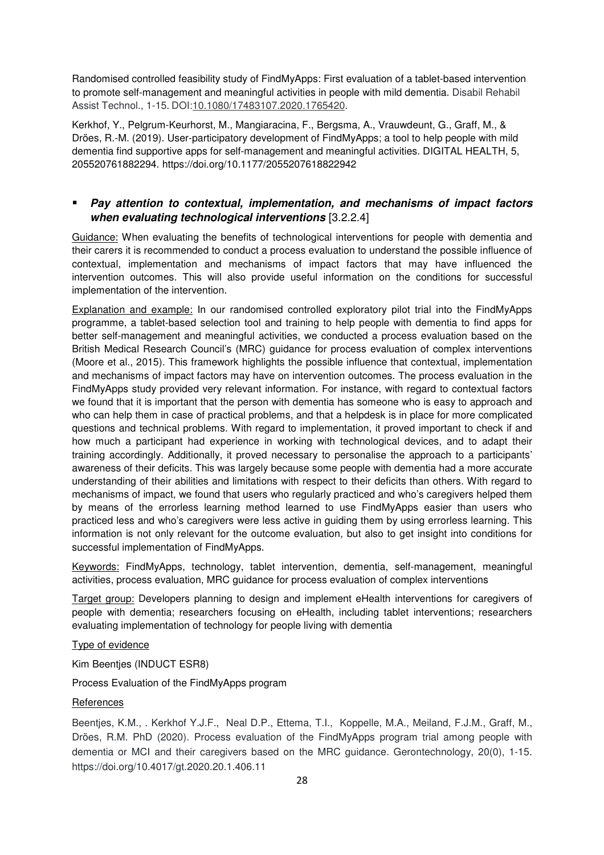Randomised controlled feasibility study of FindMyApps: First evaluation of a tablet-based intervention to promote self-management and meaningful activities in people with mild dementia. Disabil Rehabil Assist Technol., 1-15. DOI:10.1080/17483107.2020.1765420.

Kerkhof, Y., Pelgrum-Keurhorst, M., Mangiaracina, F., Bergsma, A., Vrauwdeunt, G., Graff, M., & Dröes, R.-M. (2019). User-participatory development of FindMyApps; a tool to help people with mild dementia find supportive apps for self-management and meaningful activities. DIGITAL HEALTH, 5, 205520761882294. https://doi.org/10.1177/2055207618822942

# **Pay attention to contextual, implementation, and mechanisms of impact factors when evaluating technological interventions** [3.2.2.4]

Guidance: When evaluating the benefits of technological interventions for people with dementia and their carers it is recommended to conduct a process evaluation to understand the possible influence of contextual, implementation and mechanisms of impact factors that may have influenced the intervention outcomes. This will also provide useful information on the conditions for successful implementation of the intervention.

Explanation and example: In our randomised controlled exploratory pilot trial into the FindMyApps programme, a tablet-based selection tool and training to help people with dementia to find apps for better self-management and meaningful activities, we conducted a process evaluation based on the British Medical Research Council's (MRC) guidance for process evaluation of complex interventions (Moore et al., 2015). This framework highlights the possible influence that contextual, implementation and mechanisms of impact factors may have on intervention outcomes. The process evaluation in the FindMyApps study provided very relevant information. For instance, with regard to contextual factors we found that it is important that the person with dementia has someone who is easy to approach and who can help them in case of practical problems, and that a helpdesk is in place for more complicated questions and technical problems. With regard to implementation, it proved important to check if and how much a participant had experience in working with technological devices, and to adapt their training accordingly. Additionally, it proved necessary to personalise the approach to a participants' awareness of their deficits. This was largely because some people with dementia had a more accurate understanding of their abilities and limitations with respect to their deficits than others. With regard to mechanisms of impact, we found that users who regularly practiced and who's caregivers helped them by means of the errorless learning method learned to use FindMyApps easier than users who practiced less and who's caregivers were less active in guiding them by using errorless learning. This information is not only relevant for the outcome evaluation, but also to get insight into conditions for successful implementation of FindMyApps.

Keywords: FindMyApps, technology, tablet intervention, dementia, self-management, meaningful activities, process evaluation, MRC guidance for process evaluation of complex interventions

Target group: Developers planning to design and implement eHealth interventions for caregivers of people with dementia; researchers focusing on eHealth, including tablet interventions; researchers evaluating implementation of technology for people living with dementia

# Type of evidence

Kim Beentjes (INDUCT ESR8)

Process Evaluation of the FindMyApps program

# References

Beentjes, K.M., . Kerkhof Y.J.F., Neal D.P., Ettema, T.I., Koppelle, M.A., Meiland, F.J.M., Graff, M., Dröes, R.M. PhD (2020). Process evaluation of the FindMyApps program trial among people with dementia or MCI and their caregivers based on the MRC guidance. Gerontechnology, 20(0), 1-15. https://doi.org/10.4017/gt.2020.20.1.406.11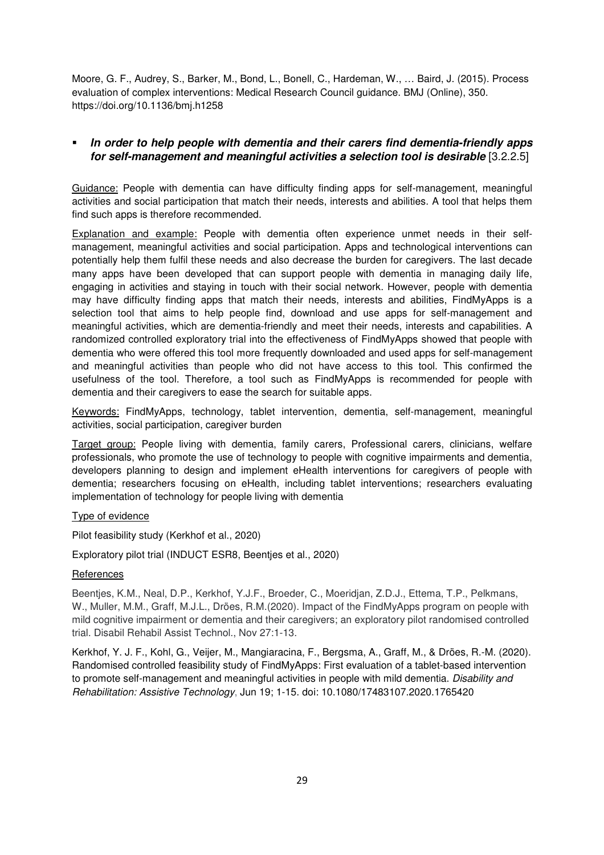Moore, G. F., Audrey, S., Barker, M., Bond, L., Bonell, C., Hardeman, W., … Baird, J. (2015). Process evaluation of complex interventions: Medical Research Council guidance. BMJ (Online), 350. https://doi.org/10.1136/bmj.h1258

# **In order to help people with dementia and their carers find dementia-friendly apps for self-management and meaningful activities a selection tool is desirable** [3.2.2.5]

Guidance: People with dementia can have difficulty finding apps for self-management, meaningful activities and social participation that match their needs, interests and abilities. A tool that helps them find such apps is therefore recommended.

Explanation and example: People with dementia often experience unmet needs in their selfmanagement, meaningful activities and social participation. Apps and technological interventions can potentially help them fulfil these needs and also decrease the burden for caregivers. The last decade many apps have been developed that can support people with dementia in managing daily life, engaging in activities and staying in touch with their social network. However, people with dementia may have difficulty finding apps that match their needs, interests and abilities, FindMyApps is a selection tool that aims to help people find, download and use apps for self-management and meaningful activities, which are dementia-friendly and meet their needs, interests and capabilities. A randomized controlled exploratory trial into the effectiveness of FindMyApps showed that people with dementia who were offered this tool more frequently downloaded and used apps for self-management and meaningful activities than people who did not have access to this tool. This confirmed the usefulness of the tool. Therefore, a tool such as FindMyApps is recommended for people with dementia and their caregivers to ease the search for suitable apps.

Keywords: FindMyApps, technology, tablet intervention, dementia, self-management, meaningful activities, social participation, caregiver burden

Target group: People living with dementia, family carers, Professional carers, clinicians, welfare professionals, who promote the use of technology to people with cognitive impairments and dementia, developers planning to design and implement eHealth interventions for caregivers of people with dementia; researchers focusing on eHealth, including tablet interventions; researchers evaluating implementation of technology for people living with dementia

# Type of evidence

Pilot feasibility study (Kerkhof et al., 2020)

Exploratory pilot trial (INDUCT ESR8, Beentjes et al., 2020)

# **References**

Beentjes, K.M., Neal, D.P., Kerkhof, Y.J.F., Broeder, C., Moeridjan, Z.D.J., Ettema, T.P., Pelkmans, W., Muller, M.M., Graff, M.J.L., Dröes, R.M.(2020). Impact of the FindMyApps program on people with mild cognitive impairment or dementia and their caregivers; an exploratory pilot randomised controlled trial. Disabil Rehabil Assist Technol., Nov 27:1-13.

Kerkhof, Y. J. F., Kohl, G., Veijer, M., Mangiaracina, F., Bergsma, A., Graff, M., & Dröes, R.-M. (2020). Randomised controlled feasibility study of FindMyApps: First evaluation of a tablet-based intervention to promote self-management and meaningful activities in people with mild dementia. *Disability and Rehabilitation: Assistive Technology*, Jun 19; 1-15. doi: 10.1080/17483107.2020.1765420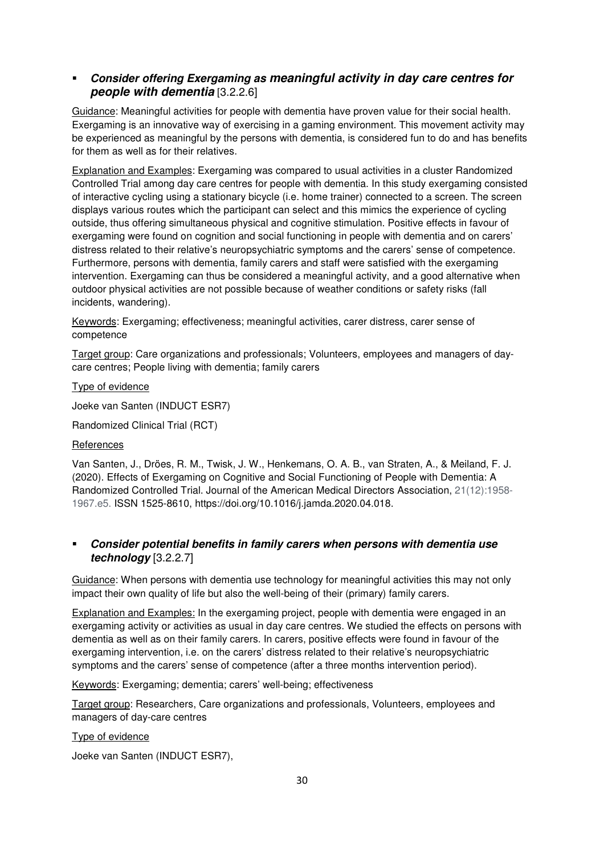# **Consider offering Exergaming as meaningful activity in day care centres for people with dementia** [3.2.2.6]

Guidance: Meaningful activities for people with dementia have proven value for their social health. Exergaming is an innovative way of exercising in a gaming environment. This movement activity may be experienced as meaningful by the persons with dementia, is considered fun to do and has benefits for them as well as for their relatives.

Explanation and Examples: Exergaming was compared to usual activities in a cluster Randomized Controlled Trial among day care centres for people with dementia. In this study exergaming consisted of interactive cycling using a stationary bicycle (i.e. home trainer) connected to a screen. The screen displays various routes which the participant can select and this mimics the experience of cycling outside, thus offering simultaneous physical and cognitive stimulation. Positive effects in favour of exergaming were found on cognition and social functioning in people with dementia and on carers' distress related to their relative's neuropsychiatric symptoms and the carers' sense of competence. Furthermore, persons with dementia, family carers and staff were satisfied with the exergaming intervention. Exergaming can thus be considered a meaningful activity, and a good alternative when outdoor physical activities are not possible because of weather conditions or safety risks (fall incidents, wandering).

Keywords: Exergaming; effectiveness; meaningful activities, carer distress, carer sense of competence

Target group: Care organizations and professionals; Volunteers, employees and managers of daycare centres; People living with dementia; family carers

Type of evidence

Joeke van Santen (INDUCT ESR7)

Randomized Clinical Trial (RCT)

#### References

Van Santen, J., Dröes, R. M., Twisk, J. W., Henkemans, O. A. B., van Straten, A., & Meiland, F. J. (2020). Effects of Exergaming on Cognitive and Social Functioning of People with Dementia: A Randomized Controlled Trial. Journal of the American Medical Directors Association, 21(12):1958- 1967.e5. ISSN 1525-8610, https://doi.org/10.1016/j.jamda.2020.04.018.

# **Consider potential benefits in family carers when persons with dementia use technology** [3.2.2.7]

Guidance: When persons with dementia use technology for meaningful activities this may not only impact their own quality of life but also the well-being of their (primary) family carers.

Explanation and Examples: In the exergaming project, people with dementia were engaged in an exergaming activity or activities as usual in day care centres. We studied the effects on persons with dementia as well as on their family carers. In carers, positive effects were found in favour of the exergaming intervention, i.e. on the carers' distress related to their relative's neuropsychiatric symptoms and the carers' sense of competence (after a three months intervention period).

Keywords: Exergaming; dementia; carers' well-being; effectiveness

Target group: Researchers, Care organizations and professionals, Volunteers, employees and managers of day-care centres

#### Type of evidence

Joeke van Santen (INDUCT ESR7),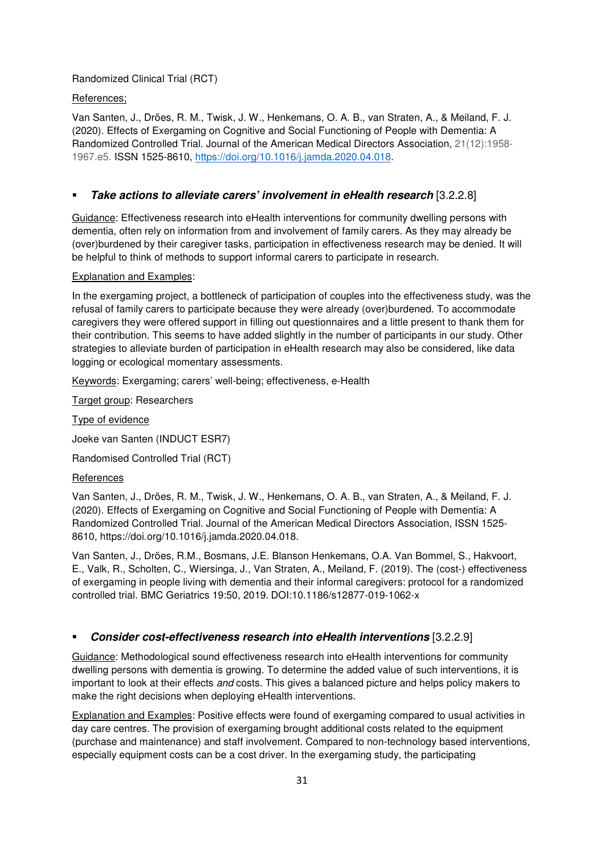# Randomized Clinical Trial (RCT)

#### References;

Van Santen, J., Dröes, R. M., Twisk, J. W., Henkemans, O. A. B., van Straten, A., & Meiland, F. J. (2020). Effects of Exergaming on Cognitive and Social Functioning of People with Dementia: A Randomized Controlled Trial. Journal of the American Medical Directors Association, 21(12):1958- 1967.e5. ISSN 1525-8610, https://doi.org/10.1016/j.jamda.2020.04.018.

# **Take actions to alleviate carers' involvement in eHealth research** [3.2.2.8]

Guidance: Effectiveness research into eHealth interventions for community dwelling persons with dementia, often rely on information from and involvement of family carers. As they may already be (over)burdened by their caregiver tasks, participation in effectiveness research may be denied. It will be helpful to think of methods to support informal carers to participate in research.

#### Explanation and Examples:

In the exergaming project, a bottleneck of participation of couples into the effectiveness study, was the refusal of family carers to participate because they were already (over)burdened. To accommodate caregivers they were offered support in filling out questionnaires and a little present to thank them for their contribution. This seems to have added slightly in the number of participants in our study. Other strategies to alleviate burden of participation in eHealth research may also be considered, like data logging or ecological momentary assessments.

Keywords: Exergaming; carers' well-being; effectiveness, e-Health

Target group: Researchers

Type of evidence

Joeke van Santen (INDUCT ESR7)

Randomised Controlled Trial (RCT)

#### **References**

Van Santen, J., Dröes, R. M., Twisk, J. W., Henkemans, O. A. B., van Straten, A., & Meiland, F. J. (2020). Effects of Exergaming on Cognitive and Social Functioning of People with Dementia: A Randomized Controlled Trial. Journal of the American Medical Directors Association, ISSN 1525- 8610, https://doi.org/10.1016/j.jamda.2020.04.018.

Van Santen, J., Dröes, R.M., Bosmans, J.E. Blanson Henkemans, O.A. Van Bommel, S., Hakvoort, E., Valk, R., Scholten, C., Wiersinga, J., Van Straten, A., Meiland, F. (2019). The (cost-) effectiveness of exergaming in people living with dementia and their informal caregivers: protocol for a randomized controlled trial. BMC Geriatrics 19:50, 2019. DOI:10.1186/s12877-019-1062-x

# **Consider cost-effectiveness research into eHealth interventions** [3.2.2.9]

Guidance: Methodological sound effectiveness research into eHealth interventions for community dwelling persons with dementia is growing. To determine the added value of such interventions, it is important to look at their effects *and* costs. This gives a balanced picture and helps policy makers to make the right decisions when deploying eHealth interventions.

Explanation and Examples: Positive effects were found of exergaming compared to usual activities in day care centres. The provision of exergaming brought additional costs related to the equipment (purchase and maintenance) and staff involvement. Compared to non-technology based interventions, especially equipment costs can be a cost driver. In the exergaming study, the participating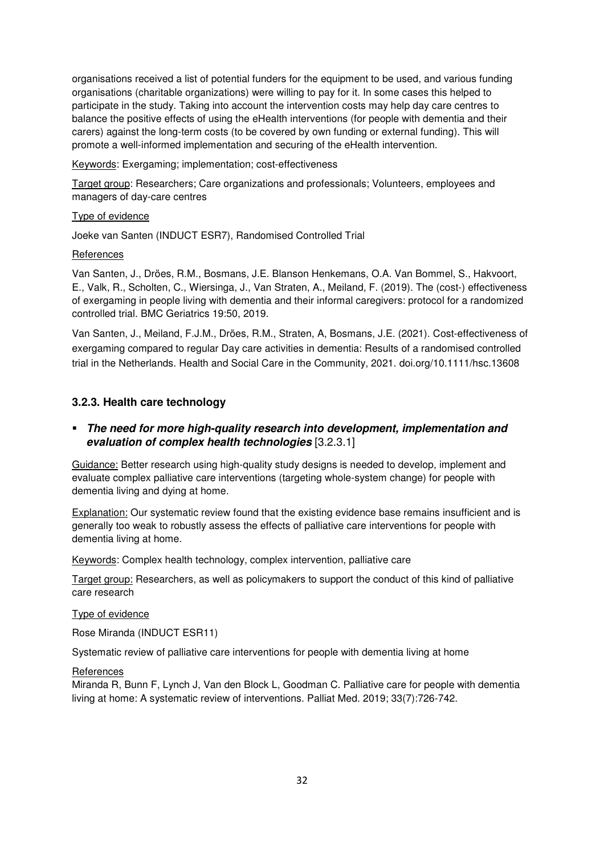organisations received a list of potential funders for the equipment to be used, and various funding organisations (charitable organizations) were willing to pay for it. In some cases this helped to participate in the study. Taking into account the intervention costs may help day care centres to balance the positive effects of using the eHealth interventions (for people with dementia and their carers) against the long-term costs (to be covered by own funding or external funding). This will promote a well-informed implementation and securing of the eHealth intervention.

Keywords: Exergaming; implementation; cost-effectiveness

Target group: Researchers; Care organizations and professionals; Volunteers, employees and managers of day-care centres

#### Type of evidence

Joeke van Santen (INDUCT ESR7), Randomised Controlled Trial

#### References

Van Santen, J., Dröes, R.M., Bosmans, J.E. Blanson Henkemans, O.A. Van Bommel, S., Hakvoort, E., Valk, R., Scholten, C., Wiersinga, J., Van Straten, A., Meiland, F. (2019). The (cost-) effectiveness of exergaming in people living with dementia and their informal caregivers: protocol for a randomized controlled trial. BMC Geriatrics 19:50, 2019.

Van Santen, J., Meiland, F.J.M., Dröes, R.M., Straten, A, Bosmans, J.E. (2021). Cost-effectiveness of exergaming compared to regular Day care activities in dementia: Results of a randomised controlled trial in the Netherlands. Health and Social Care in the Community, 2021. doi.org/10.1111/hsc.13608

#### **3.2.3. Health care technology**

# **The need for more high-quality research into development, implementation and evaluation of complex health technologies** [3.2.3.1]

Guidance: Better research using high-quality study designs is needed to develop, implement and evaluate complex palliative care interventions (targeting whole-system change) for people with dementia living and dying at home.

Explanation: Our systematic review found that the existing evidence base remains insufficient and is generally too weak to robustly assess the effects of palliative care interventions for people with dementia living at home.

Keywords: Complex health technology, complex intervention, palliative care

Target group: Researchers, as well as policymakers to support the conduct of this kind of palliative care research

#### Type of evidence

Rose Miranda (INDUCT ESR11)

Systematic review of palliative care interventions for people with dementia living at home

#### References

Miranda R, Bunn F, Lynch J, Van den Block L, Goodman C. Palliative care for people with dementia living at home: A systematic review of interventions. Palliat Med. 2019; 33(7):726-742.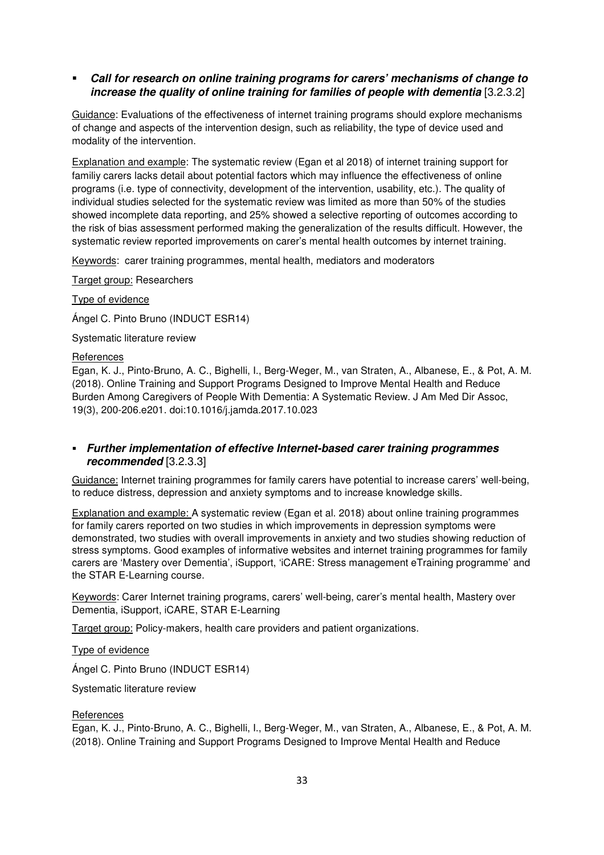# **Call for research on online training programs for carers' mechanisms of change to increase the quality of online training for families of people with dementia** [3.2.3.2]

Guidance: Evaluations of the effectiveness of internet training programs should explore mechanisms of change and aspects of the intervention design, such as reliability, the type of device used and modality of the intervention.

Explanation and example: The systematic review (Egan et al 2018) of internet training support for familiy carers lacks detail about potential factors which may influence the effectiveness of online programs (i.e. type of connectivity, development of the intervention, usability, etc.). The quality of individual studies selected for the systematic review was limited as more than 50% of the studies showed incomplete data reporting, and 25% showed a selective reporting of outcomes according to the risk of bias assessment performed making the generalization of the results difficult. However, the systematic review reported improvements on carer's mental health outcomes by internet training.

Keywords: carer training programmes, mental health, mediators and moderators

Target group: Researchers

Type of evidence

Ángel C. Pinto Bruno (INDUCT ESR14)

Systematic literature review

#### **References**

Egan, K. J., Pinto-Bruno, A. C., Bighelli, I., Berg-Weger, M., van Straten, A., Albanese, E., & Pot, A. M. (2018). Online Training and Support Programs Designed to Improve Mental Health and Reduce Burden Among Caregivers of People With Dementia: A Systematic Review. J Am Med Dir Assoc, 19(3), 200-206.e201. doi:10.1016/j.jamda.2017.10.023

# **Further implementation of effective Internet-based carer training programmes recommended** [3.2.3.3]

Guidance: Internet training programmes for family carers have potential to increase carers' well-being, to reduce distress, depression and anxiety symptoms and to increase knowledge skills.

Explanation and example: A systematic review (Egan et al. 2018) about online training programmes for family carers reported on two studies in which improvements in depression symptoms were demonstrated, two studies with overall improvements in anxiety and two studies showing reduction of stress symptoms. Good examples of informative websites and internet training programmes for family carers are 'Mastery over Dementia', iSupport, 'iCARE: Stress management eTraining programme' and the STAR E-Learning course.

Keywords: Carer Internet training programs, carers' well-being, carer's mental health, Mastery over Dementia, iSupport, iCARE, STAR E-Learning

Target group: Policy-makers, health care providers and patient organizations.

Type of evidence

Ángel C. Pinto Bruno (INDUCT ESR14)

Systematic literature review

#### **References**

Egan, K. J., Pinto-Bruno, A. C., Bighelli, I., Berg-Weger, M., van Straten, A., Albanese, E., & Pot, A. M. (2018). Online Training and Support Programs Designed to Improve Mental Health and Reduce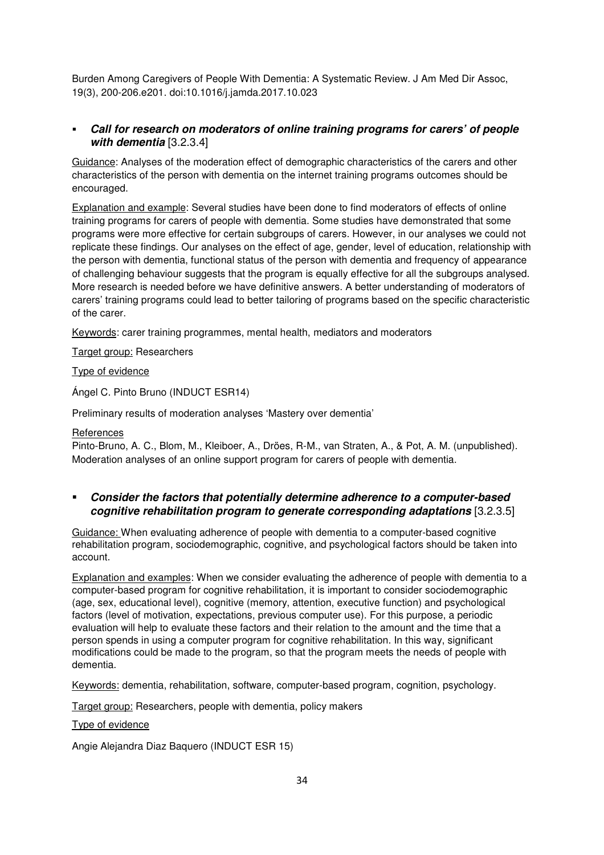Burden Among Caregivers of People With Dementia: A Systematic Review. J Am Med Dir Assoc, 19(3), 200-206.e201. doi:10.1016/j.jamda.2017.10.023

# **Call for research on moderators of online training programs for carers' of people with dementia** [3.2.3.4]

Guidance: Analyses of the moderation effect of demographic characteristics of the carers and other characteristics of the person with dementia on the internet training programs outcomes should be encouraged.

Explanation and example: Several studies have been done to find moderators of effects of online training programs for carers of people with dementia. Some studies have demonstrated that some programs were more effective for certain subgroups of carers. However, in our analyses we could not replicate these findings. Our analyses on the effect of age, gender, level of education, relationship with the person with dementia, functional status of the person with dementia and frequency of appearance of challenging behaviour suggests that the program is equally effective for all the subgroups analysed. More research is needed before we have definitive answers. A better understanding of moderators of carers' training programs could lead to better tailoring of programs based on the specific characteristic of the carer.

Keywords: carer training programmes, mental health, mediators and moderators

Target group: Researchers

# Type of evidence

Ángel C. Pinto Bruno (INDUCT ESR14)

Preliminary results of moderation analyses 'Mastery over dementia'

# **References**

Pinto-Bruno, A. C., Blom, M., Kleiboer, A., Dröes, R-M., van Straten, A., & Pot, A. M. (unpublished). Moderation analyses of an online support program for carers of people with dementia.

 **Consider the factors that potentially determine adherence to a computer-based cognitive rehabilitation program to generate corresponding adaptations** [3.2.3.5]

Guidance: When evaluating adherence of people with dementia to a computer-based cognitive rehabilitation program, sociodemographic, cognitive, and psychological factors should be taken into account.

Explanation and examples: When we consider evaluating the adherence of people with dementia to a computer-based program for cognitive rehabilitation, it is important to consider sociodemographic (age, sex, educational level), cognitive (memory, attention, executive function) and psychological factors (level of motivation, expectations, previous computer use). For this purpose, a periodic evaluation will help to evaluate these factors and their relation to the amount and the time that a person spends in using a computer program for cognitive rehabilitation. In this way, significant modifications could be made to the program, so that the program meets the needs of people with dementia.

Keywords: dementia, rehabilitation, software, computer-based program, cognition, psychology.

Target group: Researchers, people with dementia, policy makers

# Type of evidence

Angie Alejandra Diaz Baquero (INDUCT ESR 15)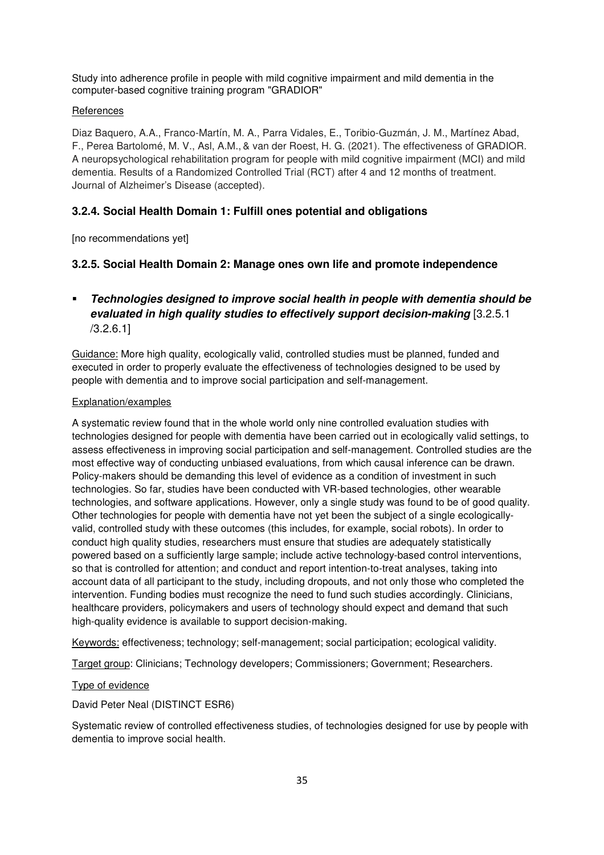Study into adherence profile in people with mild cognitive impairment and mild dementia in the computer-based cognitive training program "GRADIOR"

# **References**

Diaz Baquero, A.A., Franco-Martín, M. A., Parra Vidales, E., Toribio-Guzmán, J. M., Martínez Abad, F., Perea Bartolomé, M. V., Asl, A.M., & van der Roest, H. G. (2021). The effectiveness of GRADIOR. A neuropsychological rehabilitation program for people with mild cognitive impairment (MCI) and mild dementia. Results of a Randomized Controlled Trial (RCT) after 4 and 12 months of treatment. Journal of Alzheimer's Disease (accepted).

# **3.2.4. Social Health Domain 1: Fulfill ones potential and obligations**

[no recommendations yet]

# **3.2.5. Social Health Domain 2: Manage ones own life and promote independence**

# **Technologies designed to improve social health in people with dementia should be evaluated in high quality studies to effectively support decision-making** [3.2.5.1 /3.2.6.1]

Guidance: More high quality, ecologically valid, controlled studies must be planned, funded and executed in order to properly evaluate the effectiveness of technologies designed to be used by people with dementia and to improve social participation and self-management.

# Explanation/examples

A systematic review found that in the whole world only nine controlled evaluation studies with technologies designed for people with dementia have been carried out in ecologically valid settings, to assess effectiveness in improving social participation and self-management. Controlled studies are the most effective way of conducting unbiased evaluations, from which causal inference can be drawn. Policy-makers should be demanding this level of evidence as a condition of investment in such technologies. So far, studies have been conducted with VR-based technologies, other wearable technologies, and software applications. However, only a single study was found to be of good quality. Other technologies for people with dementia have not yet been the subject of a single ecologicallyvalid, controlled study with these outcomes (this includes, for example, social robots). In order to conduct high quality studies, researchers must ensure that studies are adequately statistically powered based on a sufficiently large sample; include active technology-based control interventions, so that is controlled for attention; and conduct and report intention-to-treat analyses, taking into account data of all participant to the study, including dropouts, and not only those who completed the intervention. Funding bodies must recognize the need to fund such studies accordingly. Clinicians, healthcare providers, policymakers and users of technology should expect and demand that such high-quality evidence is available to support decision-making.

Keywords: effectiveness; technology; self-management; social participation; ecological validity.

Target group: Clinicians; Technology developers; Commissioners; Government; Researchers.

# Type of evidence

David Peter Neal (DISTINCT ESR6)

Systematic review of controlled effectiveness studies, of technologies designed for use by people with dementia to improve social health.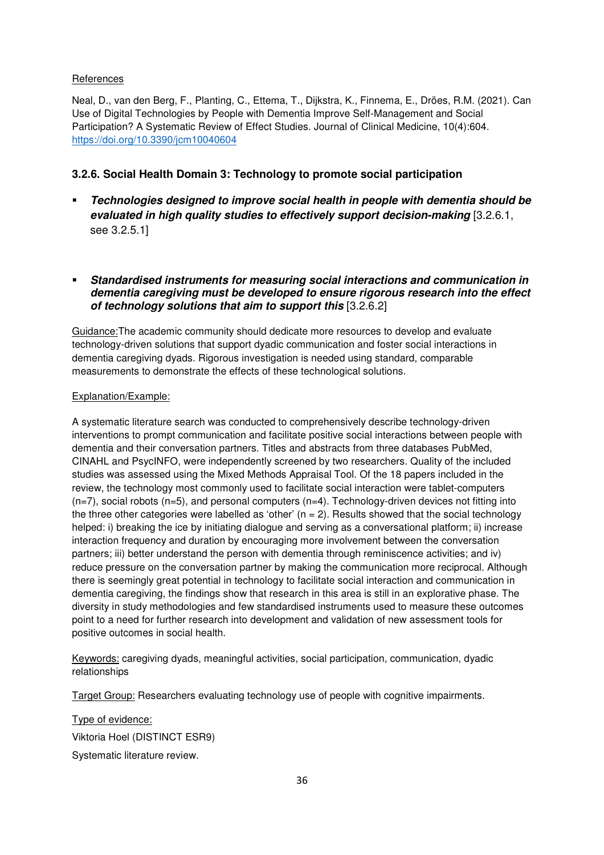# **References**

Neal, D., van den Berg, F., Planting, C., Ettema, T., Dijkstra, K., Finnema, E., Dröes, R.M. (2021). Can Use of Digital Technologies by People with Dementia Improve Self-Management and Social Participation? A Systematic Review of Effect Studies. Journal of Clinical Medicine, 10(4):604. https://doi.org/10.3390/jcm10040604

# **3.2.6. Social Health Domain 3: Technology to promote social participation**

- **Technologies designed to improve social health in people with dementia should be evaluated in high quality studies to effectively support decision-making** [3.2.6.1, see 3.2.5.1]
- **Standardised instruments for measuring social interactions and communication in dementia caregiving must be developed to ensure rigorous research into the effect of technology solutions that aim to support this** [3.2.6.2]

Guidance:The academic community should dedicate more resources to develop and evaluate technology-driven solutions that support dyadic communication and foster social interactions in dementia caregiving dyads. Rigorous investigation is needed using standard, comparable measurements to demonstrate the effects of these technological solutions.

# Explanation/Example:

A systematic literature search was conducted to comprehensively describe technology-driven interventions to prompt communication and facilitate positive social interactions between people with dementia and their conversation partners. Titles and abstracts from three databases PubMed, CINAHL and PsycINFO, were independently screened by two researchers. Quality of the included studies was assessed using the Mixed Methods Appraisal Tool. Of the 18 papers included in the review, the technology most commonly used to facilitate social interaction were tablet-computers  $(n=7)$ , social robots  $(n=5)$ , and personal computers  $(n=4)$ . Technology-driven devices not fitting into the three other categories were labelled as 'other'  $(n = 2)$ . Results showed that the social technology helped: i) breaking the ice by initiating dialogue and serving as a conversational platform; ii) increase interaction frequency and duration by encouraging more involvement between the conversation partners; iii) better understand the person with dementia through reminiscence activities; and iv) reduce pressure on the conversation partner by making the communication more reciprocal. Although there is seemingly great potential in technology to facilitate social interaction and communication in dementia caregiving, the findings show that research in this area is still in an explorative phase. The diversity in study methodologies and few standardised instruments used to measure these outcomes point to a need for further research into development and validation of new assessment tools for positive outcomes in social health.

Keywords: caregiving dyads, meaningful activities, social participation, communication, dyadic relationships

Target Group: Researchers evaluating technology use of people with cognitive impairments.

Type of evidence: Viktoria Hoel (DISTINCT ESR9) Systematic literature review.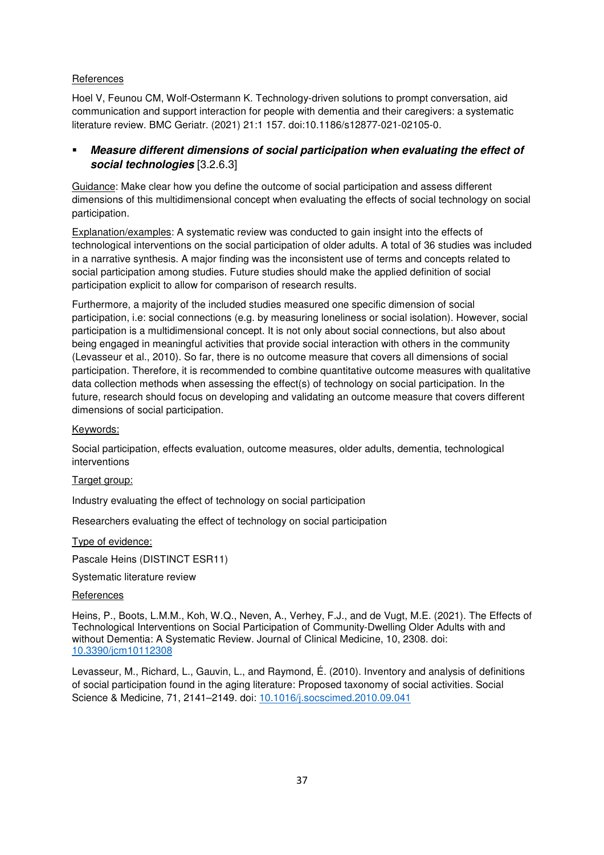# References

Hoel V, Feunou CM, Wolf-Ostermann K. Technology-driven solutions to prompt conversation, aid communication and support interaction for people with dementia and their caregivers: a systematic literature review. BMC Geriatr. (2021) 21:1 157. doi:10.1186/s12877-021-02105-0.

# **Measure different dimensions of social participation when evaluating the effect of social technologies** [3.2.6.3]

Guidance: Make clear how you define the outcome of social participation and assess different dimensions of this multidimensional concept when evaluating the effects of social technology on social participation.

Explanation/examples: A systematic review was conducted to gain insight into the effects of technological interventions on the social participation of older adults. A total of 36 studies was included in a narrative synthesis. A major finding was the inconsistent use of terms and concepts related to social participation among studies. Future studies should make the applied definition of social participation explicit to allow for comparison of research results.

Furthermore, a majority of the included studies measured one specific dimension of social participation, i.e: social connections (e.g. by measuring loneliness or social isolation). However, social participation is a multidimensional concept. It is not only about social connections, but also about being engaged in meaningful activities that provide social interaction with others in the community (Levasseur et al., 2010). So far, there is no outcome measure that covers all dimensions of social participation. Therefore, it is recommended to combine quantitative outcome measures with qualitative data collection methods when assessing the effect(s) of technology on social participation. In the future, research should focus on developing and validating an outcome measure that covers different dimensions of social participation.

# Keywords:

Social participation, effects evaluation, outcome measures, older adults, dementia, technological interventions

# Target group:

Industry evaluating the effect of technology on social participation

Researchers evaluating the effect of technology on social participation

Type of evidence:

Pascale Heins (DISTINCT ESR11)

Systematic literature review

#### **References**

Heins, P., Boots, L.M.M., Koh, W.Q., Neven, A., Verhey, F.J., and de Vugt, M.E. (2021). The Effects of Technological Interventions on Social Participation of Community-Dwelling Older Adults with and without Dementia: A Systematic Review. Journal of Clinical Medicine, 10, 2308. doi: 10.3390/jcm10112308

Levasseur, M., Richard, L., Gauvin, L., and Raymond, É. (2010). Inventory and analysis of definitions of social participation found in the aging literature: Proposed taxonomy of social activities. Social Science & Medicine, 71, 2141–2149. doi: 10.1016/j.socscimed.2010.09.041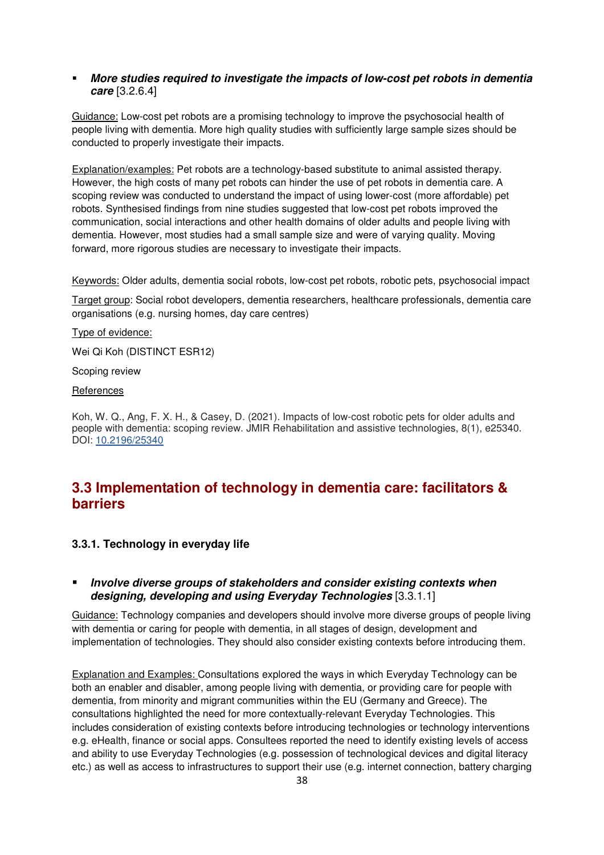# **More studies required to investigate the impacts of low-cost pet robots in dementia care** [3.2.6.4]

Guidance: Low-cost pet robots are a promising technology to improve the psychosocial health of people living with dementia. More high quality studies with sufficiently large sample sizes should be conducted to properly investigate their impacts.

Explanation/examples: Pet robots are a technology-based substitute to animal assisted therapy. However, the high costs of many pet robots can hinder the use of pet robots in dementia care. A scoping review was conducted to understand the impact of using lower-cost (more affordable) pet robots. Synthesised findings from nine studies suggested that low-cost pet robots improved the communication, social interactions and other health domains of older adults and people living with dementia. However, most studies had a small sample size and were of varying quality. Moving forward, more rigorous studies are necessary to investigate their impacts.

Keywords: Older adults, dementia social robots, low-cost pet robots, robotic pets, psychosocial impact

Target group: Social robot developers, dementia researchers, healthcare professionals, dementia care organisations (e.g. nursing homes, day care centres)

Type of evidence:

Wei Qi Koh (DISTINCT ESR12)

Scoping review

**References** 

Koh, W. Q., Ang, F. X. H., & Casey, D. (2021). Impacts of low-cost robotic pets for older adults and people with dementia: scoping review. JMIR Rehabilitation and assistive technologies, 8(1), e25340. DOI: 10.2196/25340

# **3.3 Implementation of technology in dementia care: facilitators & barriers**

# **3.3.1. Technology in everyday life**

# **Involve diverse groups of stakeholders and consider existing contexts when designing, developing and using Everyday Technologies** [3.3.1.1]

Guidance: Technology companies and developers should involve more diverse groups of people living with dementia or caring for people with dementia, in all stages of design, development and implementation of technologies. They should also consider existing contexts before introducing them.

Explanation and Examples: Consultations explored the ways in which Everyday Technology can be both an enabler and disabler, among people living with dementia, or providing care for people with dementia, from minority and migrant communities within the EU (Germany and Greece). The consultations highlighted the need for more contextually-relevant Everyday Technologies. This includes consideration of existing contexts before introducing technologies or technology interventions e.g. eHealth, finance or social apps. Consultees reported the need to identify existing levels of access and ability to use Everyday Technologies (e.g. possession of technological devices and digital literacy etc.) as well as access to infrastructures to support their use (e.g. internet connection, battery charging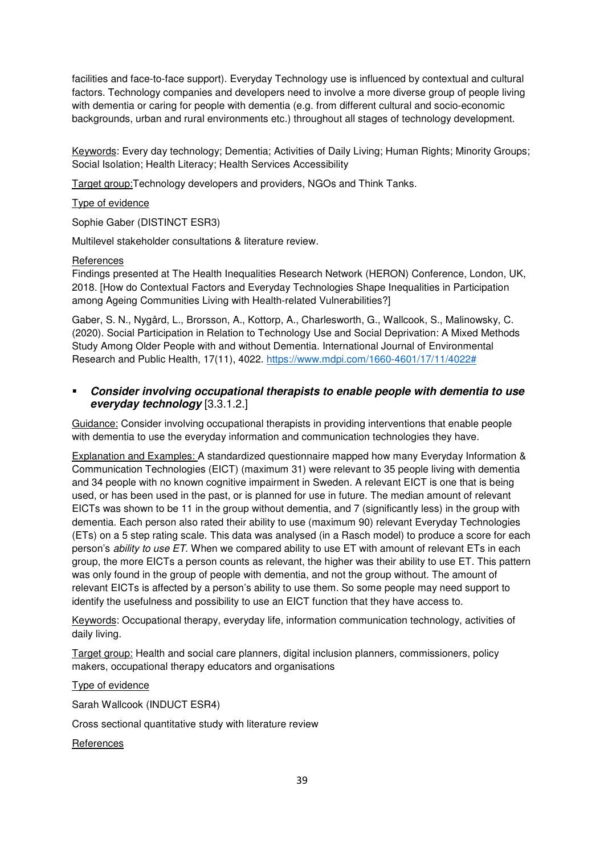facilities and face-to-face support). Everyday Technology use is influenced by contextual and cultural factors. Technology companies and developers need to involve a more diverse group of people living with dementia or caring for people with dementia (e.g. from different cultural and socio-economic backgrounds, urban and rural environments etc.) throughout all stages of technology development.

Keywords: Every day technology; Dementia; Activities of Daily Living; Human Rights; Minority Groups; Social Isolation; Health Literacy; Health Services Accessibility

Target group:Technology developers and providers, NGOs and Think Tanks.

#### Type of evidence

Sophie Gaber (DISTINCT ESR3)

Multilevel stakeholder consultations & literature review.

#### **References**

Findings presented at The Health Inequalities Research Network (HERON) Conference, London, UK, 2018. [How do Contextual Factors and Everyday Technologies Shape Inequalities in Participation among Ageing Communities Living with Health-related Vulnerabilities?]

Gaber, S. N., Nygård, L., Brorsson, A., Kottorp, A., Charlesworth, G., Wallcook, S., Malinowsky, C. (2020). Social Participation in Relation to Technology Use and Social Deprivation: A Mixed Methods Study Among Older People with and without Dementia. International Journal of Environmental Research and Public Health, 17(11), 4022. https://www.mdpi.com/1660-4601/17/11/4022#

# **Consider involving occupational therapists to enable people with dementia to use everyday technology** [3.3.1.2.]

Guidance: Consider involving occupational therapists in providing interventions that enable people with dementia to use the everyday information and communication technologies they have.

Explanation and Examples: A standardized questionnaire mapped how many Everyday Information & Communication Technologies (EICT) (maximum 31) were relevant to 35 people living with dementia and 34 people with no known cognitive impairment in Sweden. A relevant EICT is one that is being used, or has been used in the past, or is planned for use in future. The median amount of relevant EICTs was shown to be 11 in the group without dementia, and 7 (significantly less) in the group with dementia. Each person also rated their ability to use (maximum 90) relevant Everyday Technologies (ETs) on a 5 step rating scale. This data was analysed (in a Rasch model) to produce a score for each person's *ability to use ET*. When we compared ability to use ET with amount of relevant ETs in each group, the more EICTs a person counts as relevant, the higher was their ability to use ET. This pattern was only found in the group of people with dementia, and not the group without. The amount of relevant EICTs is affected by a person's ability to use them. So some people may need support to identify the usefulness and possibility to use an EICT function that they have access to.

Keywords: Occupational therapy, everyday life, information communication technology, activities of daily living.

Target group: Health and social care planners, digital inclusion planners, commissioners, policy makers, occupational therapy educators and organisations

Type of evidence

Sarah Wallcook (INDUCT ESR4)

Cross sectional quantitative study with literature review

**References**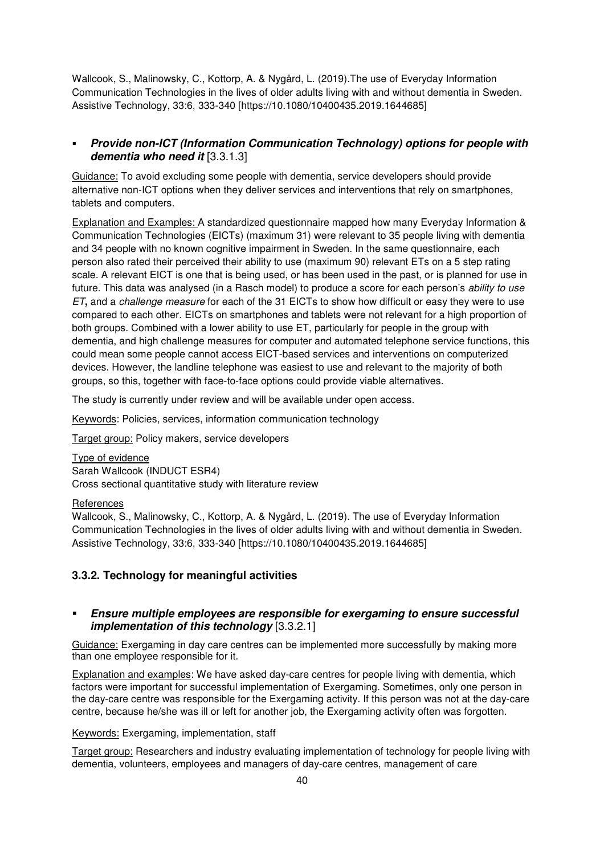Wallcook, S., Malinowsky, C., Kottorp, A. & Nygård, L. (2019).The use of Everyday Information Communication Technologies in the lives of older adults living with and without dementia in Sweden. Assistive Technology, 33:6, 333-340 [https://10.1080/10400435.2019.1644685]

# **Provide non-ICT (Information Communication Technology) options for people with dementia who need it** [3.3.1.3]

Guidance: To avoid excluding some people with dementia, service developers should provide alternative non-ICT options when they deliver services and interventions that rely on smartphones, tablets and computers.

Explanation and Examples: A standardized questionnaire mapped how many Everyday Information & Communication Technologies (EICTs) (maximum 31) were relevant to 35 people living with dementia and 34 people with no known cognitive impairment in Sweden. In the same questionnaire, each person also rated their perceived their ability to use (maximum 90) relevant ETs on a 5 step rating scale. A relevant EICT is one that is being used, or has been used in the past, or is planned for use in future. This data was analysed (in a Rasch model) to produce a score for each person's *ability to use ET***,** and a *challenge measure* for each of the 31 EICTs to show how difficult or easy they were to use compared to each other. EICTs on smartphones and tablets were not relevant for a high proportion of both groups. Combined with a lower ability to use ET, particularly for people in the group with dementia, and high challenge measures for computer and automated telephone service functions, this could mean some people cannot access EICT-based services and interventions on computerized devices. However, the landline telephone was easiest to use and relevant to the majority of both groups, so this, together with face-to-face options could provide viable alternatives.

The study is currently under review and will be available under open access.

Keywords: Policies, services, information communication technology

Target group: Policy makers, service developers

Type of evidence Sarah Wallcook (INDUCT ESR4) Cross sectional quantitative study with literature review

#### **References**

Wallcook, S., Malinowsky, C., Kottorp, A. & Nygård, L. (2019). The use of Everyday Information Communication Technologies in the lives of older adults living with and without dementia in Sweden. Assistive Technology, 33:6, 333-340 [https://10.1080/10400435.2019.1644685]

# **3.3.2. Technology for meaningful activities**

# **Ensure multiple employees are responsible for exergaming to ensure successful implementation of this technology** [3.3.2.1]

Guidance: Exergaming in day care centres can be implemented more successfully by making more than one employee responsible for it.

Explanation and examples: We have asked day-care centres for people living with dementia, which factors were important for successful implementation of Exergaming. Sometimes, only one person in the day-care centre was responsible for the Exergaming activity. If this person was not at the day-care centre, because he/she was ill or left for another job, the Exergaming activity often was forgotten.

# Keywords: Exergaming, implementation, staff

Target group: Researchers and industry evaluating implementation of technology for people living with dementia, volunteers, employees and managers of day-care centres, management of care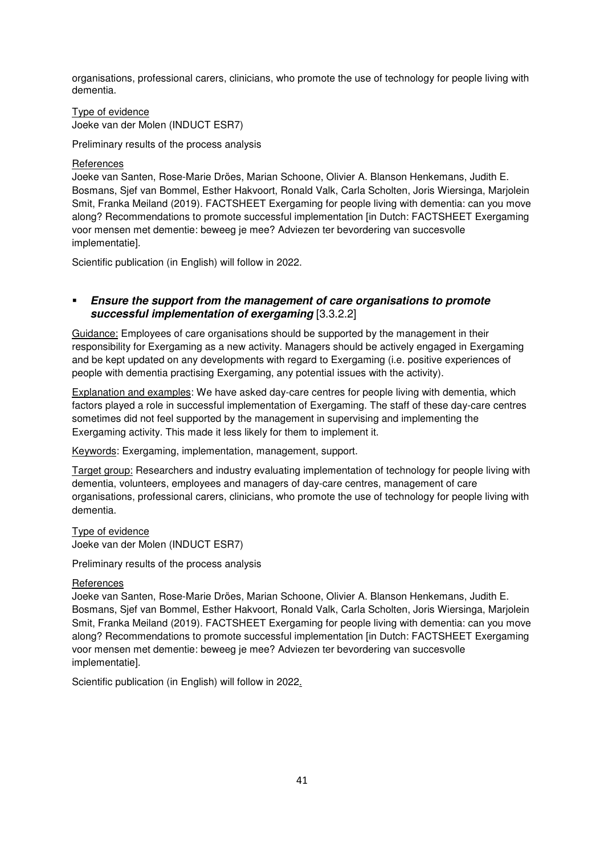organisations, professional carers, clinicians, who promote the use of technology for people living with dementia.

Type of evidence Joeke van der Molen (INDUCT ESR7)

Preliminary results of the process analysis

**References** 

Joeke van Santen, Rose-Marie Dröes, Marian Schoone, Olivier A. Blanson Henkemans, Judith E. Bosmans, Sjef van Bommel, Esther Hakvoort, Ronald Valk, Carla Scholten, Joris Wiersinga, Marjolein Smit, Franka Meiland (2019). FACTSHEET Exergaming for people living with dementia: can you move along? Recommendations to promote successful implementation [in Dutch: FACTSHEET Exergaming voor mensen met dementie: beweeg je mee? Adviezen ter bevordering van succesvolle implementatie].

Scientific publication (in English) will follow in 2022.

# **Ensure the support from the management of care organisations to promote successful implementation of exergaming** [3.3.2.2]

Guidance: Employees of care organisations should be supported by the management in their responsibility for Exergaming as a new activity. Managers should be actively engaged in Exergaming and be kept updated on any developments with regard to Exergaming (i.e. positive experiences of people with dementia practising Exergaming, any potential issues with the activity).

Explanation and examples: We have asked day-care centres for people living with dementia, which factors played a role in successful implementation of Exergaming. The staff of these day-care centres sometimes did not feel supported by the management in supervising and implementing the Exergaming activity. This made it less likely for them to implement it.

Keywords: Exergaming, implementation, management, support.

Target group: Researchers and industry evaluating implementation of technology for people living with dementia, volunteers, employees and managers of day-care centres, management of care organisations, professional carers, clinicians, who promote the use of technology for people living with dementia.

Type of evidence Joeke van der Molen (INDUCT ESR7)

Preliminary results of the process analysis

#### **References**

Joeke van Santen, Rose-Marie Dröes, Marian Schoone, Olivier A. Blanson Henkemans, Judith E. Bosmans, Sjef van Bommel, Esther Hakvoort, Ronald Valk, Carla Scholten, Joris Wiersinga, Marjolein Smit, Franka Meiland (2019). FACTSHEET Exergaming for people living with dementia: can you move along? Recommendations to promote successful implementation [in Dutch: FACTSHEET Exergaming voor mensen met dementie: beweeg je mee? Adviezen ter bevordering van succesvolle implementatie].

Scientific publication (in English) will follow in 2022.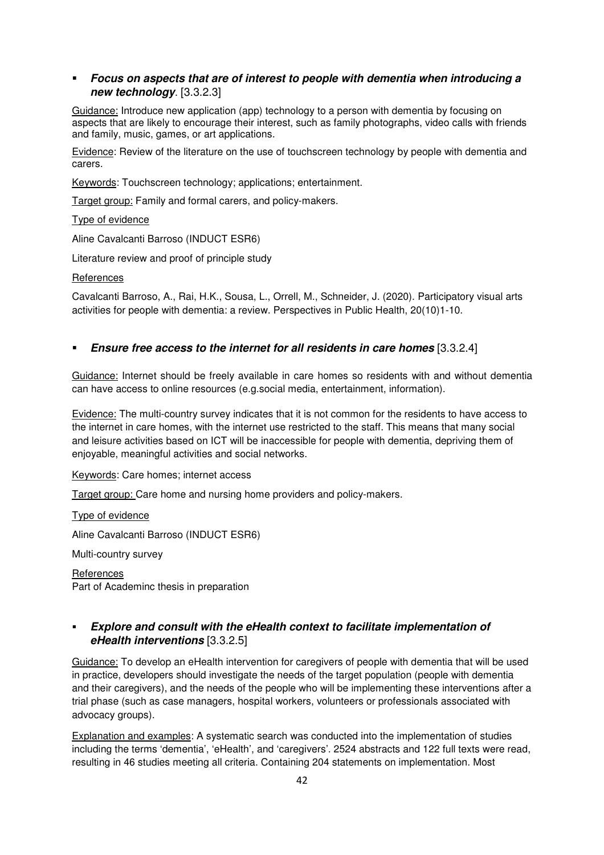# **Focus on aspects that are of interest to people with dementia when introducing a new technology**. [3.3.2.3]

Guidance: Introduce new application (app) technology to a person with dementia by focusing on aspects that are likely to encourage their interest, such as family photographs, video calls with friends and family, music, games, or art applications.

Evidence: Review of the literature on the use of touchscreen technology by people with dementia and carers.

Keywords: Touchscreen technology; applications; entertainment.

Target group: Family and formal carers, and policy-makers.

Type of evidence

Aline Cavalcanti Barroso (INDUCT ESR6)

Literature review and proof of principle study

**References** 

Cavalcanti Barroso, A., Rai, H.K., Sousa, L., Orrell, M., Schneider, J. (2020). Participatory visual arts activities for people with dementia: a review. Perspectives in Public Health, 20(10)1-10.

# **Ensure free access to the internet for all residents in care homes** [3.3.2.4]

Guidance: Internet should be freely available in care homes so residents with and without dementia can have access to online resources (e.g.social media, entertainment, information).

**Evidence:** The multi-country survey indicates that it is not common for the residents to have access to the internet in care homes, with the internet use restricted to the staff. This means that many social and leisure activities based on ICT will be inaccessible for people with dementia, depriving them of enjoyable, meaningful activities and social networks.

Keywords: Care homes; internet access

Target group: Care home and nursing home providers and policy-makers.

Type of evidence

Aline Cavalcanti Barroso (INDUCT ESR6)

Multi-country survey

References Part of Academinc thesis in preparation

# **Explore and consult with the eHealth context to facilitate implementation of eHealth interventions** [3.3.2.5]

Guidance: To develop an eHealth intervention for caregivers of people with dementia that will be used in practice, developers should investigate the needs of the target population (people with dementia and their caregivers), and the needs of the people who will be implementing these interventions after a trial phase (such as case managers, hospital workers, volunteers or professionals associated with advocacy groups).

Explanation and examples: A systematic search was conducted into the implementation of studies including the terms 'dementia', 'eHealth', and 'caregivers'. 2524 abstracts and 122 full texts were read, resulting in 46 studies meeting all criteria. Containing 204 statements on implementation. Most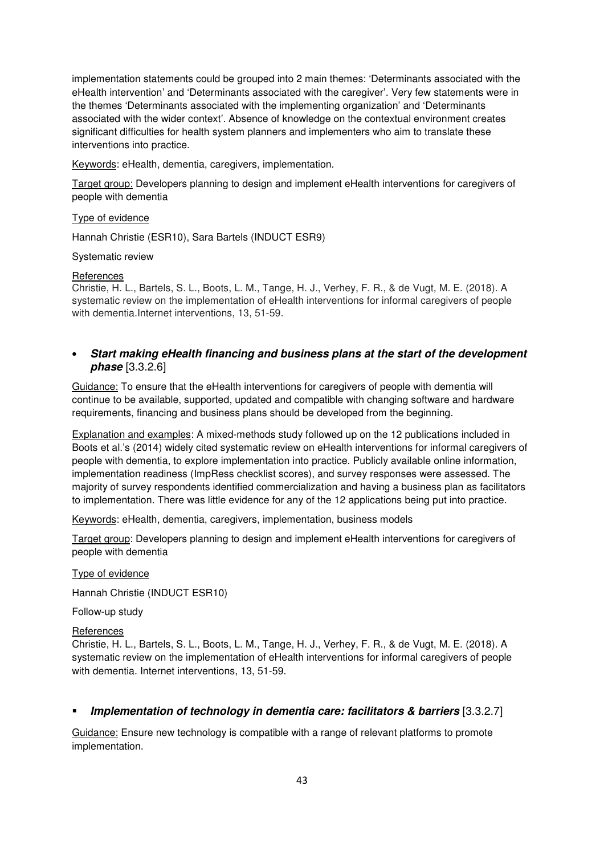implementation statements could be grouped into 2 main themes: 'Determinants associated with the eHealth intervention' and 'Determinants associated with the caregiver'. Very few statements were in the themes 'Determinants associated with the implementing organization' and 'Determinants associated with the wider context'. Absence of knowledge on the contextual environment creates significant difficulties for health system planners and implementers who aim to translate these interventions into practice.

Keywords: eHealth, dementia, caregivers, implementation.

Target group: Developers planning to design and implement eHealth interventions for caregivers of people with dementia

Type of evidence

Hannah Christie (ESR10), Sara Bartels (INDUCT ESR9)

Systematic review

#### **References**

Christie, H. L., Bartels, S. L., Boots, L. M., Tange, H. J., Verhey, F. R., & de Vugt, M. E. (2018). A systematic review on the implementation of eHealth interventions for informal caregivers of people with dementia.Internet interventions, 13, 51-59.

# • **Start making eHealth financing and business plans at the start of the development phase** [3.3.2.6]

Guidance: To ensure that the eHealth interventions for caregivers of people with dementia will continue to be available, supported, updated and compatible with changing software and hardware requirements, financing and business plans should be developed from the beginning.

Explanation and examples: A mixed-methods study followed up on the 12 publications included in Boots et al.'s (2014) widely cited systematic review on eHealth interventions for informal caregivers of people with dementia, to explore implementation into practice. Publicly available online information, implementation readiness (ImpRess checklist scores), and survey responses were assessed. The majority of survey respondents identified commercialization and having a business plan as facilitators to implementation. There was little evidence for any of the 12 applications being put into practice.

Keywords: eHealth, dementia, caregivers, implementation, business models

Target group: Developers planning to design and implement eHealth interventions for caregivers of people with dementia

Type of evidence

Hannah Christie (INDUCT ESR10)

Follow-up study

#### References

Christie, H. L., Bartels, S. L., Boots, L. M., Tange, H. J., Verhey, F. R., & de Vugt, M. E. (2018). A systematic review on the implementation of eHealth interventions for informal caregivers of people with dementia. Internet interventions, 13, 51-59.

# **Implementation of technology in dementia care: facilitators & barriers** [3.3.2.7]

Guidance: Ensure new technology is compatible with a range of relevant platforms to promote implementation.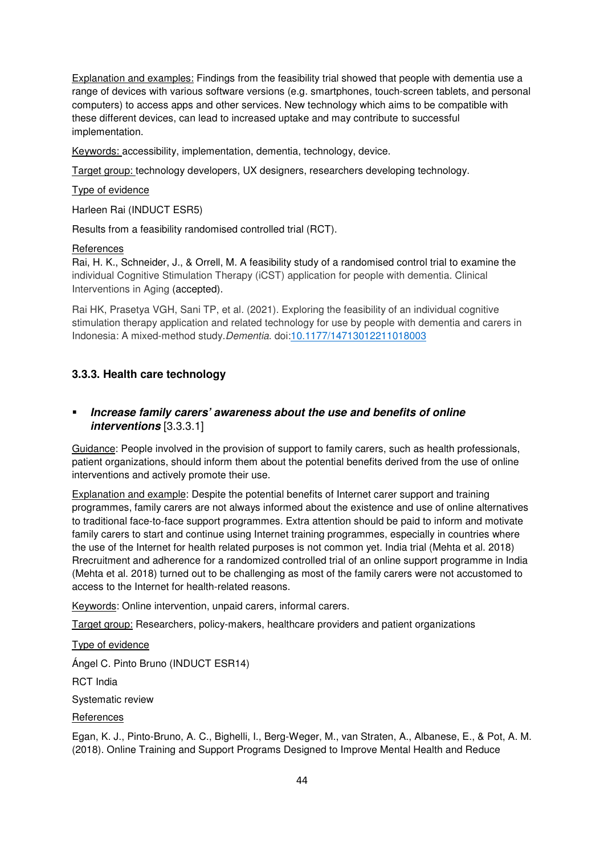Explanation and examples: Findings from the feasibility trial showed that people with dementia use a range of devices with various software versions (e.g. smartphones, touch-screen tablets, and personal computers) to access apps and other services. New technology which aims to be compatible with these different devices, can lead to increased uptake and may contribute to successful implementation.

Keywords: accessibility, implementation, dementia, technology, device.

Target group: technology developers, UX designers, researchers developing technology.

#### Type of evidence

Harleen Rai (INDUCT ESR5)

Results from a feasibility randomised controlled trial (RCT).

#### **References**

Rai, H. K., Schneider, J., & Orrell, M. A feasibility study of a randomised control trial to examine the individual Cognitive Stimulation Therapy (iCST) application for people with dementia. Clinical Interventions in Aging (accepted).

Rai HK, Prasetya VGH, Sani TP, et al. (2021). Exploring the feasibility of an individual cognitive stimulation therapy application and related technology for use by people with dementia and carers in Indonesia: A mixed-method study.*Dementia*. doi:10.1177/14713012211018003

# **3.3.3. Health care technology**

# **Increase family carers' awareness about the use and benefits of online interventions** [3.3.3.1]

Guidance: People involved in the provision of support to family carers, such as health professionals, patient organizations, should inform them about the potential benefits derived from the use of online interventions and actively promote their use.

Explanation and example: Despite the potential benefits of Internet carer support and training programmes, family carers are not always informed about the existence and use of online alternatives to traditional face-to-face support programmes. Extra attention should be paid to inform and motivate family carers to start and continue using Internet training programmes, especially in countries where the use of the Internet for health related purposes is not common yet. India trial (Mehta et al. 2018) Rrecruitment and adherence for a randomized controlled trial of an online support programme in India (Mehta et al. 2018) turned out to be challenging as most of the family carers were not accustomed to access to the Internet for health-related reasons.

Keywords: Online intervention, unpaid carers, informal carers.

Target group: Researchers, policy-makers, healthcare providers and patient organizations

Type of evidence Ángel C. Pinto Bruno (INDUCT ESR14) RCT India Systematic review **References** 

Egan, K. J., Pinto-Bruno, A. C., Bighelli, I., Berg-Weger, M., van Straten, A., Albanese, E., & Pot, A. M. (2018). Online Training and Support Programs Designed to Improve Mental Health and Reduce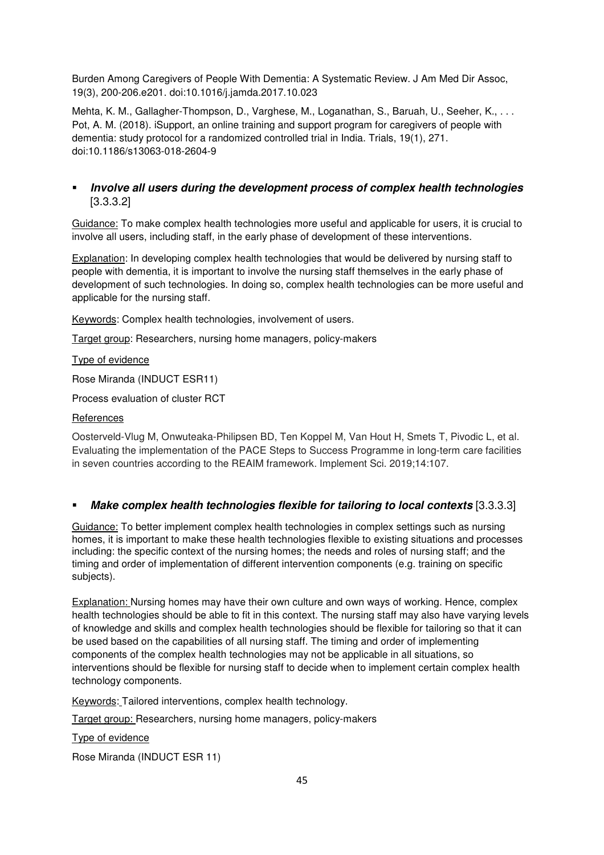Burden Among Caregivers of People With Dementia: A Systematic Review. J Am Med Dir Assoc, 19(3), 200-206.e201. doi:10.1016/j.jamda.2017.10.023

Mehta, K. M., Gallagher-Thompson, D., Varghese, M., Loganathan, S., Baruah, U., Seeher, K., . . . Pot, A. M. (2018). iSupport, an online training and support program for caregivers of people with dementia: study protocol for a randomized controlled trial in India. Trials, 19(1), 271. doi:10.1186/s13063-018-2604-9

# **Involve all users during the development process of complex health technologies**  [3.3.3.2]

Guidance: To make complex health technologies more useful and applicable for users, it is crucial to involve all users, including staff, in the early phase of development of these interventions.

Explanation: In developing complex health technologies that would be delivered by nursing staff to people with dementia, it is important to involve the nursing staff themselves in the early phase of development of such technologies. In doing so, complex health technologies can be more useful and applicable for the nursing staff.

Keywords: Complex health technologies, involvement of users.

Target group: Researchers, nursing home managers, policy-makers

Type of evidence

Rose Miranda (INDUCT ESR11)

Process evaluation of cluster RCT

#### **References**

Oosterveld-Vlug M, Onwuteaka-Philipsen BD, Ten Koppel M, Van Hout H, Smets T, Pivodic L, et al. Evaluating the implementation of the PACE Steps to Success Programme in long-term care facilities in seven countries according to the REAIM framework. Implement Sci. 2019;14:107.

# **Make complex health technologies flexible for tailoring to local contexts** [3.3.3.3]

Guidance: To better implement complex health technologies in complex settings such as nursing homes, it is important to make these health technologies flexible to existing situations and processes including: the specific context of the nursing homes; the needs and roles of nursing staff; and the timing and order of implementation of different intervention components (e.g. training on specific subjects).

**Explanation:** Nursing homes may have their own culture and own ways of working. Hence, complex health technologies should be able to fit in this context. The nursing staff may also have varying levels of knowledge and skills and complex health technologies should be flexible for tailoring so that it can be used based on the capabilities of all nursing staff. The timing and order of implementing components of the complex health technologies may not be applicable in all situations, so interventions should be flexible for nursing staff to decide when to implement certain complex health technology components.

Keywords: Tailored interventions, complex health technology.

Target group: Researchers, nursing home managers, policy-makers

Type of evidence

Rose Miranda (INDUCT ESR 11)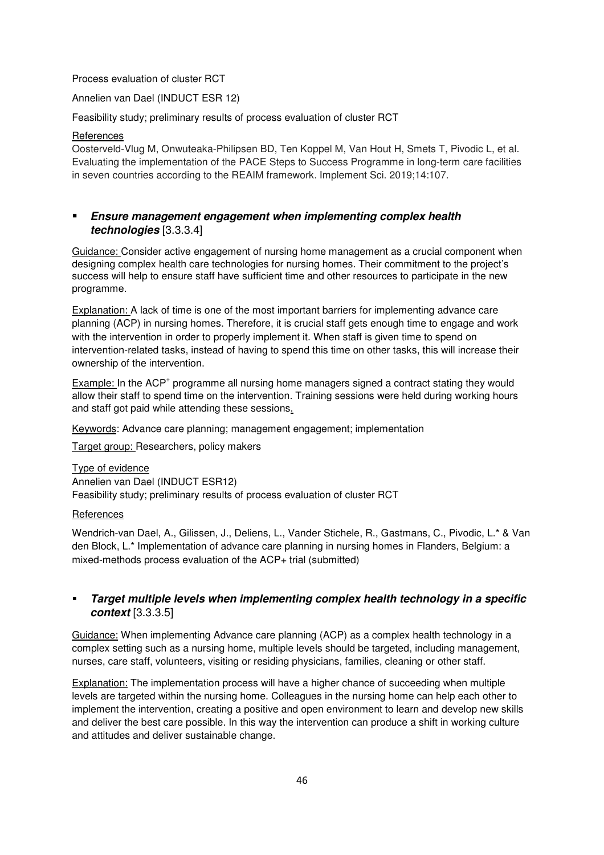#### Process evaluation of cluster RCT

Annelien van Dael (INDUCT ESR 12)

Feasibility study; preliminary results of process evaluation of cluster RCT

#### References

Oosterveld-Vlug M, Onwuteaka-Philipsen BD, Ten Koppel M, Van Hout H, Smets T, Pivodic L, et al. Evaluating the implementation of the PACE Steps to Success Programme in long-term care facilities in seven countries according to the REAIM framework. Implement Sci. 2019;14:107.

# **Ensure management engagement when implementing complex health technologies** [3.3.3.4]

Guidance: Consider active engagement of nursing home management as a crucial component when designing complex health care technologies for nursing homes. Their commitment to the project's success will help to ensure staff have sufficient time and other resources to participate in the new programme.

Explanation: A lack of time is one of the most important barriers for implementing advance care planning (ACP) in nursing homes. Therefore, it is crucial staff gets enough time to engage and work with the intervention in order to properly implement it. When staff is given time to spend on intervention-related tasks, instead of having to spend this time on other tasks, this will increase their ownership of the intervention.

Example: In the ACP<sup>+</sup> programme all nursing home managers signed a contract stating they would allow their staff to spend time on the intervention. Training sessions were held during working hours and staff got paid while attending these sessions.

Keywords: Advance care planning; management engagement; implementation

Target group: Researchers, policy makers

#### Type of evidence

Annelien van Dael (INDUCT ESR12) Feasibility study; preliminary results of process evaluation of cluster RCT

# **References**

Wendrich-van Dael, A., Gilissen, J., Deliens, L., Vander Stichele, R., Gastmans, C., Pivodic, L.\* & Van den Block, L.\* Implementation of advance care planning in nursing homes in Flanders, Belgium: a mixed-methods process evaluation of the ACP+ trial (submitted)

# **Target multiple levels when implementing complex health technology in a specific context** [3.3.3.5]

Guidance: When implementing Advance care planning (ACP) as a complex health technology in a complex setting such as a nursing home, multiple levels should be targeted, including management, nurses, care staff, volunteers, visiting or residing physicians, families, cleaning or other staff.

Explanation: The implementation process will have a higher chance of succeeding when multiple levels are targeted within the nursing home. Colleagues in the nursing home can help each other to implement the intervention, creating a positive and open environment to learn and develop new skills and deliver the best care possible. In this way the intervention can produce a shift in working culture and attitudes and deliver sustainable change.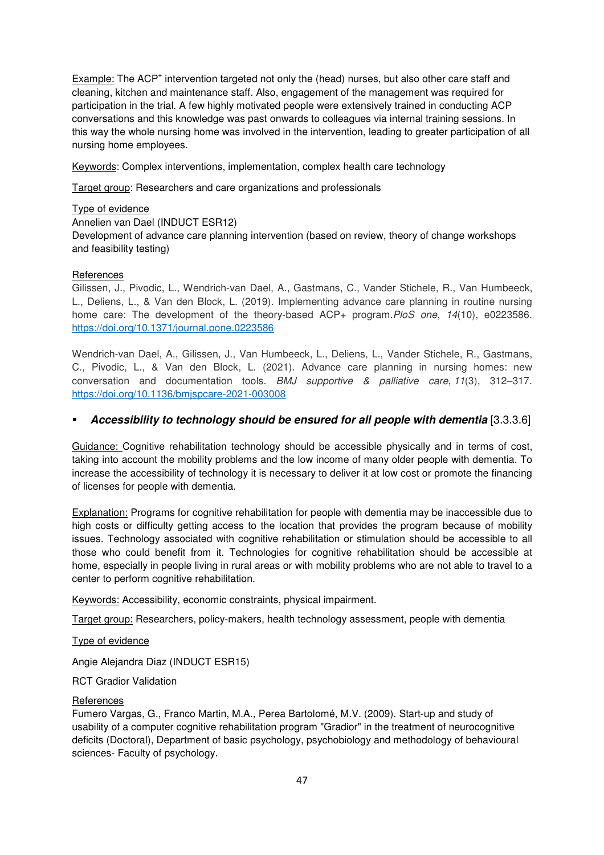Example: The ACP<sup>+</sup> intervention targeted not only the (head) nurses, but also other care staff and cleaning, kitchen and maintenance staff. Also, engagement of the management was required for participation in the trial. A few highly motivated people were extensively trained in conducting ACP conversations and this knowledge was past onwards to colleagues via internal training sessions. In this way the whole nursing home was involved in the intervention, leading to greater participation of all nursing home employees.

Keywords: Complex interventions, implementation, complex health care technology

Target group: Researchers and care organizations and professionals

#### Type of evidence

#### Annelien van Dael (INDUCT ESR12)

Development of advance care planning intervention (based on review, theory of change workshops and feasibility testing)

#### **References**

Gilissen, J., Pivodic, L., Wendrich-van Dael, A., Gastmans, C., Vander Stichele, R., Van Humbeeck, L., Deliens, L., & Van den Block, L. (2019). Implementing advance care planning in routine nursing home care: The development of the theory-based ACP+ program.*PloS one*, *14*(10), e0223586. https://doi.org/10.1371/journal.pone.0223586

Wendrich-van Dael, A., Gilissen, J., Van Humbeeck, L., Deliens, L., Vander Stichele, R., Gastmans, C., Pivodic, L., & Van den Block, L. (2021). Advance care planning in nursing homes: new conversation and documentation tools. *BMJ supportive & palliative care*, *11*(3), 312–317. https://doi.org/10.1136/bmjspcare-2021-003008

# **Accessibility to technology should be ensured for all people with dementia** [3.3.3.6]

Guidance: Cognitive rehabilitation technology should be accessible physically and in terms of cost, taking into account the mobility problems and the low income of many older people with dementia. To increase the accessibility of technology it is necessary to deliver it at low cost or promote the financing of licenses for people with dementia.

Explanation: Programs for cognitive rehabilitation for people with dementia may be inaccessible due to high costs or difficulty getting access to the location that provides the program because of mobility issues. Technology associated with cognitive rehabilitation or stimulation should be accessible to all those who could benefit from it. Technologies for cognitive rehabilitation should be accessible at home, especially in people living in rural areas or with mobility problems who are not able to travel to a center to perform cognitive rehabilitation.

Keywords: Accessibility, economic constraints, physical impairment.

Target group: Researchers, policy-makers, health technology assessment, people with dementia

# Type of evidence

Angie Alejandra Diaz (INDUCT ESR15)

RCT Gradior Validation

#### **References**

Fumero Vargas, G., Franco Martin, M.A., Perea Bartolomé, M.V. (2009). Start-up and study of usability of a computer cognitive rehabilitation program "Gradior" in the treatment of neurocognitive deficits (Doctoral), Department of basic psychology, psychobiology and methodology of behavioural sciences- Faculty of psychology.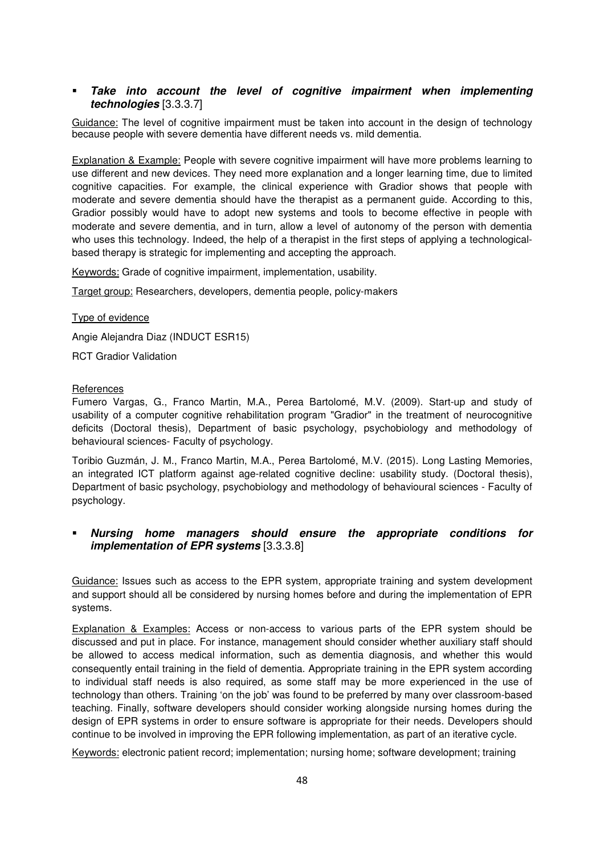# **Take into account the level of cognitive impairment when implementing technologies** [3.3.3.7]

Guidance: The level of cognitive impairment must be taken into account in the design of technology because people with severe dementia have different needs vs. mild dementia.

Explanation & Example: People with severe cognitive impairment will have more problems learning to use different and new devices. They need more explanation and a longer learning time, due to limited cognitive capacities. For example, the clinical experience with Gradior shows that people with moderate and severe dementia should have the therapist as a permanent guide. According to this, Gradior possibly would have to adopt new systems and tools to become effective in people with moderate and severe dementia, and in turn, allow a level of autonomy of the person with dementia who uses this technology. Indeed, the help of a therapist in the first steps of applying a technologicalbased therapy is strategic for implementing and accepting the approach.

Keywords: Grade of cognitive impairment, implementation, usability.

Target group: Researchers, developers, dementia people, policy-makers

Type of evidence

Angie Alejandra Diaz (INDUCT ESR15)

RCT Gradior Validation

#### **References**

Fumero Vargas, G., Franco Martin, M.A., Perea Bartolomé, M.V. (2009). Start-up and study of usability of a computer cognitive rehabilitation program "Gradior" in the treatment of neurocognitive deficits (Doctoral thesis), Department of basic psychology, psychobiology and methodology of behavioural sciences- Faculty of psychology.

Toribio Guzmán, J. M., Franco Martin, M.A., Perea Bartolomé, M.V. (2015). Long Lasting Memories, an integrated ICT platform against age-related cognitive decline: usability study. (Doctoral thesis), Department of basic psychology, psychobiology and methodology of behavioural sciences - Faculty of psychology.

# **Nursing home managers should ensure the appropriate conditions for implementation of EPR systems** [3.3.3.8]

Guidance: Issues such as access to the EPR system, appropriate training and system development and support should all be considered by nursing homes before and during the implementation of EPR systems.

Explanation & Examples: Access or non-access to various parts of the EPR system should be discussed and put in place. For instance, management should consider whether auxiliary staff should be allowed to access medical information, such as dementia diagnosis, and whether this would consequently entail training in the field of dementia. Appropriate training in the EPR system according to individual staff needs is also required, as some staff may be more experienced in the use of technology than others. Training 'on the job' was found to be preferred by many over classroom-based teaching. Finally, software developers should consider working alongside nursing homes during the design of EPR systems in order to ensure software is appropriate for their needs. Developers should continue to be involved in improving the EPR following implementation, as part of an iterative cycle.

Keywords: electronic patient record; implementation; nursing home; software development; training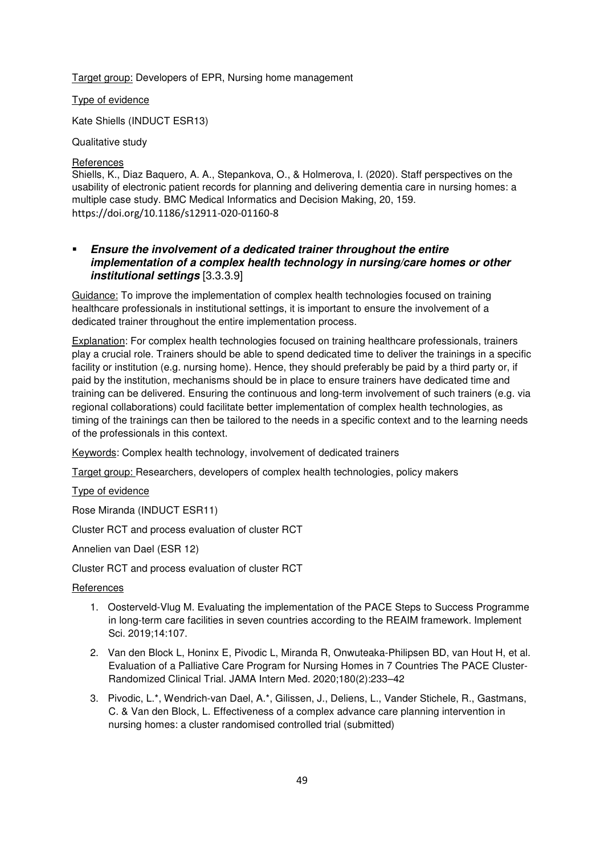Target group: Developers of EPR, Nursing home management

Type of evidence

Kate Shiells (INDUCT ESR13)

Qualitative study

# **References**

Shiells, K., Diaz Baquero, A. A., Stepankova, O., & Holmerova, I. (2020). Staff perspectives on the usability of electronic patient records for planning and delivering dementia care in nursing homes: a multiple case study. BMC Medical Informatics and Decision Making, 20, 159. https://doi.org/10.1186/s12911‐020‐01160‐8

# **Ensure the involvement of a dedicated trainer throughout the entire implementation of a complex health technology in nursing/care homes or other institutional settings** [3.3.3.9]

Guidance: To improve the implementation of complex health technologies focused on training healthcare professionals in institutional settings, it is important to ensure the involvement of a dedicated trainer throughout the entire implementation process.

Explanation: For complex health technologies focused on training healthcare professionals, trainers play a crucial role. Trainers should be able to spend dedicated time to deliver the trainings in a specific facility or institution (e.g. nursing home). Hence, they should preferably be paid by a third party or, if paid by the institution, mechanisms should be in place to ensure trainers have dedicated time and training can be delivered. Ensuring the continuous and long-term involvement of such trainers (e.g. via regional collaborations) could facilitate better implementation of complex health technologies, as timing of the trainings can then be tailored to the needs in a specific context and to the learning needs of the professionals in this context.

Keywords: Complex health technology, involvement of dedicated trainers

Target group: Researchers, developers of complex health technologies, policy makers

Type of evidence

Rose Miranda (INDUCT ESR11)

Cluster RCT and process evaluation of cluster RCT

Annelien van Dael (ESR 12)

Cluster RCT and process evaluation of cluster RCT

**References** 

- 1. Oosterveld-Vlug M. Evaluating the implementation of the PACE Steps to Success Programme in long-term care facilities in seven countries according to the REAIM framework. Implement Sci. 2019;14:107.
- 2. Van den Block L, Honinx E, Pivodic L, Miranda R, Onwuteaka-Philipsen BD, van Hout H, et al. Evaluation of a Palliative Care Program for Nursing Homes in 7 Countries The PACE Cluster-Randomized Clinical Trial. JAMA Intern Med. 2020;180(2):233–42
- 3. Pivodic, L.\*, Wendrich-van Dael, A.\*, Gilissen, J., Deliens, L., Vander Stichele, R., Gastmans, C. & Van den Block, L. Effectiveness of a complex advance care planning intervention in nursing homes: a cluster randomised controlled trial (submitted)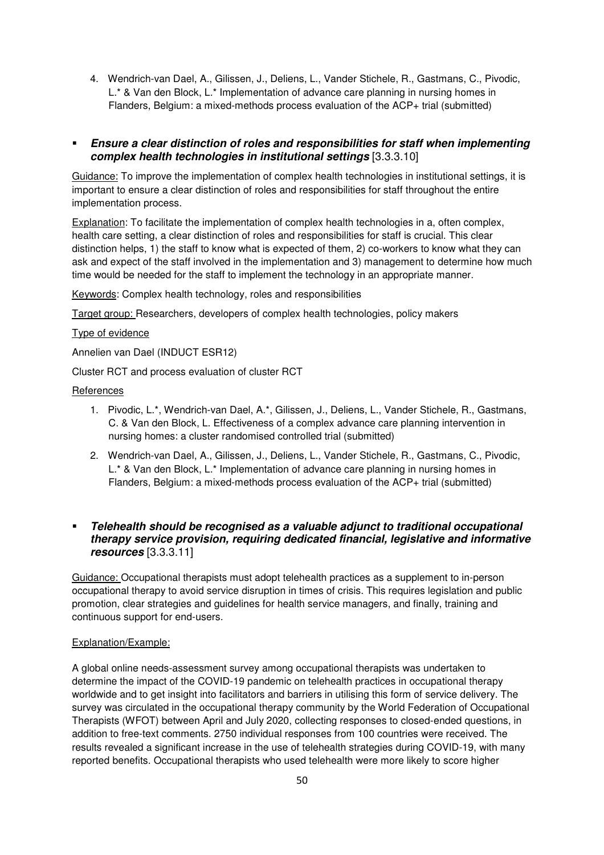4. Wendrich-van Dael, A., Gilissen, J., Deliens, L., Vander Stichele, R., Gastmans, C., Pivodic, L.\* & Van den Block, L.\* Implementation of advance care planning in nursing homes in Flanders, Belgium: a mixed-methods process evaluation of the ACP+ trial (submitted)

# **Ensure a clear distinction of roles and responsibilities for staff when implementing complex health technologies in institutional settings** [3.3.3.10]

Guidance: To improve the implementation of complex health technologies in institutional settings, it is important to ensure a clear distinction of roles and responsibilities for staff throughout the entire implementation process.

Explanation: To facilitate the implementation of complex health technologies in a, often complex, health care setting, a clear distinction of roles and responsibilities for staff is crucial. This clear distinction helps, 1) the staff to know what is expected of them, 2) co-workers to know what they can ask and expect of the staff involved in the implementation and 3) management to determine how much time would be needed for the staff to implement the technology in an appropriate manner.

Keywords: Complex health technology, roles and responsibilities

Target group: Researchers, developers of complex health technologies, policy makers

#### Type of evidence

Annelien van Dael (INDUCT ESR12)

Cluster RCT and process evaluation of cluster RCT

#### **References**

- 1. Pivodic, L.\*, Wendrich-van Dael, A.\*, Gilissen, J., Deliens, L., Vander Stichele, R., Gastmans, C. & Van den Block, L. Effectiveness of a complex advance care planning intervention in nursing homes: a cluster randomised controlled trial (submitted)
- 2. Wendrich-van Dael, A., Gilissen, J., Deliens, L., Vander Stichele, R., Gastmans, C., Pivodic, L.\* & Van den Block, L.\* Implementation of advance care planning in nursing homes in Flanders, Belgium: a mixed-methods process evaluation of the ACP+ trial (submitted)

# **Telehealth should be recognised as a valuable adjunct to traditional occupational therapy service provision, requiring dedicated financial, legislative and informative resources** [3.3.3.11]

Guidance: Occupational therapists must adopt telehealth practices as a supplement to in-person occupational therapy to avoid service disruption in times of crisis. This requires legislation and public promotion, clear strategies and guidelines for health service managers, and finally, training and continuous support for end-users.

# Explanation/Example:

A global online needs-assessment survey among occupational therapists was undertaken to determine the impact of the COVID-19 pandemic on telehealth practices in occupational therapy worldwide and to get insight into facilitators and barriers in utilising this form of service delivery. The survey was circulated in the occupational therapy community by the World Federation of Occupational Therapists (WFOT) between April and July 2020, collecting responses to closed-ended questions, in addition to free-text comments. 2750 individual responses from 100 countries were received. The results revealed a significant increase in the use of telehealth strategies during COVID-19, with many reported benefits. Occupational therapists who used telehealth were more likely to score higher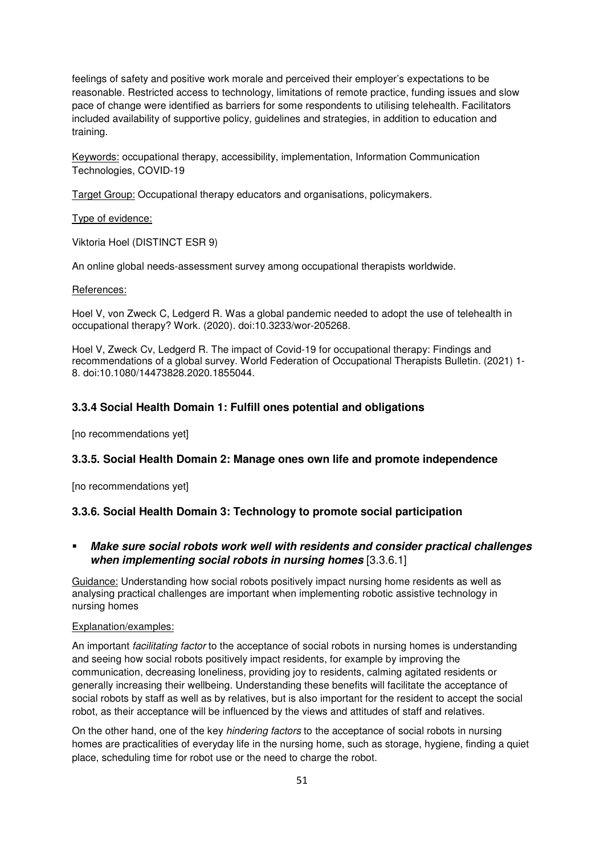feelings of safety and positive work morale and perceived their employer's expectations to be reasonable. Restricted access to technology, limitations of remote practice, funding issues and slow pace of change were identified as barriers for some respondents to utilising telehealth. Facilitators included availability of supportive policy, guidelines and strategies, in addition to education and training.

Keywords: occupational therapy, accessibility, implementation, Information Communication Technologies, COVID-19

Target Group: Occupational therapy educators and organisations, policymakers.

Type of evidence:

Viktoria Hoel (DISTINCT ESR 9)

An online global needs-assessment survey among occupational therapists worldwide.

#### References:

Hoel V, von Zweck C, Ledgerd R. Was a global pandemic needed to adopt the use of telehealth in occupational therapy? Work. (2020). doi:10.3233/wor-205268.

Hoel V, Zweck Cv, Ledgerd R. The impact of Covid-19 for occupational therapy: Findings and recommendations of a global survey. World Federation of Occupational Therapists Bulletin. (2021) 1- 8. doi:10.1080/14473828.2020.1855044.

# **3.3.4 Social Health Domain 1: Fulfill ones potential and obligations**

[no recommendations yet]

# **3.3.5. Social Health Domain 2: Manage ones own life and promote independence**

[no recommendations yet]

# **3.3.6. Social Health Domain 3: Technology to promote social participation**

# **Make sure social robots work well with residents and consider practical challenges when implementing social robots in nursing homes** [3.3.6.1]

Guidance: Understanding how social robots positively impact nursing home residents as well as analysing practical challenges are important when implementing robotic assistive technology in nursing homes

#### Explanation/examples:

An important *facilitating factor* to the acceptance of social robots in nursing homes is understanding and seeing how social robots positively impact residents, for example by improving the communication, decreasing loneliness, providing joy to residents, calming agitated residents or generally increasing their wellbeing. Understanding these benefits will facilitate the acceptance of social robots by staff as well as by relatives, but is also important for the resident to accept the social robot, as their acceptance will be influenced by the views and attitudes of staff and relatives.

On the other hand, one of the key *hindering factors* to the acceptance of social robots in nursing homes are practicalities of everyday life in the nursing home, such as storage, hygiene, finding a quiet place, scheduling time for robot use or the need to charge the robot.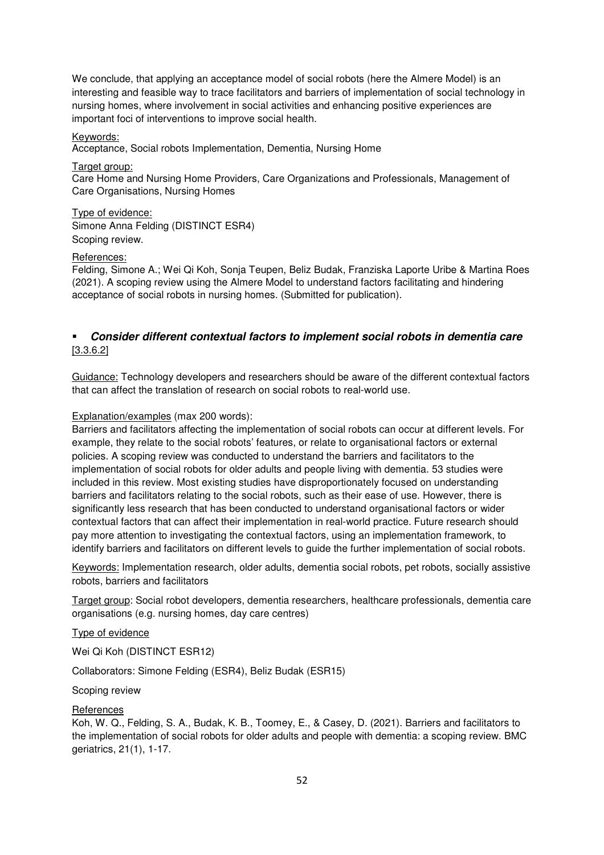We conclude, that applying an acceptance model of social robots (here the Almere Model) is an interesting and feasible way to trace facilitators and barriers of implementation of social technology in nursing homes, where involvement in social activities and enhancing positive experiences are important foci of interventions to improve social health.

# Keywords:

Acceptance, Social robots Implementation, Dementia, Nursing Home

Target group: Care Home and Nursing Home Providers, Care Organizations and Professionals, Management of Care Organisations, Nursing Homes

Type of evidence: Simone Anna Felding (DISTINCT ESR4) Scoping review.

#### References:

Felding, Simone A.; Wei Qi Koh, Sonja Teupen, Beliz Budak, Franziska Laporte Uribe & Martina Roes (2021). A scoping review using the Almere Model to understand factors facilitating and hindering acceptance of social robots in nursing homes. (Submitted for publication).

# **Consider different contextual factors to implement social robots in dementia care**  [3.3.6.2]

Guidance: Technology developers and researchers should be aware of the different contextual factors that can affect the translation of research on social robots to real-world use.

#### Explanation/examples (max 200 words):

Barriers and facilitators affecting the implementation of social robots can occur at different levels. For example, they relate to the social robots' features, or relate to organisational factors or external policies. A scoping review was conducted to understand the barriers and facilitators to the implementation of social robots for older adults and people living with dementia. 53 studies were included in this review. Most existing studies have disproportionately focused on understanding barriers and facilitators relating to the social robots, such as their ease of use. However, there is significantly less research that has been conducted to understand organisational factors or wider contextual factors that can affect their implementation in real-world practice. Future research should pay more attention to investigating the contextual factors, using an implementation framework, to identify barriers and facilitators on different levels to guide the further implementation of social robots.

Keywords: Implementation research, older adults, dementia social robots, pet robots, socially assistive robots, barriers and facilitators

Target group: Social robot developers, dementia researchers, healthcare professionals, dementia care organisations (e.g. nursing homes, day care centres)

#### Type of evidence

Wei Qi Koh (DISTINCT ESR12)

Collaborators: Simone Felding (ESR4), Beliz Budak (ESR15)

#### Scoping review

#### **References**

Koh, W. Q., Felding, S. A., Budak, K. B., Toomey, E., & Casey, D. (2021). Barriers and facilitators to the implementation of social robots for older adults and people with dementia: a scoping review. BMC geriatrics, 21(1), 1-17.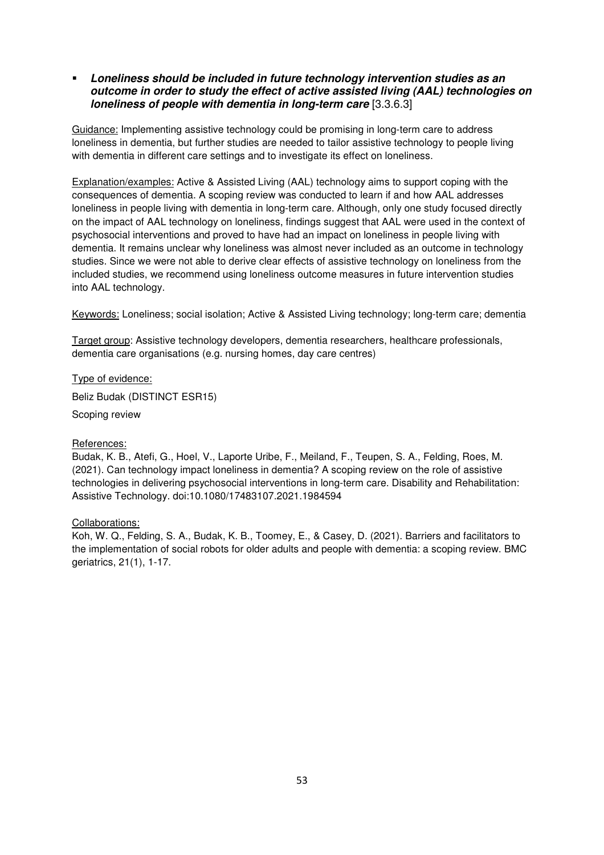**Loneliness should be included in future technology intervention studies as an outcome in order to study the effect of active assisted living (AAL) technologies on loneliness of people with dementia in long-term care** [3.3.6.3]

Guidance: Implementing assistive technology could be promising in long-term care to address loneliness in dementia, but further studies are needed to tailor assistive technology to people living with dementia in different care settings and to investigate its effect on loneliness.

Explanation/examples: Active & Assisted Living (AAL) technology aims to support coping with the consequences of dementia. A scoping review was conducted to learn if and how AAL addresses loneliness in people living with dementia in long-term care. Although, only one study focused directly on the impact of AAL technology on loneliness, findings suggest that AAL were used in the context of psychosocial interventions and proved to have had an impact on loneliness in people living with dementia. It remains unclear why loneliness was almost never included as an outcome in technology studies. Since we were not able to derive clear effects of assistive technology on loneliness from the included studies, we recommend using loneliness outcome measures in future intervention studies into AAL technology.

Keywords: Loneliness; social isolation; Active & Assisted Living technology; long-term care; dementia

Target group: Assistive technology developers, dementia researchers, healthcare professionals, dementia care organisations (e.g. nursing homes, day care centres)

Type of evidence: Beliz Budak (DISTINCT ESR15)

Scoping review

# References:

Budak, K. B., Atefi, G., Hoel, V., Laporte Uribe, F., Meiland, F., Teupen, S. A., Felding, Roes, M. (2021). Can technology impact loneliness in dementia? A scoping review on the role of assistive technologies in delivering psychosocial interventions in long-term care. Disability and Rehabilitation: Assistive Technology. doi:10.1080/17483107.2021.1984594

#### Collaborations:

Koh, W. Q., Felding, S. A., Budak, K. B., Toomey, E., & Casey, D. (2021). Barriers and facilitators to the implementation of social robots for older adults and people with dementia: a scoping review. BMC geriatrics, 21(1), 1-17.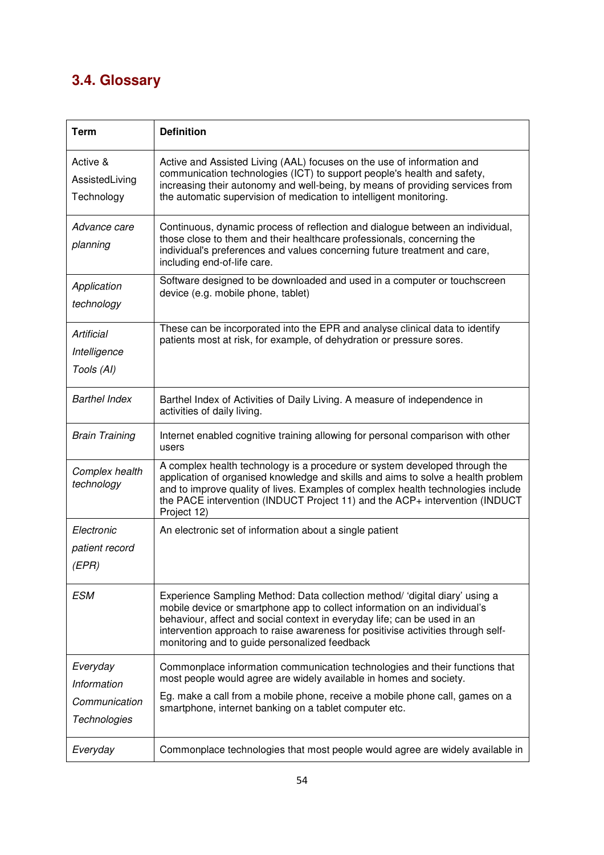# **3.4. Glossary**

| <b>Term</b>                                              | <b>Definition</b>                                                                                                                                                                                                                                                                                                                                                         |
|----------------------------------------------------------|---------------------------------------------------------------------------------------------------------------------------------------------------------------------------------------------------------------------------------------------------------------------------------------------------------------------------------------------------------------------------|
| Active &<br>AssistedLiving<br>Technology                 | Active and Assisted Living (AAL) focuses on the use of information and<br>communication technologies (ICT) to support people's health and safety,<br>increasing their autonomy and well-being, by means of providing services from<br>the automatic supervision of medication to intelligent monitoring.                                                                  |
| Advance care<br>planning                                 | Continuous, dynamic process of reflection and dialogue between an individual,<br>those close to them and their healthcare professionals, concerning the<br>individual's preferences and values concerning future treatment and care,<br>including end-of-life care.                                                                                                       |
| Application<br>technology                                | Software designed to be downloaded and used in a computer or touchscreen<br>device (e.g. mobile phone, tablet)                                                                                                                                                                                                                                                            |
| Artificial<br>Intelligence<br>Tools (AI)                 | These can be incorporated into the EPR and analyse clinical data to identify<br>patients most at risk, for example, of dehydration or pressure sores.                                                                                                                                                                                                                     |
| <b>Barthel Index</b>                                     | Barthel Index of Activities of Daily Living. A measure of independence in<br>activities of daily living.                                                                                                                                                                                                                                                                  |
| <b>Brain Training</b>                                    | Internet enabled cognitive training allowing for personal comparison with other<br>users                                                                                                                                                                                                                                                                                  |
| Complex health<br>technology                             | A complex health technology is a procedure or system developed through the<br>application of organised knowledge and skills and aims to solve a health problem<br>and to improve quality of lives. Examples of complex health technologies include<br>the PACE intervention (INDUCT Project 11) and the ACP+ intervention (INDUCT<br>Project 12)                          |
| Electronic<br>patient record<br>(EPR)                    | An electronic set of information about a single patient                                                                                                                                                                                                                                                                                                                   |
| ESM                                                      | Experience Sampling Method: Data collection method/ 'digital diary' using a<br>mobile device or smartphone app to collect information on an individual's<br>behaviour, affect and social context in everyday life; can be used in an<br>intervention approach to raise awareness for positivise activities through self-<br>monitoring and to guide personalized feedback |
| Everyday<br>Information<br>Communication<br>Technologies | Commonplace information communication technologies and their functions that<br>most people would agree are widely available in homes and society.<br>Eg. make a call from a mobile phone, receive a mobile phone call, games on a<br>smartphone, internet banking on a tablet computer etc.                                                                               |
| Everyday                                                 | Commonplace technologies that most people would agree are widely available in                                                                                                                                                                                                                                                                                             |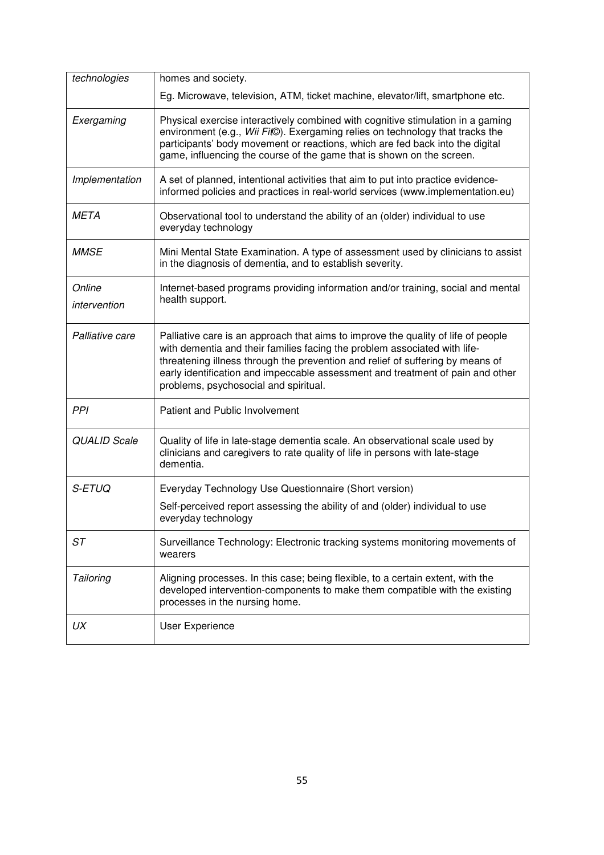| technologies           | homes and society.                                                                                                                                                                                                                                                                                                                                                          |
|------------------------|-----------------------------------------------------------------------------------------------------------------------------------------------------------------------------------------------------------------------------------------------------------------------------------------------------------------------------------------------------------------------------|
|                        | Eg. Microwave, television, ATM, ticket machine, elevator/lift, smartphone etc.                                                                                                                                                                                                                                                                                              |
| Exergaming             | Physical exercise interactively combined with cognitive stimulation in a gaming<br>environment (e.g., Wii Fit©). Exergaming relies on technology that tracks the<br>participants' body movement or reactions, which are fed back into the digital<br>game, influencing the course of the game that is shown on the screen.                                                  |
| Implementation         | A set of planned, intentional activities that aim to put into practice evidence-<br>informed policies and practices in real-world services (www.implementation.eu)                                                                                                                                                                                                          |
| <b>META</b>            | Observational tool to understand the ability of an (older) individual to use<br>everyday technology                                                                                                                                                                                                                                                                         |
| <b>MMSE</b>            | Mini Mental State Examination. A type of assessment used by clinicians to assist<br>in the diagnosis of dementia, and to establish severity.                                                                                                                                                                                                                                |
| Online<br>intervention | Internet-based programs providing information and/or training, social and mental<br>health support.                                                                                                                                                                                                                                                                         |
| Palliative care        | Palliative care is an approach that aims to improve the quality of life of people<br>with dementia and their families facing the problem associated with life-<br>threatening illness through the prevention and relief of suffering by means of<br>early identification and impeccable assessment and treatment of pain and other<br>problems, psychosocial and spiritual. |
| PPI                    | Patient and Public Involvement                                                                                                                                                                                                                                                                                                                                              |
| <b>QUALID Scale</b>    | Quality of life in late-stage dementia scale. An observational scale used by<br>clinicians and caregivers to rate quality of life in persons with late-stage<br>dementia.                                                                                                                                                                                                   |
| S-ETUQ                 | Everyday Technology Use Questionnaire (Short version)                                                                                                                                                                                                                                                                                                                       |
|                        | Self-perceived report assessing the ability of and (older) individual to use<br>everyday technology                                                                                                                                                                                                                                                                         |
| ST                     | Surveillance Technology: Electronic tracking systems monitoring movements of<br>wearers                                                                                                                                                                                                                                                                                     |
| Tailoring              | Aligning processes. In this case; being flexible, to a certain extent, with the<br>developed intervention-components to make them compatible with the existing<br>processes in the nursing home.                                                                                                                                                                            |
| UX                     | User Experience                                                                                                                                                                                                                                                                                                                                                             |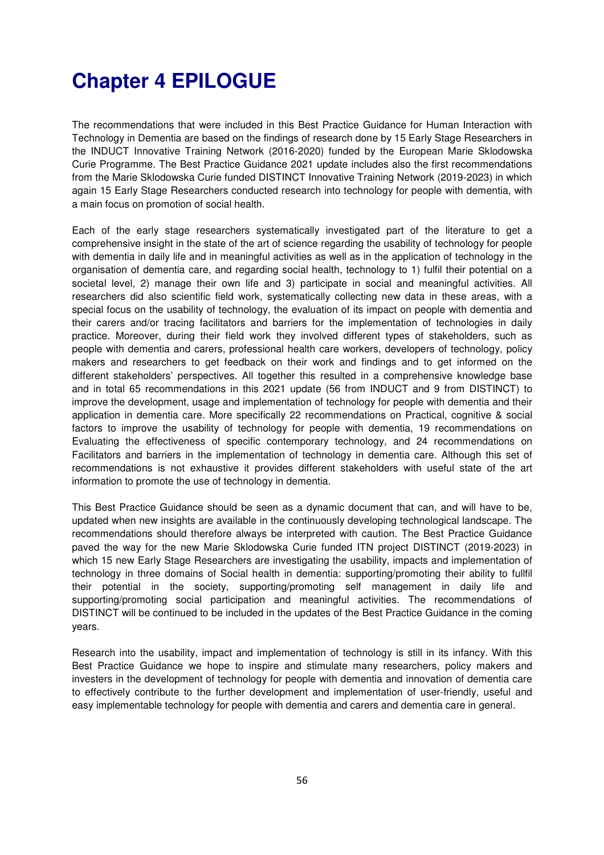# **Chapter 4 EPILOGUE**

The recommendations that were included in this Best Practice Guidance for Human Interaction with Technology in Dementia are based on the findings of research done by 15 Early Stage Researchers in the INDUCT Innovative Training Network (2016-2020) funded by the European Marie Sklodowska Curie Programme. The Best Practice Guidance 2021 update includes also the first recommendations from the Marie Sklodowska Curie funded DISTINCT Innovative Training Network (2019-2023) in which again 15 Early Stage Researchers conducted research into technology for people with dementia, with a main focus on promotion of social health.

Each of the early stage researchers systematically investigated part of the literature to get a comprehensive insight in the state of the art of science regarding the usability of technology for people with dementia in daily life and in meaningful activities as well as in the application of technology in the organisation of dementia care, and regarding social health, technology to 1) fulfil their potential on a societal level, 2) manage their own life and 3) participate in social and meaningful activities. All researchers did also scientific field work, systematically collecting new data in these areas, with a special focus on the usability of technology, the evaluation of its impact on people with dementia and their carers and/or tracing facilitators and barriers for the implementation of technologies in daily practice. Moreover, during their field work they involved different types of stakeholders, such as people with dementia and carers, professional health care workers, developers of technology, policy makers and researchers to get feedback on their work and findings and to get informed on the different stakeholders' perspectives. All together this resulted in a comprehensive knowledge base and in total 65 recommendations in this 2021 update (56 from INDUCT and 9 from DISTINCT) to improve the development, usage and implementation of technology for people with dementia and their application in dementia care. More specifically 22 recommendations on Practical, cognitive & social factors to improve the usability of technology for people with dementia, 19 recommendations on Evaluating the effectiveness of specific contemporary technology, and 24 recommendations on Facilitators and barriers in the implementation of technology in dementia care. Although this set of recommendations is not exhaustive it provides different stakeholders with useful state of the art information to promote the use of technology in dementia.

This Best Practice Guidance should be seen as a dynamic document that can, and will have to be, updated when new insights are available in the continuously developing technological landscape. The recommendations should therefore always be interpreted with caution. The Best Practice Guidance paved the way for the new Marie Sklodowska Curie funded ITN project DISTINCT (2019-2023) in which 15 new Early Stage Researchers are investigating the usability, impacts and implementation of technology in three domains of Social health in dementia: supporting/promoting their ability to fullfil their potential in the society, supporting/promoting self management in daily life and supporting/promoting social participation and meaningful activities. The recommendations of DISTINCT will be continued to be included in the updates of the Best Practice Guidance in the coming years.

Research into the usability, impact and implementation of technology is still in its infancy. With this Best Practice Guidance we hope to inspire and stimulate many researchers, policy makers and investers in the development of technology for people with dementia and innovation of dementia care to effectively contribute to the further development and implementation of user-friendly, useful and easy implementable technology for people with dementia and carers and dementia care in general.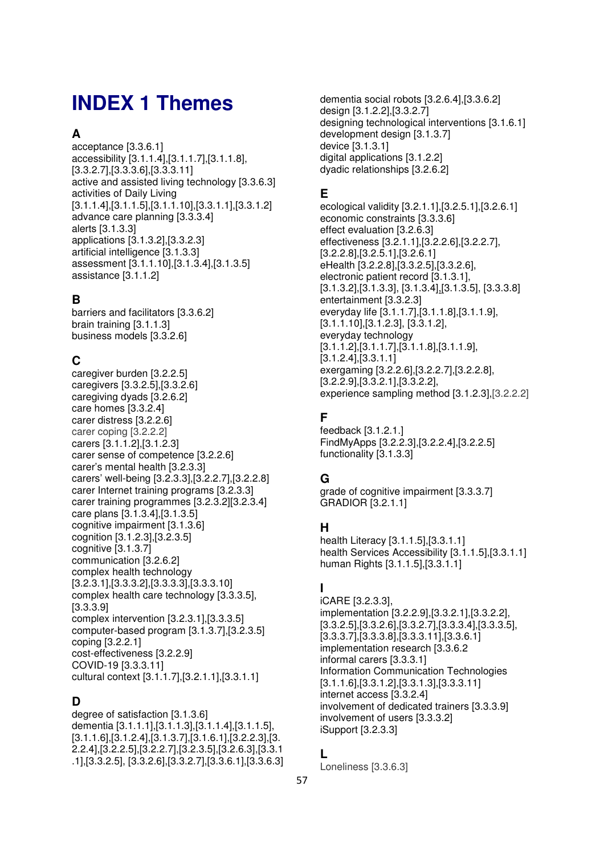# **INDEX 1 Themes**

# **A**

acceptance [3.3.6.1] accessibility [3.1.1.4],[3.1.1.7],[3.1.1.8], [3.3.2.7],[3.3.3.6],[3.3.3.11] active and assisted living technology [3.3.6.3] activities of Daily Living  $[3.1.1.4]$ , $[3.1.1.5]$ , $[3.1.1.10]$ , $[3.3.1.1]$ , $[3.3.1.2]$ advance care planning [3.3.3.4] alerts [3.1.3.3] applications [3.1.3.2],[3.3.2.3] artificial intelligence [3.1.3.3] assessment [3.1.1.10],[3.1.3.4],[3.1.3.5] assistance [3.1.1.2]

# **B**

barriers and facilitators [3.3.6.2] brain training [3.1.1.3] business models [3.3.2.6]

# **C**

caregiver burden [3.2.2.5] caregivers [3.3.2.5],[3.3.2.6] caregiving dyads [3.2.6.2] care homes [3.3.2.4] carer distress [3.2.2.6] carer coping [3.2.2.2] carers [3.1.1.2],[3.1.2.3] carer sense of competence [3.2.2.6] carer's mental health [3.2.3.3] carers' well-being [3.2.3.3],[3.2.2.7],[3.2.2.8] carer Internet training programs [3.2.3.3] carer training programmes [3.2.3.2][3.2.3.4] care plans [3.1.3.4],[3.1.3.5] cognitive impairment [3.1.3.6] cognition [3.1.2.3],[3.2.3.5] cognitive [3.1.3.7] communication [3.2.6.2] complex health technology [3.2.3.1],[3.3.3.2],[3.3.3.3],[3.3.3.10] complex health care technology [3.3.3.5], [3.3.3.9] complex intervention [3.2.3.1],[3.3.3.5] computer-based program [3.1.3.7],[3.2.3.5] coping [3.2.2.1] cost-effectiveness [3.2.2.9] COVID-19 [3.3.3.11] cultural context [3.1.1.7],[3.2.1.1],[3.3.1.1]

# **D**

degree of satisfaction [3.1.3.6] dementia [3.1.1.1],[3.1.1.3],[3.1.1.4],[3.1.1.5], [3.1.1.6],[3.1.2.4],[3.1.3.7],[3.1.6.1],[3.2.2.3],[3. 2.2.4],[3.2.2.5],[3.2.2.7],[3.2.3.5],[3.2.6.3],[3.3.1 .1],[3.3.2.5], [3.3.2.6],[3.3.2.7],[3.3.6.1],[3.3.6.3]

dementia social robots [3.2.6.4],[3.3.6.2] design [3.1.2.2],[3.3.2.7] designing technological interventions [3.1.6.1] development design [3.1.3.7] device [3.1.3.1] digital applications [3.1.2.2] dyadic relationships [3.2.6.2]

# **E**

ecological validity [3.2.1.1],[3.2.5.1],[3.2.6.1] economic constraints [3.3.3.6] effect evaluation [3.2.6.3] effectiveness [3.2.1.1],[3.2.2.6],[3.2.2.7], [3.2.2.8],[3.2.5.1],[3.2.6.1] eHealth [3.2.2.8],[3.3.2.5],[3.3.2.6], electronic patient record [3.1.3.1], [3.1.3.2],[3.1.3.3], [3.1.3.4],[3.1.3.5], [3.3.3.8] entertainment [3.3.2.3] everyday life [3.1.1.7],[3.1.1.8],[3.1.1.9], [3.1.1.10],[3.1.2.3], [3.3.1.2], everyday technology [3.1.1.2],[3.1.1.7],[3.1.1.8],[3.1.1.9], [3.1.2.4],[3.3.1.1] exergaming [3.2.2.6],[3.2.2.7],[3.2.2.8], [3.2.2.9],[3.3.2.1],[3.3.2.2], experience sampling method [3.1.2.3],[3.2.2.2]

# **F**

feedback [3.1.2.1.] FindMyApps [3.2.2.3],[3.2.2.4],[3.2.2.5] functionality [3.1.3.3]

# **G**

grade of cognitive impairment [3.3.3.7] GRADIOR [3.2.1.1]

# **H**

health Literacy [3.1.1.5],[3.3.1.1] health Services Accessibility [3.1.1.5],[3.3.1.1] human Rights [3.1.1.5],[3.3.1.1]

# **I**

iCARE [3.2.3.3], implementation [3.2.2.9],[3.3.2.1],[3.3.2.2], [3.3.2.5],[3.3.2.6],[3.3.2.7],[3.3.3.4],[3.3.3.5], [3.3.3.7],[3.3.3.8],[3.3.3.11],[3.3.6.1] implementation research [3.3.6.2 informal carers [3.3.3.1] Information Communication Technologies  $[3.1.1.6]$ , $[3.3.1.2]$ , $[3.3.1.3]$ , $[3.3.3.11]$ internet access [3.3.2.4] involvement of dedicated trainers [3.3.3.9] involvement of users [3.3.3.2] iSupport [3.2.3.3]

# **L**

Loneliness [3.3.6.3]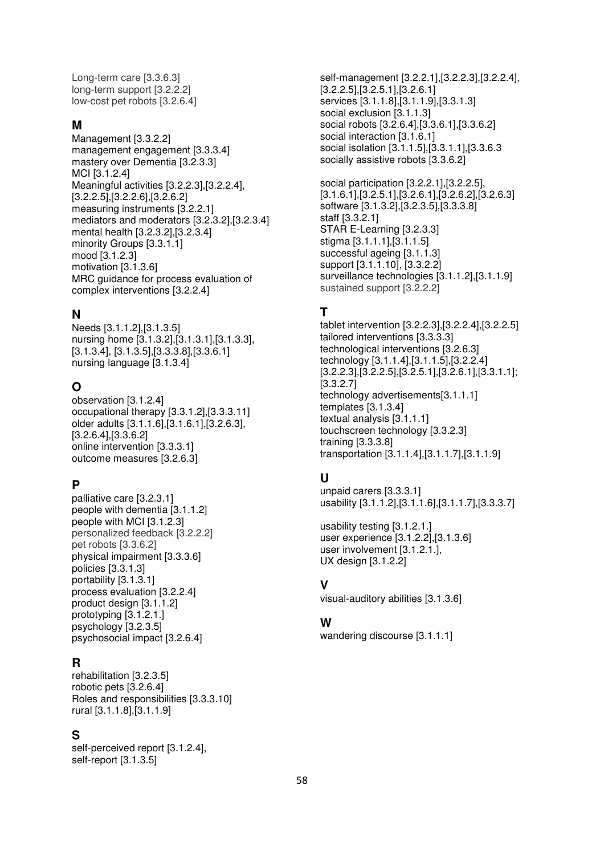Long-term care [3.3.6.3] long-term support [3.2.2.2] low-cost pet robots [3.2.6.4]

# **M**

Management [3.3.2.2] management engagement [3.3.3.4] mastery over Dementia [3.2.3.3] MCI [3.1.2.4] Meaningful activities [3.2.2.3],[3.2.2.4], [3.2.2.5],[3.2.2.6],[3.2.6.2] measuring instruments [3.2.2.1] mediators and moderators [3.2.3.2],[3.2.3.4] mental health [3.2.3.2],[3.2.3.4] minority Groups [3.3.1.1] mood [3.1.2.3] motivation [3.1.3.6] MRC guidance for process evaluation of complex interventions [3.2.2.4]

# **N**

Needs [3.1.1.2],[3.1.3.5] nursing home [3.1.3.2],[3.1.3.1],[3.1.3.3], [3.1.3.4], [3.1.3.5],[3.3.3.8],[3.3.6.1] nursing language [3.1.3.4]

# **O**

observation [3.1.2.4] occupational therapy [3.3.1.2],[3.3.3.11] older adults [3.1.1.6],[3.1.6.1],[3.2.6.3], [3.2.6.4],[3.3.6.2] online intervention [3.3.3.1] outcome measures [3.2.6.3]

# **P**

palliative care [3.2.3.1] people with dementia [3.1.1.2] people with MCI [3.1.2.3] personalized feedback [3.2.2.2] pet robots [3.3.6.2] physical impairment [3.3.3.6] policies [3.3.1.3] portability [3.1.3.1] process evaluation [3.2.2.4] product design [3.1.1.2] prototyping [3.1.2.1.] psychology [3.2.3.5] psychosocial impact [3.2.6.4]

# **R**

rehabilitation [3.2.3.5] robotic pets [3.2.6.4] Roles and responsibilities [3.3.3.10] rural [3.1.1.8],[3.1.1.9]

# **S**

self-perceived report [3.1.2.4], self-report [3.1.3.5]

self-management [3.2.2.1],[3.2.2.3],[3.2.2.4], [3.2.2.5],[3.2.5.1],[3.2.6.1] services [3.1.1.8],[3.1.1.9],[3.3.1.3] social exclusion [3.1.1.3] social robots [3.2.6.4],[3.3.6.1],[3.3.6.2] social interaction [3.1.6.1] social isolation [3.1.1.5],[3.3.1.1],[3.3.6.3 socially assistive robots [3.3.6.2]

social participation [3.2.2.1],[3.2.2.5],  $[3.1.6.1]$ , $[3.2.5.1]$ , $[3.2.6.1]$ , $[3.2.6.2]$ , $[3.2.6.3]$ software [3.1.3.2],[3.2.3.5],[3.3.3.8] staff [3.3.2.1] STAR E-Learning [3.2.3.3] stigma [3.1.1.1],[3.1.1.5] successful ageing [3.1.1.3] support [3.1.1.10], [3.3.2.2] surveillance technologies [3.1.1.2],[3.1.1.9] sustained support [3.2.2.2]

# **T**

tablet intervention [3.2.2.3],[3.2.2.4],[3.2.2.5] tailored interventions [3.3.3.3] technological interventions [3.2.6.3] technology [3.1.1.4],[3.1.1.5],[3.2.2.4] [3.2.2.3],[3.2.2.5],[3.2.5.1],[3.2.6.1],[3.3.1.1]; [3.3.2.7] technology advertisements[3.1.1.1] templates [3.1.3.4] textual analysis [3.1.1.1] touchscreen technology [3.3.2.3] training [3.3.3.8] transportation [3.1.1.4],[3.1.1.7],[3.1.1.9]

# **U**

unpaid carers [3.3.3.1] usability [3.1.1.2],[3.1.1.6],[3.1.1.7],[3.3.3.7]

usability testing [3.1.2.1.] user experience [3.1.2.2],[3.1.3.6] user involvement [3.1.2.1.], UX design [3.1.2.2]

# **V**

visual-auditory abilities [3.1.3.6]

# **W**

wandering discourse [3.1.1.1]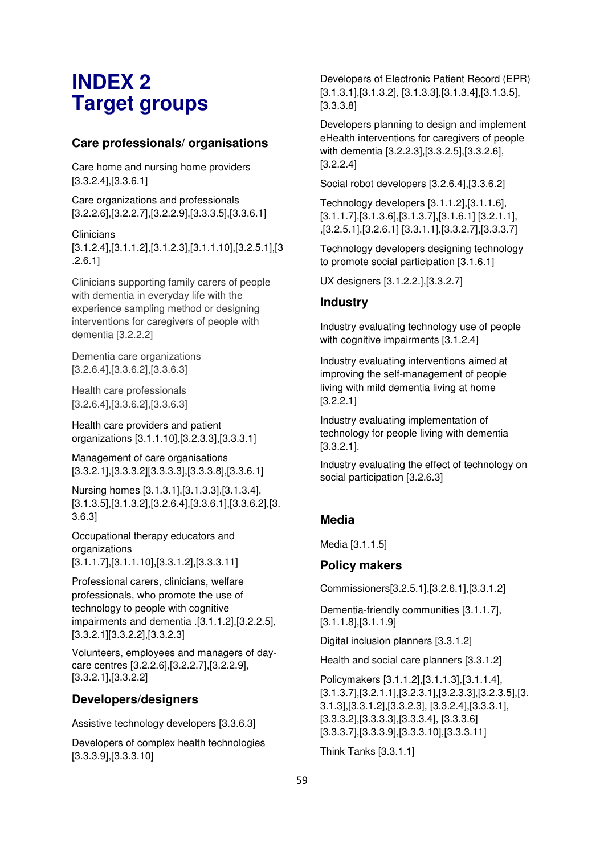# **INDEX 2 Target groups**

# **Care professionals/ organisations**

Care home and nursing home providers [3.3.2.4],[3.3.6.1]

Care organizations and professionals  $[3.2.2.6], [3.2.2.7], [3.2.2.9], [3.3.3.5], [3.3.6.1]$ 

**Clinicians** 

[3.1.2.4],[3.1.1.2],[3.1.2.3],[3.1.1.10],[3.2.5.1],[3 .2.6.1]

Clinicians supporting family carers of people with dementia in everyday life with the experience sampling method or designing interventions for caregivers of people with dementia [3.2.2.2]

Dementia care organizations [3.2.6.4],[3.3.6.2],[3.3.6.3]

Health care professionals [3.2.6.4],[3.3.6.2],[3.3.6.3]

Health care providers and patient organizations [3.1.1.10],[3.2.3.3],[3.3.3.1]

Management of care organisations [3.3.2.1],[3.3.3.2][3.3.3.3],[3.3.3.8],[3.3.6.1]

Nursing homes [3.1.3.1],[3.1.3.3],[3.1.3.4], [3.1.3.5],[3.1.3.2],[3.2.6.4],[3.3.6.1],[3.3.6.2],[3. 3.6.3]

Occupational therapy educators and organizations [3.1.1.7],[3.1.1.10],[3.3.1.2],[3.3.3.11]

Professional carers, clinicians, welfare professionals, who promote the use of technology to people with cognitive impairments and dementia .[3.1.1.2],[3.2.2.5], [3.3.2.1][3.3.2.2],[3.3.2.3]

Volunteers, employees and managers of daycare centres [3.2.2.6],[3.2.2.7],[3.2.2.9], [3.3.2.1],[3.3.2.2]

# **Developers/designers**

Assistive technology developers [3.3.6.3]

Developers of complex health technologies [3.3.3.9],[3.3.3.10]

Developers of Electronic Patient Record (EPR) [3.1.3.1],[3.1.3.2], [3.1.3.3],[3.1.3.4],[3.1.3.5], [3.3.3.8]

Developers planning to design and implement eHealth interventions for caregivers of people with dementia [3.2.2.3],[3.3.2.5],[3.3.2.6], [3.2.2.4]

Social robot developers [3.2.6.4],[3.3.6.2]

Technology developers [3.1.1.2],[3.1.1.6],  $[3.1.1.7]$ , $[3.1.3.6]$ , $[3.1.3.7]$ , $[3.1.6.1]$  $[3.2.1.1]$ , ,[3.2.5.1],[3.2.6.1] [3.3.1.1],[3.3.2.7],[3.3.3.7]

Technology developers designing technology to promote social participation [3.1.6.1]

UX designers [3.1.2.2.],[3.3.2.7]

# **Industry**

Industry evaluating technology use of people with cognitive impairments [3.1.2.4]

Industry evaluating interventions aimed at improving the self-management of people living with mild dementia living at home [3.2.2.1]

Industry evaluating implementation of technology for people living with dementia [3.3.2.1].

Industry evaluating the effect of technology on social participation [3.2.6.3]

# **Media**

Media [3.1.1.5]

# **Policy makers**

Commissioners[3.2.5.1],[3.2.6.1],[3.3.1.2]

Dementia-friendly communities [3.1.1.7], [3.1.1.8],[3.1.1.9]

Digital inclusion planners [3.3.1.2]

Health and social care planners [3.3.1.2]

Policymakers [3.1.1.2],[3.1.1.3],[3.1.1.4],  $[3.1.3.7]$ , $[3.2.1.1]$ , $[3.2.3.1]$ , $[3.2.3.3]$ , $[3.2.3.5]$ , $[3.$ 3.1.3],[3.3.1.2],[3.3.2.3], [3.3.2.4],[3.3.3.1], [3.3.3.2],[3.3.3.3],[3.3.3.4], [3.3.3.6] [3.3.3.7],[3.3.3.9],[3.3.3.10],[3.3.3.11]

Think Tanks [3.3.1.1]